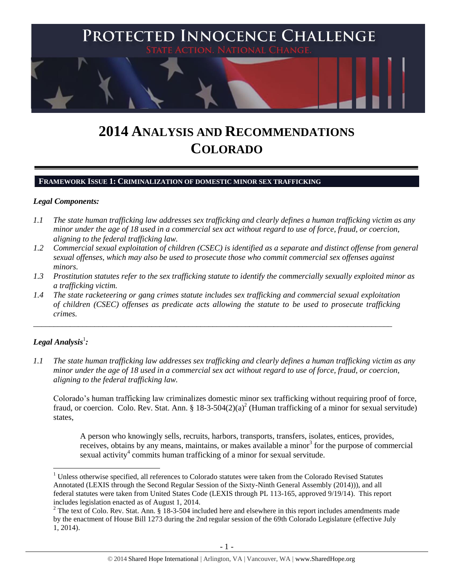

# **2014 ANALYSIS AND RECOMMENDATIONS COLORADO**

#### **FRAMEWORK ISSUE 1: CRIMINALIZATION OF DOMESTIC MINOR SEX TRAFFICKING**

#### *Legal Components:*

- *1.1 The state human trafficking law addresses sex trafficking and clearly defines a human trafficking victim as any minor under the age of 18 used in a commercial sex act without regard to use of force, fraud, or coercion, aligning to the federal trafficking law.*
- *1.2 Commercial sexual exploitation of children (CSEC) is identified as a separate and distinct offense from general sexual offenses, which may also be used to prosecute those who commit commercial sex offenses against minors.*
- *1.3 Prostitution statutes refer to the sex trafficking statute to identify the commercially sexually exploited minor as a trafficking victim.*
- *1.4 The state racketeering or gang crimes statute includes sex trafficking and commercial sexual exploitation of children (CSEC) offenses as predicate acts allowing the statute to be used to prosecute trafficking crimes.*

\_\_\_\_\_\_\_\_\_\_\_\_\_\_\_\_\_\_\_\_\_\_\_\_\_\_\_\_\_\_\_\_\_\_\_\_\_\_\_\_\_\_\_\_\_\_\_\_\_\_\_\_\_\_\_\_\_\_\_\_\_\_\_\_\_\_\_\_\_\_\_\_\_\_\_\_\_\_\_\_\_\_\_\_\_\_\_\_

## $\bm{\mathit{Legal\; Analysis^1:}}$

 $\overline{\phantom{a}}$ 

*1.1 The state human trafficking law addresses sex trafficking and clearly defines a human trafficking victim as any minor under the age of 18 used in a commercial sex act without regard to use of force, fraud, or coercion, aligning to the federal trafficking law.*

Colorado's human trafficking law criminalizes domestic minor sex trafficking without requiring proof of force, fraud, or coercion. Colo. Rev. Stat. Ann. § 18-3-504(2)(a)<sup>2</sup> (Human trafficking of a minor for sexual servitude) states,

<span id="page-0-0"></span>A person who knowingly sells, recruits, harbors, transports, transfers, isolates, entices, provides, receives, obtains by any means, maintains, or makes available a minor $<sup>3</sup>$  for the purpose of commercial</sup> sexual activity<sup>4</sup> commits human trafficking of a minor for sexual servitude.

<sup>&</sup>lt;sup>1</sup> Unless otherwise specified, all references to Colorado statutes were taken from the Colorado Revised Statutes Annotated (LEXIS through the Second Regular Session of the Sixty-Ninth General Assembly (2014))), and all federal statutes were taken from United States Code (LEXIS through PL 113-165, approved 9/19/14). This report includes legislation enacted as of August 1, 2014.

 $2$  The text of Colo. Rev. Stat. Ann. § 18-3-504 included here and elsewhere in this report includes amendments made by the enactment of House Bill 1273 during the 2nd regular session of the 69th Colorado Legislature (effective July 1, 2014).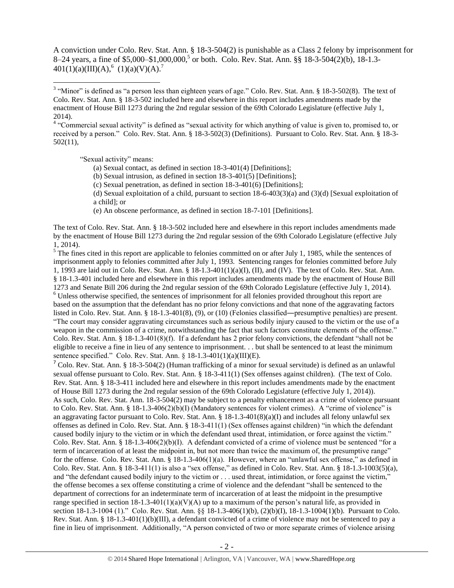<span id="page-1-1"></span>A conviction under Colo. Rev. Stat. Ann. § 18-3-504(2) is punishable as a Class 2 felony by imprisonment for 8–24 years, a fine of \$5,000–\$1,000,000, 5 or both. Colo. Rev. Stat. Ann. §§ 18-3-504(2)(b), 18-1.3-  $401(1)(a)(III)(A),<sup>6</sup> (1)(a)(V)(A).<sup>7</sup>$ 

<sup>4</sup> "Commercial sexual activity" is defined as "sexual activity for which anything of value is given to, promised to, or received by a person." Colo. Rev. Stat. Ann. § 18-3-502(3) (Definitions). Pursuant to Colo. Rev. Stat. Ann. § 18-3- 502(11),

"Sexual activity" means:

<span id="page-1-0"></span> $\overline{\phantom{a}}$ 

- (a) Sexual contact, as defined in section 18-3-401(4) [Definitions];
- (b) Sexual intrusion, as defined in section 18-3-401(5) [Definitions];
- (c) Sexual penetration, as defined in section 18-3-401(6) [Definitions];

(d) Sexual exploitation of a child, pursuant to section  $18-6-403(3)(a)$  and  $(3)(d)$  [Sexual exploitation of a child]; or

(e) An obscene performance, as defined in section 18-7-101 [Definitions].

The text of Colo. Rev. Stat. Ann. § 18-3-502 included here and elsewhere in this report includes amendments made by the enactment of House Bill 1273 during the 2nd regular session of the 69th Colorado Legislature (effective July 1, 2014).

 $5$  The fines cited in this report are applicable to felonies committed on or after July 1, 1985, while the sentences of imprisonment apply to felonies committed after July 1, 1993. Sentencing ranges for felonies committed before July 1, 1993 are laid out in Colo. Rev. Stat. Ann. § 18-1.3-401(1)(a)(I), (II), and (IV). The text of Colo. Rev. Stat. Ann. § 18-1.3-401 included here and elsewhere in this report includes amendments made by the enactment of House Bill 1273 and Senate Bill 206 during the 2nd regular session of the 69th Colorado Legislature (effective July 1, 2014). <sup>6</sup> Unless otherwise specified, the sentences of imprisonment for all felonies provided throughout this report are based on the assumption that the defendant has no prior felony convictions and that none of the aggravating factors listed in Colo. Rev. Stat. Ann. § 18-1.3-401(8), (9), or (10) (Felonies classified―presumptive penalties) are present. "The court may consider aggravating circumstances such as serious bodily injury caused to the victim or the use of a weapon in the commission of a crime, notwithstanding the fact that such factors constitute elements of the offense." Colo. Rev. Stat. Ann. § 18-1.3-401(8)(f). If a defendant has 2 prior felony convictions, the defendant "shall not be eligible to receive a fine in lieu of any sentence to imprisonment. . . but shall be sentenced to at least the minimum sentence specified." Colo. Rev. Stat. Ann. § 18-1.3-401(1)(a)(III)(E).

<sup>7</sup> Colo. Rev. Stat. Ann. § 18-3-504(2) (Human trafficking of a minor for sexual servitude) is defined as an unlawful sexual offense pursuant to Colo. Rev. Stat. Ann. § 18-3-411(1) (Sex offenses against children). (The text of Colo. Rev. Stat. Ann. § 18-3-411 included here and elsewhere in this report includes amendments made by the enactment of House Bill 1273 during the 2nd regular session of the 69th Colorado Legislature (effective July 1, 2014)). As such, Colo. Rev. Stat. Ann. 18-3-504(2) may be subject to a penalty enhancement as a crime of violence pursuant to Colo. Rev. Stat. Ann. § 18-1.3-406(2)(b)(I) (Mandatory sentences for violent crimes). A "crime of violence" is an aggravating factor pursuant to Colo. Rev. Stat. Ann. § 18-1.3-401(8)(a)(I) and includes all felony unlawful sex offenses as defined in Colo. Rev. Stat. Ann. § 18-3-411(1) (Sex offenses against children) "in which the defendant caused bodily injury to the victim or in which the defendant used threat, intimidation, or force against the victim." Colo. Rev. Stat. Ann. § 18-1.3-406(2)(b)(I). A defendant convicted of a crime of violence must be sentenced "for a term of incarceration of at least the midpoint in, but not more than twice the maximum of, the presumptive range" for the offense. Colo. Rev. Stat. Ann. § 18-1.3-406(1)(a). However, where an "unlawful sex offense," as defined in Colo. Rev. Stat. Ann. § 18-3-411(1) is also a "sex offense," as defined in Colo. Rev. Stat. Ann. § 18-1.3-1003(5)(a), and "the defendant caused bodily injury to the victim or . . . used threat, intimidation, or force against the victim," the offense becomes a sex offense constituting a crime of violence and the defendant "shall be sentenced to the department of corrections for an indeterminate term of incarceration of at least the midpoint in the presumptive range specified in section  $18-1.3-401(1)(a)(V)(A)$  up to a maximum of the person's natural life, as provided in section 18-1.3-1004 (1)." Colo. Rev. Stat. Ann. §§ 18-1.3-406(1)(b), (2)(b)(I), 18-1.3-1004(1)(b). Pursuant to Colo. Rev. Stat. Ann. § 18-1.3-401(1)(b)(III), a defendant convicted of a crime of violence may not be sentenced to pay a fine in lieu of imprisonment. Additionally, "A person convicted of two or more separate crimes of violence arising

<sup>&</sup>lt;sup>3</sup> "Minor" is defined as "a person less than eighteen years of age." Colo. Rev. Stat. Ann. § 18-3-502(8). The text of Colo. Rev. Stat. Ann. § 18-3-502 included here and elsewhere in this report includes amendments made by the enactment of House Bill 1273 during the 2nd regular session of the 69th Colorado Legislature (effective July 1, 2014).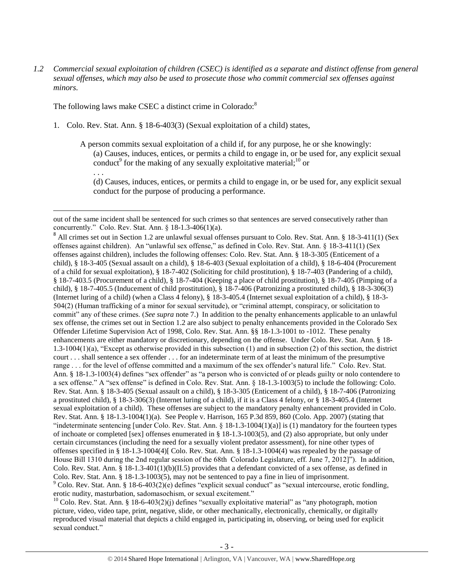*1.2 Commercial sexual exploitation of children (CSEC) is identified as a separate and distinct offense from general sexual offenses, which may also be used to prosecute those who commit commercial sex offenses against minors.*

The following laws make CSEC a distinct crime in Colorado:<sup>8</sup>

1. Colo. Rev. Stat. Ann. § 18-6-403(3) (Sexual exploitation of a child) states,

A person commits sexual exploitation of a child if, for any purpose, he or she knowingly: (a) Causes, induces, entices, or permits a child to engage in, or be used for, any explicit sexual conduct<sup>9</sup> for the making of any sexually exploitative material;<sup>10</sup> or

<span id="page-2-2"></span><span id="page-2-1"></span><span id="page-2-0"></span>. . .

 $\overline{\phantom{a}}$ 

(d) Causes, induces, entices, or permits a child to engage in, or be used for, any explicit sexual conduct for the purpose of producing a performance.

out of the same incident shall be sentenced for such crimes so that sentences are served consecutively rather than concurrently." Colo. Rev. Stat. Ann. § 18-1.3-406(1)(a).

<sup>&</sup>lt;sup>8</sup> All crimes set out in Section 1.2 are unlawful sexual offenses pursuant to Colo. Rev. Stat. Ann. § 18-3-411(1) (Sex offenses against children). An "unlawful sex offense," as defined in Colo. Rev. Stat. Ann. § 18-3-411(1) (Sex offenses against children), includes the following offenses: Colo. Rev. Stat. Ann. § 18-3-305 (Enticement of a child), § 18-3-405 (Sexual assault on a child), § 18-6-403 (Sexual exploitation of a child), § 18-6-404 (Procurement of a child for sexual exploitation), § 18-7-402 (Soliciting for child prostitution), § 18-7-403 (Pandering of a child), § 18-7-403.5 (Procurement of a child), § 18-7-404 (Keeping a place of child prostitution), § 18-7-405 (Pimping of a child), § 18-7-405.5 (Inducement of child prostitution), § 18-7-406 (Patronizing a prostituted child), § 18-3-306(3) (Internet luring of a child) (when a Class 4 felony), § 18-3-405.4 (Internet sexual exploitation of a child), § 18-3- 504(2) (Human trafficking of a minor for sexual servitude), or "criminal attempt, conspiracy, or solicitation to commit" any of these crimes. (*See supra* not[e 7.](#page-1-0)) In addition to the penalty enhancements applicable to an unlawful sex offense, the crimes set out in Section 1.2 are also subject to penalty enhancements provided in the Colorado Sex Offender Lifetime Supervision Act of 1998, Colo. Rev. Stat. Ann. §§ 18-1.3-1001 to -1012. These penalty enhancements are either mandatory or discretionary, depending on the offense. Under Colo. Rev. Stat. Ann. § 18- 1.3-1004(1)(a), "Except as otherwise provided in this subsection (1) and in subsection (2) of this section, the district court . . . shall sentence a sex offender . . . for an indeterminate term of at least the minimum of the presumptive range . . . for the level of offense committed and a maximum of the sex offender's natural life." Colo. Rev. Stat. Ann. § 18-1.3-1003(4) defines "sex offender" as "a person who is convicted of or pleads guilty or nolo contendere to a sex offense." A "sex offense" is defined in Colo. Rev. Stat. Ann. § 18-1.3-1003(5) to include the following: Colo. Rev. Stat. Ann. § 18-3-405 (Sexual assault on a child), § 18-3-305 (Enticement of a child), § 18-7-406 (Patronizing a prostituted child), § 18-3-306(3) (Internet luring of a child), if it is a Class 4 felony, or § 18-3-405.4 (Internet sexual exploitation of a child). These offenses are subject to the mandatory penalty enhancement provided in Colo. Rev. Stat. Ann. § 18-1.3-1004(1)(a). See People v. Harrison, 165 P.3d 859, 860 (Colo. App. 2007) (stating that "indeterminate sentencing [under Colo. Rev. Stat. Ann.  $\S$  18-1.3-1004(1)(a)] is (1) mandatory for the fourteen types of inchoate or completed [sex] offenses enumerated in § 18-1.3-1003(5), and (2) also appropriate, but only under certain circumstances (including the need for a sexually violent predator assessment), for nine other types of offenses specified in § 18-1.3-1004(4)[ Colo. Rev. Stat. Ann. § 18-1.3-1004(4) was repealed by the passage of House Bill 1310 during the 2nd regular session of the 68th Colorado Legislature, eff. June 7, 2012]"). In addition, Colo. Rev. Stat. Ann. § 18-1.3-401(1)(b)(II.5) provides that a defendant convicted of a sex offense, as defined in Colo. Rev. Stat. Ann. § 18-1.3-1003(5), may not be sentenced to pay a fine in lieu of imprisonment.  $9^{\circ}$  Colo. Rev. Stat. Ann. § 18-6-403(2)(e) defines "explicit sexual conduct" as "sexual intercourse, erotic fondling, erotic nudity, masturbation, sadomasochism, or sexual excitement."

<sup>&</sup>lt;sup>10</sup> Colo. Rev. Stat. Ann. § 18-6-403(2)(j) defines "sexually exploitative material" as "any photograph, motion picture, video, video tape, print, negative, slide, or other mechanically, electronically, chemically, or digitally reproduced visual material that depicts a child engaged in, participating in, observing, or being used for explicit sexual conduct."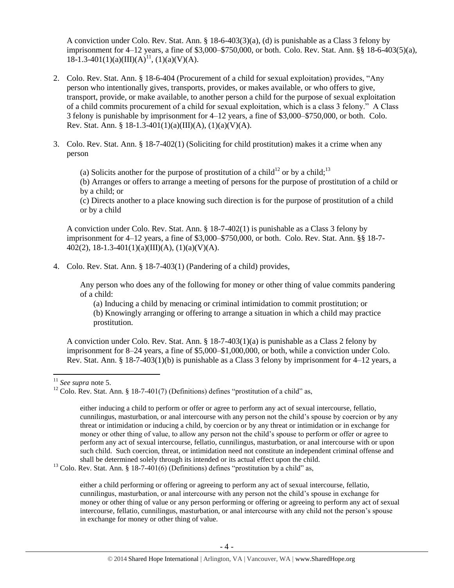A conviction under Colo. Rev. Stat. Ann. § 18-6-403(3)(a), (d) is punishable as a Class 3 felony by imprisonment for 4–12 years, a fine of \$3,000–\$750,000, or both. Colo. Rev. Stat. Ann. §§ 18-6-403(5)(a),  $18-1.3-401(1)(a)(III)(A)^{11}$ ,  $(1)(a)(V)(A)$ .

- 2. Colo. Rev. Stat. Ann. § 18-6-404 (Procurement of a child for sexual exploitation) provides, "Any person who intentionally gives, transports, provides, or makes available, or who offers to give, transport, provide, or make available, to another person a child for the purpose of sexual exploitation of a child commits procurement of a child for sexual exploitation, which is a class 3 felony." A Class 3 felony is punishable by imprisonment for 4–12 years, a fine of \$3,000–\$750,000, or both. Colo. Rev. Stat. Ann. § 18-1.3-401(1)(a)(III)(A), (1)(a)(V)(A).
- 3. Colo. Rev. Stat. Ann. § 18-7-402(1) (Soliciting for child prostitution) makes it a crime when any person

<span id="page-3-1"></span><span id="page-3-0"></span>(a) Solicits another for the purpose of prostitution of a child<sup>12</sup> or by a child;<sup>13</sup>

(b) Arranges or offers to arrange a meeting of persons for the purpose of prostitution of a child or by a child; or

(c) Directs another to a place knowing such direction is for the purpose of prostitution of a child or by a child

A conviction under Colo. Rev. Stat. Ann. § 18-7-402(1) is punishable as a Class 3 felony by imprisonment for 4–12 years, a fine of \$3,000–\$750,000, or both. Colo. Rev. Stat. Ann. §§ 18-7- 402(2), 18-1.3-401(1)(a)(III)(A), (1)(a)(V)(A).

4. Colo. Rev. Stat. Ann. § 18-7-403(1) (Pandering of a child) provides,

Any person who does any of the following for money or other thing of value commits pandering of a child:

(a) Inducing a child by menacing or criminal intimidation to commit prostitution; or (b) Knowingly arranging or offering to arrange a situation in which a child may practice prostitution.

A conviction under Colo. Rev. Stat. Ann. § 18-7-403(1)(a) is punishable as a Class 2 felony by imprisonment for 8–24 years, a fine of \$5,000–\$1,000,000, or both, while a conviction under Colo. Rev. Stat. Ann. § 18-7-403(1)(b) is punishable as a Class 3 felony by imprisonment for 4–12 years, a

l

 $13$  Colo. Rev. Stat. Ann. § 18-7-401(6) (Definitions) defines "prostitution by a child" as,

either a child performing or offering or agreeing to perform any act of sexual intercourse, fellatio, cunnilingus, masturbation, or anal intercourse with any person not the child's spouse in exchange for money or other thing of value or any person performing or offering or agreeing to perform any act of sexual intercourse, fellatio, cunnilingus, masturbation, or anal intercourse with any child not the person's spouse in exchange for money or other thing of value.

<sup>11</sup> *See supra* note [5.](#page-1-1)

 $12$  Colo. Rev. Stat. Ann. § 18-7-401(7) (Definitions) defines "prostitution of a child" as,

either inducing a child to perform or offer or agree to perform any act of sexual intercourse, fellatio, cunnilingus, masturbation, or anal intercourse with any person not the child's spouse by coercion or by any threat or intimidation or inducing a child, by coercion or by any threat or intimidation or in exchange for money or other thing of value, to allow any person not the child's spouse to perform or offer or agree to perform any act of sexual intercourse, fellatio, cunnilingus, masturbation, or anal intercourse with or upon such child. Such coercion, threat, or intimidation need not constitute an independent criminal offense and shall be determined solely through its intended or its actual effect upon the child.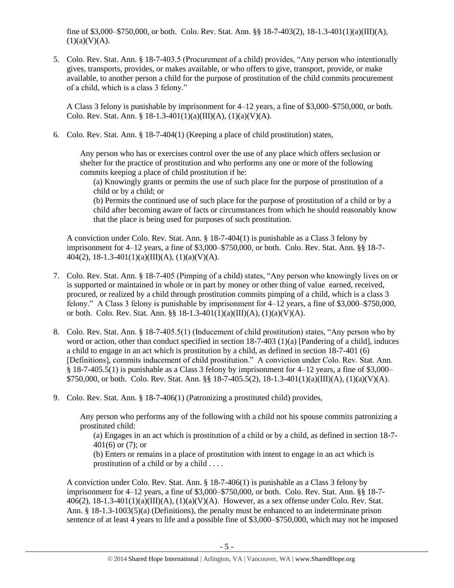fine of \$3,000–\$750,000, or both. Colo. Rev. Stat. Ann. §§ 18-7-403(2), 18-1.3-401(1)(a)(III)(A),  $(1)(a)(V)(A).$ 

5. Colo. Rev. Stat. Ann. § 18-7-403.5 (Procurement of a child) provides, "Any person who intentionally gives, transports, provides, or makes available, or who offers to give, transport, provide, or make available, to another person a child for the purpose of prostitution of the child commits procurement of a child, which is a class 3 felony."

A Class 3 felony is punishable by imprisonment for 4–12 years, a fine of \$3,000–\$750,000, or both. Colo. Rev. Stat. Ann. § 18-1.3-401(1)(a)(III)(A), (1)(a)(V)(A).

6. Colo. Rev. Stat. Ann. § 18-7-404(1) (Keeping a place of child prostitution) states,

Any person who has or exercises control over the use of any place which offers seclusion or shelter for the practice of prostitution and who performs any one or more of the following commits keeping a place of child prostitution if he:

(a) Knowingly grants or permits the use of such place for the purpose of prostitution of a child or by a child; or

(b) Permits the continued use of such place for the purpose of prostitution of a child or by a child after becoming aware of facts or circumstances from which he should reasonably know that the place is being used for purposes of such prostitution.

A conviction under Colo. Rev. Stat. Ann. § 18-7-404(1) is punishable as a Class 3 felony by imprisonment for 4–12 years, a fine of \$3,000–\$750,000, or both. Colo. Rev. Stat. Ann. §§ 18-7- 404(2), 18-1.3-401(1)(a)(III)(A), (1)(a)(V)(A).

- 7. Colo. Rev. Stat. Ann. § 18-7-405 (Pimping of a child) states, "Any person who knowingly lives on or is supported or maintained in whole or in part by money or other thing of value earned, received, procured, or realized by a child through prostitution commits pimping of a child, which is a class 3 felony." A Class 3 felony is punishable by imprisonment for 4–12 years, a fine of \$3,000–\$750,000, or both. Colo. Rev. Stat. Ann. §§ 18-1.3-401(1)(a)(III)(A), (1)(a)(V)(A).
- 8. Colo. Rev. Stat. Ann. § 18-7-405.5(1) (Inducement of child prostitution) states, "Any person who by word or action, other than conduct specified in section 18-7-403 (1)(a) [Pandering of a child], induces a child to engage in an act which is prostitution by a child, as defined in section 18-7-401 (6) [Definitions], commits inducement of child prostitution." A conviction under Colo. Rev. Stat. Ann. § 18-7-405.5(1) is punishable as a Class 3 felony by imprisonment for 4–12 years, a fine of \$3,000– \$750,000, or both. Colo. Rev. Stat. Ann. §§ 18-7-405.5(2), 18-1.3-401(1)(a)(III)(A), (1)(a)(V)(A).
- 9. Colo. Rev. Stat. Ann. § 18-7-406(1) (Patronizing a prostituted child) provides,

Any person who performs any of the following with a child not his spouse commits patronizing a prostituted child:

(a) Engages in an act which is prostitution of a child or by a child, as defined in section 18-7- 401(6) or (7); or

(b) Enters or remains in a place of prostitution with intent to engage in an act which is prostitution of a child or by a child . . . .

A conviction under Colo. Rev. Stat. Ann. § 18-7-406(1) is punishable as a Class 3 felony by imprisonment for 4–12 years, a fine of \$3,000–\$750,000, or both. Colo. Rev. Stat. Ann. §§ 18-7-  $406(2)$ ,  $18-1.3-401(1)(a)(III)(A)$ ,  $(1)(a)(V)(A)$ . However, as a sex offense under Colo. Rev. Stat. Ann. § 18-1.3-1003(5)(a) (Definitions), the penalty must be enhanced to an indeterminate prison sentence of at least 4 years to life and a possible fine of \$3,000–\$750,000, which may not be imposed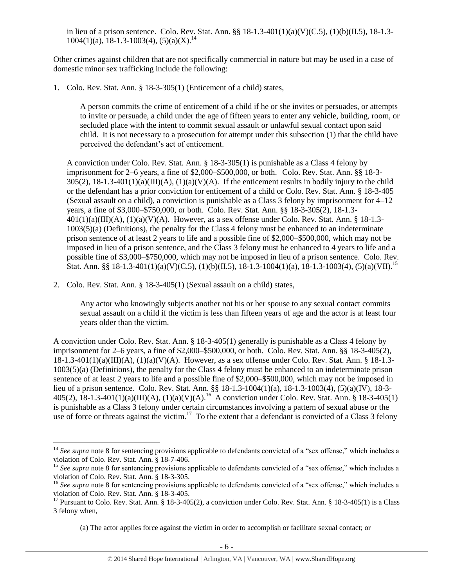in lieu of a prison sentence. Colo. Rev. Stat. Ann. §§ 18-1.3-401(1)(a)(V)(C.5), (1)(b)(II.5), 18-1.3-  $1004(1)(a)$ , 18-1.3-1003(4), (5)(a)(X).<sup>14</sup>

Other crimes against children that are not specifically commercial in nature but may be used in a case of domestic minor sex trafficking include the following:

1. Colo. Rev. Stat. Ann. § 18-3-305(1) (Enticement of a child) states,

A person commits the crime of enticement of a child if he or she invites or persuades, or attempts to invite or persuade, a child under the age of fifteen years to enter any vehicle, building, room, or secluded place with the intent to commit sexual assault or unlawful sexual contact upon said child. It is not necessary to a prosecution for attempt under this subsection (1) that the child have perceived the defendant's act of enticement.

A conviction under Colo. Rev. Stat. Ann. § 18-3-305(1) is punishable as a Class 4 felony by imprisonment for 2–6 years, a fine of \$2,000–\$500,000, or both. Colo. Rev. Stat. Ann. §§ 18-3-  $305(2)$ ,  $18-1.3-401(1)(a)(III)(A)$ ,  $(1)(a)(V)(A)$ . If the enticement results in bodily injury to the child or the defendant has a prior conviction for enticement of a child or Colo. Rev. Stat. Ann. § 18-3-405 (Sexual assault on a child), a conviction is punishable as a Class 3 felony by imprisonment for 4–12 years, a fine of \$3,000–\$750,000, or both. Colo. Rev. Stat. Ann. §§ 18-3-305(2), 18-1.3-  $401(1)(a)(III)(A), (1)(a)(V)(A)$ . However, as a sex offense under Colo. Rev. Stat. Ann. § 18-1.3-1003(5)(a) (Definitions), the penalty for the Class 4 felony must be enhanced to an indeterminate prison sentence of at least 2 years to life and a possible fine of \$2,000–\$500,000, which may not be imposed in lieu of a prison sentence, and the Class 3 felony must be enhanced to 4 years to life and a possible fine of \$3,000–\$750,000, which may not be imposed in lieu of a prison sentence. Colo. Rev. Stat. Ann. §§ 18-1.3-401(1)(a)(V)(C.5), (1)(b)(II.5), 18-1.3-1004(1)(a), 18-1.3-1003(4), (5)(a)(VII).<sup>15</sup>

2. Colo. Rev. Stat. Ann. § 18-3-405(1) (Sexual assault on a child) states,

Any actor who knowingly subjects another not his or her spouse to any sexual contact commits sexual assault on a child if the victim is less than fifteen years of age and the actor is at least four years older than the victim.

A conviction under Colo. Rev. Stat. Ann. § 18-3-405(1) generally is punishable as a Class 4 felony by imprisonment for 2–6 years, a fine of \$2,000–\$500,000, or both. Colo. Rev. Stat. Ann. §§ 18-3-405(2), 18-1.3-401(1)(a)(III)(A), (1)(a)(V)(A). However, as a sex offense under Colo. Rev. Stat. Ann. § 18-1.3- 1003(5)(a) (Definitions), the penalty for the Class 4 felony must be enhanced to an indeterminate prison sentence of at least 2 years to life and a possible fine of \$2,000–\$500,000, which may not be imposed in lieu of a prison sentence. Colo. Rev. Stat. Ann. §§ 18-1.3-1004(1)(a), 18-1.3-1003(4), (5)(a)(IV), 18-3- 405(2),  $18-1.3-401(1)(a)(III)(A)$ ,  $(1)(a)(V)(A)$ .<sup>16</sup> A conviction under Colo. Rev. Stat. Ann. § 18-3-405(1) is punishable as a Class 3 felony under certain circumstances involving a pattern of sexual abuse or the use of force or threats against the victim.<sup>17</sup> To the extent that a defendant is convicted of a Class 3 felony

 $\overline{\phantom{a}}$ <sup>14</sup> See supra note [8](#page-2-0) for sentencing provisions applicable to defendants convicted of a "sex offense," which includes a violation of Colo. Rev. Stat. Ann. § 18-7-406.

<sup>&</sup>lt;sup>15</sup> See supra note [8](#page-2-0) for sentencing provisions applicable to defendants convicted of a "sex offense," which includes a violation of Colo. Rev. Stat. Ann. § 18-3-305.

<sup>&</sup>lt;sup>16</sup> See supra note [8](#page-2-0) for sentencing provisions applicable to defendants convicted of a "sex offense," which includes a violation of Colo. Rev. Stat. Ann. § 18-3-405.

<sup>&</sup>lt;sup>17</sup> Pursuant to Colo. Rev. Stat. Ann. § 18-3-405(2), a conviction under Colo. Rev. Stat. Ann. § 18-3-405(1) is a Class 3 felony when,

<sup>(</sup>a) The actor applies force against the victim in order to accomplish or facilitate sexual contact; or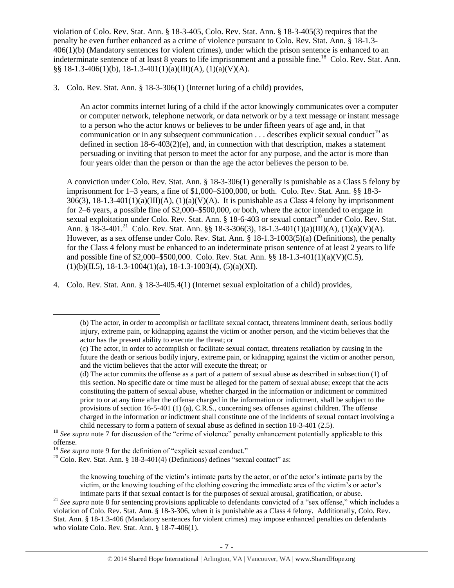violation of Colo. Rev. Stat. Ann. § 18-3-405, Colo. Rev. Stat. Ann. § 18-3-405(3) requires that the penalty be even further enhanced as a crime of violence pursuant to Colo. Rev. Stat. Ann. § 18-1.3- 406(1)(b) (Mandatory sentences for violent crimes), under which the prison sentence is enhanced to an indeterminate sentence of at least 8 years to life imprisonment and a possible fine.<sup>18</sup> Colo. Rev. Stat. Ann. §§ 18-1.3-406(1)(b), 18-1.3-401(1)(a)(III)(A), (1)(a)(V)(A).

3. Colo. Rev. Stat. Ann. § 18-3-306(1) (Internet luring of a child) provides,

An actor commits internet luring of a child if the actor knowingly communicates over a computer or computer network, telephone network, or data network or by a text message or instant message to a person who the actor knows or believes to be under fifteen years of age and, in that communication or in any subsequent communication  $\dots$  describes explicit sexual conduct<sup>19</sup> as defined in section  $18-6-403(2)(e)$ , and, in connection with that description, makes a statement persuading or inviting that person to meet the actor for any purpose, and the actor is more than four years older than the person or than the age the actor believes the person to be.

A conviction under Colo. Rev. Stat. Ann. § 18-3-306(1) generally is punishable as a Class 5 felony by imprisonment for 1–3 years, a fine of \$1,000–\$100,000, or both. Colo. Rev. Stat. Ann. §§ 18-3-  $306(3)$ ,  $18-1.3-401(1)(a)(III)(A)$ ,  $(1)(a)(V)(A)$ . It is punishable as a Class 4 felony by imprisonment for 2–6 years, a possible fine of \$2,000–\$500,000, or both, where the actor intended to engage in sexual exploitation under Colo. Rev. Stat. Ann. § 18-6-403 or sexual contact<sup>20</sup> under Colo. Rev. Stat. Ann. § 18-3-401.<sup>21</sup> Colo. Rev. Stat. Ann. §§ 18-3-306(3), 18-1.3-401(1)(a)(III)(A), (1)(a)(V)(A). However, as a sex offense under Colo. Rev. Stat. Ann. § 18-1.3-1003(5)(a) (Definitions), the penalty for the Class 4 felony must be enhanced to an indeterminate prison sentence of at least 2 years to life and possible fine of \$2,000–\$500,000. Colo. Rev. Stat. Ann. §§ 18-1.3-401(1)(a)(V)(C.5),  $(1)(b)(II.5), 18-1.3-1004(1)(a), 18-1.3-1003(4), (5)(a)(XI).$ 

4. Colo. Rev. Stat. Ann. § 18-3-405.4(1) (Internet sexual exploitation of a child) provides,

<sup>(</sup>b) The actor, in order to accomplish or facilitate sexual contact, threatens imminent death, serious bodily injury, extreme pain, or kidnapping against the victim or another person, and the victim believes that the actor has the present ability to execute the threat; or

<sup>(</sup>c) The actor, in order to accomplish or facilitate sexual contact, threatens retaliation by causing in the future the death or serious bodily injury, extreme pain, or kidnapping against the victim or another person, and the victim believes that the actor will execute the threat; or

<sup>(</sup>d) The actor commits the offense as a part of a pattern of sexual abuse as described in subsection (1) of this section. No specific date or time must be alleged for the pattern of sexual abuse; except that the acts constituting the pattern of sexual abuse, whether charged in the information or indictment or committed prior to or at any time after the offense charged in the information or indictment, shall be subject to the provisions of section 16-5-401 (1) (a), C.R.S., concerning sex offenses against children. The offense charged in the information or indictment shall constitute one of the incidents of sexual contact involving a child necessary to form a pattern of sexual abuse as defined in section 18-3-401 (2.5).

<sup>&</sup>lt;sup>18</sup> *See supra* note [7](#page-1-0) for discussion of the "crime of violence" penalty enhancement potentially applicable to this offense.

<sup>&</sup>lt;sup>19</sup> *See supra* note [9](#page-2-1) for the definition of "explicit sexual conduct."

<sup>&</sup>lt;sup>20</sup> Colo. Rev. Stat. Ann. § 18-3-401(4) (Definitions) defines "sexual contact" as:

the knowing touching of the victim's intimate parts by the actor, or of the actor's intimate parts by the victim, or the knowing touching of the clothing covering the immediate area of the victim's or actor's intimate parts if that sexual contact is for the purposes of sexual arousal, gratification, or abuse.

<sup>&</sup>lt;sup>21</sup> See supra note [8](#page-2-0) for sentencing provisions applicable to defendants convicted of a "sex offense," which includes a violation of Colo. Rev. Stat. Ann. § 18-3-306, when it is punishable as a Class 4 felony. Additionally, Colo. Rev. Stat. Ann. § 18-1.3-406 (Mandatory sentences for violent crimes) may impose enhanced penalties on defendants who violate Colo. Rev. Stat. Ann. § 18-7-406(1).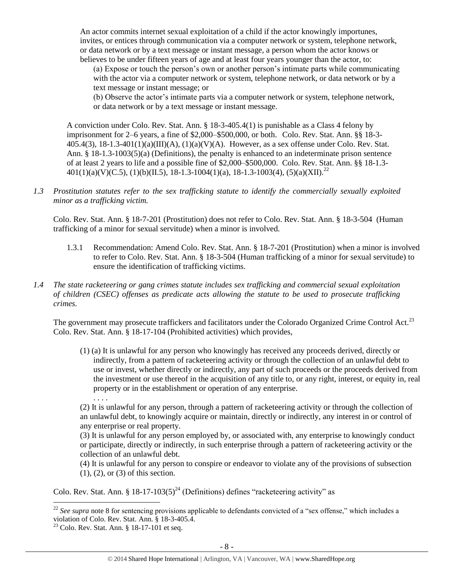An actor commits internet sexual exploitation of a child if the actor knowingly importunes, invites, or entices through communication via a computer network or system, telephone network, or data network or by a text message or instant message, a person whom the actor knows or believes to be under fifteen years of age and at least four years younger than the actor, to:

(a) Expose or touch the person's own or another person's intimate parts while communicating with the actor via a computer network or system, telephone network, or data network or by a text message or instant message; or

(b) Observe the actor's intimate parts via a computer network or system, telephone network, or data network or by a text message or instant message.

A conviction under Colo. Rev. Stat. Ann. § 18-3-405.4(1) is punishable as a Class 4 felony by imprisonment for 2–6 years, a fine of \$2,000–\$500,000, or both. Colo. Rev. Stat. Ann. §§ 18-3-  $405.4(3)$ ,  $18-1.3-401(1)(a)(III)(A)$ ,  $(1)(a)(V)(A)$ . However, as a sex offense under Colo. Rev. Stat. Ann. § 18-1.3-1003(5)(a) (Definitions), the penalty is enhanced to an indeterminate prison sentence of at least 2 years to life and a possible fine of \$2,000–\$500,000. Colo. Rev. Stat. Ann. §§ 18-1.3-  $401(1)(a)(V)(C.5), (1)(b)(II.5), 18-1.3-1004(1)(a), 18-1.3-1003(4), (5)(a)(XII).^{22}$ 

*1.3 Prostitution statutes refer to the sex trafficking statute to identify the commercially sexually exploited minor as a trafficking victim.* 

Colo. Rev. Stat. Ann. § 18-7-201 (Prostitution) does not refer to Colo. Rev. Stat. Ann. § 18-3-504 (Human trafficking of a minor for sexual servitude) when a minor is involved.

- 1.3.1 Recommendation: Amend Colo. Rev. Stat. Ann. § 18-7-201 (Prostitution) when a minor is involved to refer to Colo. Rev. Stat. Ann. § 18-3-504 (Human trafficking of a minor for sexual servitude) to ensure the identification of trafficking victims.
- *1.4 The state racketeering or gang crimes statute includes sex trafficking and commercial sexual exploitation of children (CSEC) offenses as predicate acts allowing the statute to be used to prosecute trafficking crimes.*

The government may prosecute traffickers and facilitators under the Colorado Organized Crime Control Act.<sup>23</sup> Colo. Rev. Stat. Ann. § 18-17-104 (Prohibited activities) which provides,

(1) (a) It is unlawful for any person who knowingly has received any proceeds derived, directly or indirectly, from a pattern of racketeering activity or through the collection of an unlawful debt to use or invest, whether directly or indirectly, any part of such proceeds or the proceeds derived from the investment or use thereof in the acquisition of any title to, or any right, interest, or equity in, real property or in the establishment or operation of any enterprise.

(2) It is unlawful for any person, through a pattern of racketeering activity or through the collection of an unlawful debt, to knowingly acquire or maintain, directly or indirectly, any interest in or control of any enterprise or real property.

(3) It is unlawful for any person employed by, or associated with, any enterprise to knowingly conduct or participate, directly or indirectly, in such enterprise through a pattern of racketeering activity or the collection of an unlawful debt.

(4) It is unlawful for any person to conspire or endeavor to violate any of the provisions of subsection (1), (2), or (3) of this section.

Colo. Rev. Stat. Ann. § 18-17-103(5)<sup>24</sup> (Definitions) defines "racketeering activity" as

. . . .

<sup>&</sup>lt;sup>22</sup> See supra note [8](#page-2-0) for sentencing provisions applicable to defendants convicted of a "sex offense," which includes a violation of Colo. Rev. Stat. Ann. § 18-3-405.4.

 $^{23}$  Colo. Rev. Stat. Ann. § 18-17-101 et seq.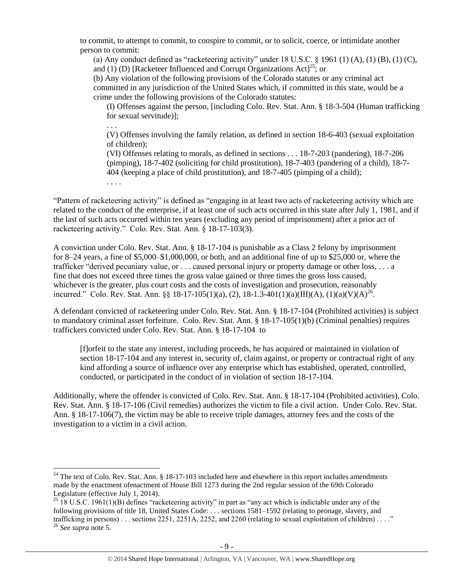to commit, to attempt to commit, to conspire to commit, or to solicit, coerce, or intimidate another person to commit:

(a) Any conduct defined as "racketeering activity" under  $18$  U.S.C. § 1961 (1) (A), (1) (B), (1) (C), and (1) (D) [Racketeer Influenced and Corrupt Organizations Act]<sup>25</sup>; or

(b) Any violation of the following provisions of the Colorado statutes or any criminal act committed in any jurisdiction of the United States which, if committed in this state, would be a crime under the following provisions of the Colorado statutes:

(I) Offenses against the person, [including Colo. Rev. Stat. Ann. § 18-3-504 (Human trafficking for sexual servitude)];

(V) Offenses involving the family relation, as defined in section 18-6-403 (sexual exploitation of children);

(VI) Offenses relating to morals, as defined in sections . . . 18-7-203 (pandering), 18-7-206 (pimping), 18-7-402 (soliciting for child prostitution), 18-7-403 (pandering of a child), 18-7- 404 (keeping a place of child prostitution), and 18-7-405 (pimping of a child);

. . . .

. . .

"Pattern of racketeering activity" is defined as "engaging in at least two acts of racketeering activity which are related to the conduct of the enterprise, if at least one of such acts occurred in this state after July 1, 1981, and if the last of such acts occurred within ten years (excluding any period of imprisonment) after a prior act of racketeering activity." Colo. Rev. Stat. Ann. § 18-17-103(3).

A conviction under Colo. Rev. Stat. Ann. § 18-17-104 is punishable as a Class 2 felony by imprisonment for 8–24 years, a fine of \$5,000–\$1,000,000, or both, and an additional fine of up to \$25,000 or, where the trafficker "derived pecuniary value, or . . . caused personal injury or property damage or other loss, . . . a fine that does not exceed three times the gross value gained or three times the gross loss caused, whichever is the greater, plus court costs and the costs of investigation and prosecution, reasonably incurred." Colo. Rev. Stat. Ann. §§ 18-17-105(1)(a), (2), 18-1.3-401(1)(a)(III)(A), (1)(a)(V)(A)<sup>26</sup>.

A defendant convicted of racketeering under Colo. Rev. Stat. Ann. § 18-17-104 (Prohibited activities) is subject to mandatory criminal asset forfeiture. Colo. Rev. Stat. Ann. § 18-17-105(1)(b) (Criminal penalties) requires traffickers convicted under Colo. Rev. Stat. Ann. § 18-17-104 to

[f]orfeit to the state any interest, including proceeds, he has acquired or maintained in violation of section 18-17-104 and any interest in, security of, claim against, or property or contractual right of any kind affording a source of influence over any enterprise which has established, operated, controlled, conducted, or participated in the conduct of in violation of section 18-17-104.

Additionally, where the offender is convicted of Colo. Rev. Stat. Ann. § 18-17-104 (Prohibited activities), Colo. Rev. Stat. Ann. § 18-17-106 (Civil remedies) authorizes the victim to file a civil action. Under Colo. Rev. Stat. Ann. § 18-17-106(7), the victim may be able to receive triple damages, attorney fees and the costs of the investigation to a victim in a civil action.

 $\overline{\phantom{a}}$ <sup>24</sup> The text of Colo. Rev. Stat. Ann. § 18-17-103 included here and elsewhere in this report includes amendments made by the enactment ofenactment of House Bill 1273 during the 2nd regular session of the 69th Colorado Legislature (effective July 1, 2014).

<sup>&</sup>lt;sup>25</sup> 18 U.S.C. 1961(1)(B) defines "racketeering activity" in part as "any act which is indictable under any of the following provisions of title 18, United States Code: . . . sections 1581–1592 (relating to peonage, slavery, and trafficking in persons)  $\ldots$  sections 2251, 2251A, 2252, and 2260 (relating to sexual exploitation of children)  $\ldots$ ." <sup>26</sup> *See supra* note [5.](#page-1-1)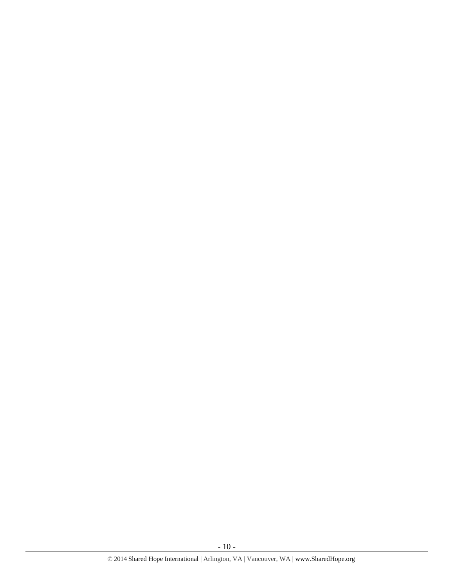# © 2014 Shared Hope International | Arlington, VA | Vancouver, WA | www.SharedHope.org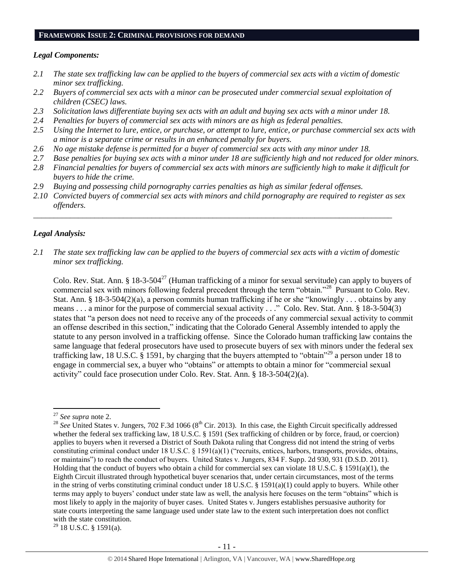#### **FRAMEWORK ISSUE 2: CRIMINAL PROVISIONS FOR DEMAND**

## *Legal Components:*

- *2.1 The state sex trafficking law can be applied to the buyers of commercial sex acts with a victim of domestic minor sex trafficking.*
- *2.2 Buyers of commercial sex acts with a minor can be prosecuted under commercial sexual exploitation of children (CSEC) laws.*
- *2.3 Solicitation laws differentiate buying sex acts with an adult and buying sex acts with a minor under 18.*
- *2.4 Penalties for buyers of commercial sex acts with minors are as high as federal penalties.*
- *2.5 Using the Internet to lure, entice, or purchase, or attempt to lure, entice, or purchase commercial sex acts with a minor is a separate crime or results in an enhanced penalty for buyers.*
- *2.6 No age mistake defense is permitted for a buyer of commercial sex acts with any minor under 18.*
- *2.7 Base penalties for buying sex acts with a minor under 18 are sufficiently high and not reduced for older minors.*
- *2.8 Financial penalties for buyers of commercial sex acts with minors are sufficiently high to make it difficult for buyers to hide the crime.*
- *2.9 Buying and possessing child pornography carries penalties as high as similar federal offenses.*
- *2.10 Convicted buyers of commercial sex acts with minors and child pornography are required to register as sex offenders.*

\_\_\_\_\_\_\_\_\_\_\_\_\_\_\_\_\_\_\_\_\_\_\_\_\_\_\_\_\_\_\_\_\_\_\_\_\_\_\_\_\_\_\_\_\_\_\_\_\_\_\_\_\_\_\_\_\_\_\_\_\_\_\_\_\_\_\_\_\_\_\_\_\_\_\_\_\_\_\_\_\_\_\_\_\_\_\_\_

## *Legal Analysis:*

*2.1 The state sex trafficking law can be applied to the buyers of commercial sex acts with a victim of domestic minor sex trafficking.*

Colo. Rev. Stat. Ann. § 18-3-504<sup>27</sup> (Human trafficking of a minor for sexual servitude) can apply to buyers of commercial sex with minors following federal precedent through the term "obtain."<sup>28</sup> Pursuant to Colo. Rev. Stat. Ann. § 18-3-504(2)(a), a person commits human trafficking if he or she "knowingly . . . obtains by any means . . . a minor for the purpose of commercial sexual activity . . ." Colo. Rev. Stat. Ann. § 18-3-504(3) states that "a person does not need to receive any of the proceeds of any commercial sexual activity to commit an offense described in this section," indicating that the Colorado General Assembly intended to apply the statute to any person involved in a trafficking offense. Since the Colorado human trafficking law contains the same language that federal prosecutors have used to prosecute buyers of sex with minors under the federal sex trafficking law, 18 U.S.C. § 1591, by charging that the buyers attempted to "obtain"<sup>29</sup> a person under 18 to engage in commercial sex, a buyer who "obtains" or attempts to obtain a minor for "commercial sexual activity" could face prosecution under Colo. Rev. Stat. Ann. § 18-3-504(2)(a).

 $\overline{a}$ <sup>27</sup> *See supra* note [2.](#page-0-0)

<sup>&</sup>lt;sup>28</sup> See United States v. Jungers, 702 F.3d 1066 ( $8<sup>th</sup>$  Cir. 2013). In this case, the Eighth Circuit specifically addressed whether the federal sex trafficking law, 18 U.S.C. § 1591 (Sex trafficking of children or by force, fraud, or coercion) applies to buyers when it reversed a District of South Dakota ruling that Congress did not intend the string of verbs constituting criminal conduct under 18 U.S.C. § 1591(a)(1) ("recruits, entices, harbors, transports, provides, obtains, or maintains") to reach the conduct of buyers. United States v. Jungers, 834 F. Supp. 2d 930, 931 (D.S.D. 2011). Holding that the conduct of buyers who obtain a child for commercial sex can violate 18 U.S.C. § 1591(a)(1), the Eighth Circuit illustrated through hypothetical buyer scenarios that, under certain circumstances, most of the terms in the string of verbs constituting criminal conduct under 18 U.S.C. § 1591(a)(1) could apply to buyers. While other terms may apply to buyers' conduct under state law as well, the analysis here focuses on the term "obtains" which is most likely to apply in the majority of buyer cases. United States v. Jungers establishes persuasive authority for state courts interpreting the same language used under state law to the extent such interpretation does not conflict with the state constitution.

 $^{29}$  18 U.S.C. § 1591(a).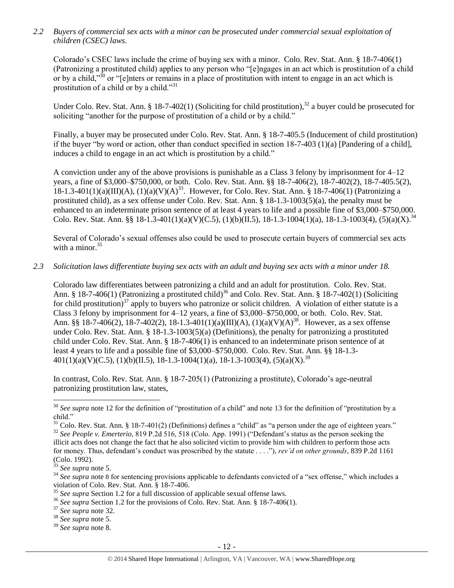*2.2 Buyers of commercial sex acts with a minor can be prosecuted under commercial sexual exploitation of children (CSEC) laws.*

Colorado's CSEC laws include the crime of buying sex with a minor. Colo. Rev. Stat. Ann. § 18-7-406(1) (Patronizing a prostituted child) applies to any person who "[e]ngages in an act which is prostitution of a child or by a child,"<sup>30</sup> or "[e]nters or remains in a place of prostitution with intent to engage in an act which is prostitution of a child or by a child."<sup>31</sup>

<span id="page-11-0"></span>Under Colo. Rev. Stat. Ann. § 18-7-402(1) (Soliciting for child prostitution),<sup>32</sup> a buyer could be prosecuted for soliciting "another for the purpose of prostitution of a child or by a child."

Finally, a buyer may be prosecuted under Colo. Rev. Stat. Ann. § 18-7-405.5 (Inducement of child prostitution) if the buyer "by word or action, other than conduct specified in section 18-7-403 (1)(a) [Pandering of a child], induces a child to engage in an act which is prostitution by a child."

A conviction under any of the above provisions is punishable as a Class 3 felony by imprisonment for 4–12 years, a fine of \$3,000–\$750,000, or both. Colo. Rev. Stat. Ann. §§ 18-7-406(2), 18-7-402(2), 18-7-405.5(2), 18-1.3-401(1)(a)(III)(A), (1)(a)(V)(A)<sup>33</sup>. However, for Colo. Rev. Stat. Ann. § 18-7-406(1) (Patronizing a prostituted child), as a sex offense under Colo. Rev. Stat. Ann. § 18-1.3-1003(5)(a), the penalty must be enhanced to an indeterminate prison sentence of at least 4 years to life and a possible fine of \$3,000–\$750,000. Colo. Rev. Stat. Ann. §§ 18-1.3-401(1)(a)(V)(C.5), (1)(b)(II.5), 18-1.3-1004(1)(a), 18-1.3-1003(4), (5)(a)(X).<sup>34</sup>

Several of Colorado's sexual offenses also could be used to prosecute certain buyers of commercial sex acts with a minor. $35$ 

*2.3 Solicitation laws differentiate buying sex acts with an adult and buying sex acts with a minor under 18.*

Colorado law differentiates between patronizing a child and an adult for prostitution. Colo. Rev. Stat. Ann. § 18-7-406(1) (Patronizing a prostituted child)<sup>36</sup> and Colo. Rev. Stat. Ann. § 18-7-402(1) (Soliciting for child prostitution)<sup>37</sup> apply to buyers who patronize or solicit children. A violation of either statute is a Class 3 felony by imprisonment for 4–12 years, a fine of \$3,000–\$750,000, or both. Colo. Rev. Stat. Ann. §§ 18-7-406(2), 18-7-402(2), 18-1.3-401(1)(a)(III)(A), (1)(a)(V)(A)<sup>38</sup>. However, as a sex offense under Colo. Rev. Stat. Ann. § 18-1.3-1003(5)(a) (Definitions), the penalty for patronizing a prostituted child under Colo. Rev. Stat. Ann. § 18-7-406(1) is enhanced to an indeterminate prison sentence of at least 4 years to life and a possible fine of \$3,000–\$750,000. Colo. Rev. Stat. Ann. §§ 18-1.3-  $401(1)(a)(V)(C.5), (1)(b)(II.5), 18-1.3-1004(1)(a), 18-1.3-1003(4), (5)(a)(X).$ <sup>39</sup>

In contrast, Colo. Rev. Stat. Ann. § 18-7-205(1) (Patronizing a prostitute), Colorado's age-neutral patronizing prostitution law, states,

l

<sup>&</sup>lt;sup>30</sup> See supra note [12](#page-3-0) for the definition of "prostitution of a child" and note [13](#page-3-1) for the definition of "prostitution by a child."

 $31$  Colo. Rev. Stat. Ann. § 18-7-401(2) (Definitions) defines a "child" as "a person under the age of eighteen years." <sup>32</sup> *See People v. Emerterio*, 819 P.2d 516, 518 (Colo. App. 1991) ("Defendant's status as the person seeking the illicit acts does not change the fact that he also solicited victim to provide him with children to perform those acts for money. Thus, defendant's conduct was proscribed by the statute . . . ."), *rev'd on other grounds*, 839 P.2d 1161 (Colo. 1992).

<sup>33</sup> *See supra* note [5.](#page-1-1)

<sup>&</sup>lt;sup>34</sup> See supra note [8](#page-2-0) for sentencing provisions applicable to defendants convicted of a "sex offense," which includes a violation of Colo. Rev. Stat. Ann. § 18-7-406.

<sup>35</sup> *See supra* Section 1.2 for a full discussion of applicable sexual offense laws.

<sup>36</sup> *See supra* Section 1.2 for the provisions of Colo. Rev. Stat. Ann. § 18-7-406(1).

<sup>37</sup> *See supra* note [32.](#page-11-0)

<sup>38</sup> *See supra* note [5.](#page-1-1)

<sup>39</sup> *See supra* note [8.](#page-2-0)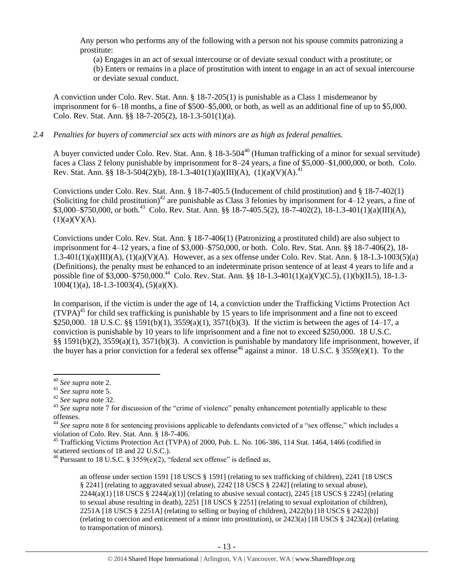Any person who performs any of the following with a person not his spouse commits patronizing a prostitute:

(a) Engages in an act of sexual intercourse or of deviate sexual conduct with a prostitute; or

(b) Enters or remains in a place of prostitution with intent to engage in an act of sexual intercourse or deviate sexual conduct.

A conviction under Colo. Rev. Stat. Ann. § 18-7-205(1) is punishable as a Class 1 misdemeanor by imprisonment for 6–18 months, a fine of \$500–\$5,000, or both, as well as an additional fine of up to \$5,000. Colo. Rev. Stat. Ann. §§ 18-7-205(2), 18-1.3-501(1)(a).

## *2.4 Penalties for buyers of commercial sex acts with minors are as high as federal penalties.*

A buyer convicted under Colo. Rev. Stat. Ann. § 18-3-504<sup>40</sup> (Human trafficking of a minor for sexual servitude) faces a Class 2 felony punishable by imprisonment for 8–24 years, a fine of \$5,000–\$1,000,000, or both. Colo. Rev. Stat. Ann. §§ 18-3-504(2)(b), 18-1.3-401(1)(a)(III)(A), (1)(a)(V)(A).<sup>41</sup>

Convictions under Colo. Rev. Stat. Ann. § 18-7-405.5 (Inducement of child prostitution) and § 18-7-402(1) (Soliciting for child prostitution)<sup>42</sup> are punishable as Class 3 felonies by imprisonment for  $4-12$  years, a fine of  $$3,000-\$750,000$ , or both.<sup>43</sup> Colo. Rev. Stat. Ann. §§ 18-7-405.5(2), 18-7-402(2), 18-1.3-401(1)(a)(III)(A),  $(1)(a)(V)(A).$ 

Convictions under Colo. Rev. Stat. Ann. § 18-7-406(1) (Patronizing a prostituted child) are also subject to imprisonment for 4–12 years, a fine of \$3,000–\$750,000, or both. Colo. Rev. Stat. Ann. §§ 18-7-406(2), 18- 1.3-401(1)(a)(III)(A), (1)(a)(V)(A). However, as a sex offense under Colo. Rev. Stat. Ann. § 18-1.3-1003(5)(a) (Definitions), the penalty must be enhanced to an indeterminate prison sentence of at least 4 years to life and a possible fine of \$3,000–\$750,000.<sup>44</sup> Colo. Rev. Stat. Ann. §§ 18-1.3-401(1)(a)(V)(C.5), (1)(b)(II.5), 18-1.3- $1004(1)(a)$ , 18-1.3-1003(4), (5)(a)(X).

<span id="page-12-0"></span>In comparison, if the victim is under the age of 14, a conviction under the Trafficking Victims Protection Act  $(TVPA)<sup>45</sup>$  for child sex trafficking is punishable by 15 years to life imprisonment and a fine not to exceed \$250,000. 18 U.S.C. §§ 1591(b)(1), 3559(a)(1), 3571(b)(3). If the victim is between the ages of 14–17, a conviction is punishable by 10 years to life imprisonment and a fine not to exceed \$250,000. 18 U.S.C. §§ 1591(b)(2), 3559(a)(1), 3571(b)(3). A conviction is punishable by mandatory life imprisonment, however, if the buyer has a prior conviction for a federal sex offense<sup>46</sup> against a minor. 18 U.S.C. § 3559(e)(1). To the

<span id="page-12-1"></span>l <sup>40</sup> *See supra* note [2.](#page-0-0)

<sup>41</sup> *See supra* note [5.](#page-1-1)

<sup>42</sup> *See supra* note [32.](#page-11-0)

<sup>&</sup>lt;sup>43</sup> See supra note [7](#page-1-0) for discussion of the "crime of violence" penalty enhancement potentially applicable to these offenses.

<sup>&</sup>lt;sup>44</sup> See supra note [8](#page-2-0) for sentencing provisions applicable to defendants convicted of a "sex offense," which includes a violation of Colo. Rev. Stat. Ann. § 18-7-406.

<sup>&</sup>lt;sup>45</sup> Trafficking Victims Protection Act (TVPA) of 2000, Pub. L. No. 106-386, 114 Stat. 1464, 1466 (codified in scattered sections of 18 and 22 U.S.C.).

<sup>&</sup>lt;sup>46</sup> Pursuant to 18 U.S.C. § 3559(e)(2), "federal sex offense" is defined as,

an offense under section 1591 [18 USCS § 1591] (relating to sex trafficking of children), 2241 [18 USCS § 2241] (relating to aggravated sexual abuse), 2242 [18 USCS § 2242] (relating to sexual abuse),  $2244(a)(1)$  [18 USCS §  $2244(a)(1)$ ] (relating to abusive sexual contact),  $2245$  [18 USCS § 2245] (relating to sexual abuse resulting in death), 2251 [18 USCS § 2251] (relating to sexual exploitation of children), 2251A [18 USCS § 2251A] (relating to selling or buying of children), 2422(b) [18 USCS § 2422(b)] (relating to coercion and enticement of a minor into prostitution), or 2423(a) [18 USCS § 2423(a)] (relating to transportation of minors).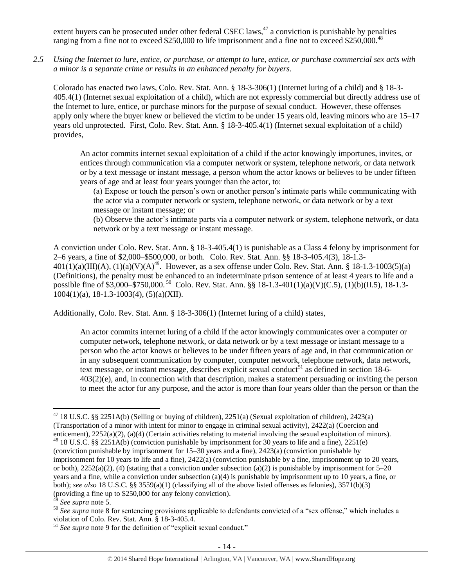extent buyers can be prosecuted under other federal CSEC laws, $^{47}$  a conviction is punishable by penalties ranging from a fine not to exceed \$250,000 to life imprisonment and a fine not to exceed \$250,000.<sup>48</sup>

*2.5 Using the Internet to lure, entice, or purchase, or attempt to lure, entice, or purchase commercial sex acts with a minor is a separate crime or results in an enhanced penalty for buyers.*

Colorado has enacted two laws, Colo. Rev. Stat. Ann. § 18-3-306(1) (Internet luring of a child) and § 18-3- 405.4(1) (Internet sexual exploitation of a child), which are not expressly commercial but directly address use of the Internet to lure, entice, or purchase minors for the purpose of sexual conduct. However, these offenses apply only where the buyer knew or believed the victim to be under 15 years old, leaving minors who are 15–17 years old unprotected. First, Colo. Rev. Stat. Ann. § 18-3-405.4(1) (Internet sexual exploitation of a child) provides,

An actor commits internet sexual exploitation of a child if the actor knowingly importunes, invites, or entices through communication via a computer network or system, telephone network, or data network or by a text message or instant message, a person whom the actor knows or believes to be under fifteen years of age and at least four years younger than the actor, to:

(a) Expose or touch the person's own or another person's intimate parts while communicating with the actor via a computer network or system, telephone network, or data network or by a text message or instant message; or

(b) Observe the actor's intimate parts via a computer network or system, telephone network, or data network or by a text message or instant message.

A conviction under Colo. Rev. Stat. Ann. § 18-3-405.4(1) is punishable as a Class 4 felony by imprisonment for 2–6 years, a fine of \$2,000–\$500,000, or both. Colo. Rev. Stat. Ann. §§ 18-3-405.4(3), 18-1.3-  $401(1)(a)(III)(A)$ ,  $(1)(a)(V)(A)^{49}$ . However, as a sex offense under Colo. Rev. Stat. Ann. § 18-1.3-1003(5)(a) (Definitions), the penalty must be enhanced to an indeterminate prison sentence of at least 4 years to life and a possible fine of \$3,000–\$750,000.<sup>50</sup> Colo. Rev. Stat. Ann. §§ 18-1.3-401(1)(a)(V)(C.5), (1)(b)(II.5), 18-1.3-1004(1)(a), 18-1.3-1003(4), (5)(a)(XII).

Additionally, Colo. Rev. Stat. Ann. § 18-3-306(1) (Internet luring of a child) states,

An actor commits internet luring of a child if the actor knowingly communicates over a computer or computer network, telephone network, or data network or by a text message or instant message to a person who the actor knows or believes to be under fifteen years of age and, in that communication or in any subsequent communication by computer, computer network, telephone network, data network, text message, or instant message, describes explicit sexual conduct<sup>51</sup> as defined in [section 18-6-](https://www.lexis.com/research/buttonTFLink?_m=0545d54bb3ab2fe03ee287d34806e7bd&_xfercite=%3ccite%20cc%3d%22USA%22%3e%3c%21%5bCDATA%5bC.R.S.%2018-3-306%5d%5d%3e%3c%2fcite%3e&_butType=4&_butStat=0&_butNum=2&_butInline=1&_butinfo=COCODE%2018-6-403&_fmtstr=FULL&docnum=1&_startdoc=1&wchp=dGLbVzB-zSkAb&_md5=937d1f974c5b2e4c88bf5b6e2c34877b) [403\(2\)\(e\),](https://www.lexis.com/research/buttonTFLink?_m=0545d54bb3ab2fe03ee287d34806e7bd&_xfercite=%3ccite%20cc%3d%22USA%22%3e%3c%21%5bCDATA%5bC.R.S.%2018-3-306%5d%5d%3e%3c%2fcite%3e&_butType=4&_butStat=0&_butNum=2&_butInline=1&_butinfo=COCODE%2018-6-403&_fmtstr=FULL&docnum=1&_startdoc=1&wchp=dGLbVzB-zSkAb&_md5=937d1f974c5b2e4c88bf5b6e2c34877b) and, in connection with that description, makes a statement persuading or inviting the person to meet the actor for any purpose, and the actor is more than four years older than the person or than the

 $\overline{a}$ 

<sup>&</sup>lt;sup>47</sup> 18 U.S.C. §§ 2251A(b) (Selling or buying of children), 2251(a) (Sexual exploitation of children), 2423(a) (Transportation of a minor with intent for minor to engage in criminal sexual activity), 2422(a) (Coercion and enticement), 2252(a)(2), (a)(4) (Certain activities relating to material involving the sexual exploitation of minors). <sup>48</sup> 18 U.S.C. §§ 2251A(b) (conviction punishable by imprisonment for 30 years to life and a fine), 2251(e) (conviction punishable by imprisonment for 15–30 years and a fine), 2423(a) (conviction punishable by imprisonment for 10 years to life and a fine), 2422(a) (conviction punishable by a fine, imprisonment up to 20 years, or both),  $2252(a)(2)$ , (4) (stating that a conviction under subsection (a)(2) is punishable by imprisonment for 5–20 years and a fine, while a conviction under subsection (a)(4) is punishable by imprisonment up to 10 years, a fine, or both); *see also* 18 U.S.C. §§ 3559(a)(1) (classifying all of the above listed offenses as felonies), 3571(b)(3) (providing a fine up to \$250,000 for any felony conviction).

<sup>49</sup> *See supra* note [5.](#page-1-1)

<sup>&</sup>lt;sup>50</sup> See supra note [8](#page-2-0) for sentencing provisions applicable to defendants convicted of a "sex offense," which includes a violation of Colo. Rev. Stat. Ann. § 18-3-405.4.

<sup>51</sup> *See supra* note [9](#page-2-1) for the definition of "explicit sexual conduct."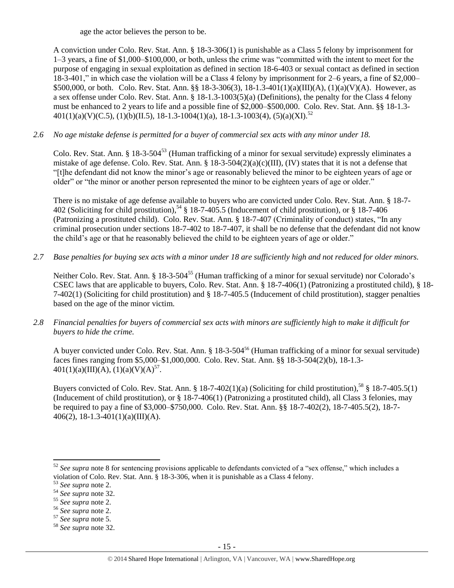age the actor believes the person to be.

A conviction under Colo. Rev. Stat. Ann. § 18-3-306(1) is punishable as a Class 5 felony by imprisonment for 1–3 years, a fine of \$1,000–\$100,000, or both, unless the crime was "committed with the intent to meet for the purpose of engaging in sexual exploitation as defined in section 18-6-403 or sexual contact as defined in section 18-3-401," in which case the violation will be a Class 4 felony by imprisonment for 2–6 years, a fine of \$2,000– \$500,000, or both. Colo. Rev. Stat. Ann. §§ 18-3-306(3), 18-1.3-401(1)(a)(III)(A), (1)(a)(V)(A). However, as a sex offense under Colo. Rev. Stat. Ann. § 18-1.3-1003(5)(a) (Definitions), the penalty for the Class 4 felony must be enhanced to 2 years to life and a possible fine of \$2,000–\$500,000. Colo. Rev. Stat. Ann. §§ 18-1.3-  $401(1)(a)(V)(C.5), (1)(b)(II.5), 18-1.3-1004(1)(a), 18-1.3-1003(4), (5)(a)(XI).$ <sup>52</sup>

## *2.6 No age mistake defense is permitted for a buyer of commercial sex acts with any minor under 18.*

Colo. Rev. Stat. Ann. § 18-3-504<sup>53</sup> (Human trafficking of a minor for sexual servitude) expressly eliminates a mistake of age defense. Colo. Rev. Stat. Ann. § 18-3-504(2)(a)(c)(III), (IV) states that it is not a defense that "[t]he defendant did not know the minor's age or reasonably believed the minor to be eighteen years of age or older" or "the minor or another person represented the minor to be eighteen years of age or older."

There is no mistake of age defense available to buyers who are convicted under Colo. Rev. Stat. Ann. § 18-7- 402 (Soliciting for child prostitution),<sup>54</sup> § 18-7-405.5 (Inducement of child prostitution), or § 18-7-406 (Patronizing a prostituted child). Colo. Rev. Stat. Ann. § 18-7-407 (Criminality of conduct) states, "In any criminal prosecution under sections 18-7-402 to 18-7-407, it shall be no defense that the defendant did not know the child's age or that he reasonably believed the child to be eighteen years of age or older."

*2.7 Base penalties for buying sex acts with a minor under 18 are sufficiently high and not reduced for older minors.*

Neither Colo. Rev. Stat. Ann. § 18-3-504<sup>55</sup> (Human trafficking of a minor for sexual servitude) nor Colorado's CSEC laws that are applicable to buyers, Colo. Rev. Stat. Ann. § 18-7-406(1) (Patronizing a prostituted child), § 18- 7-402(1) (Soliciting for child prostitution) and § 18-7-405.5 (Inducement of child prostitution), stagger penalties based on the age of the minor victim.

*2.8 Financial penalties for buyers of commercial sex acts with minors are sufficiently high to make it difficult for buyers to hide the crime.* 

A buver convicted under Colo. Rev. Stat. Ann. § 18-3-504<sup>56</sup> (Human trafficking of a minor for sexual servitude) faces fines ranging from \$5,000–\$1,000,000. Colo. Rev. Stat. Ann. §§ 18-3-504(2)(b), 18-1.3-  $401(1)(a)(III)(A), (1)(a)(V)(A)<sup>57</sup>.$ 

Buyers convicted of Colo. Rev. Stat. Ann. § 18-7-402(1)(a) (Soliciting for child prostitution),<sup>58</sup> § 18-7-405.5(1) (Inducement of child prostitution), or § 18-7-406(1) (Patronizing a prostituted child), all Class 3 felonies, may be required to pay a fine of \$3,000–\$750,000. Colo. Rev. Stat. Ann. §§ 18-7-402(2), 18-7-405.5(2), 18-7- 406(2), 18-1.3-401(1)(a)(III)(A).

 $\overline{a}$ 

<sup>&</sup>lt;sup>52</sup> See supra note [8](#page-2-0) for sentencing provisions applicable to defendants convicted of a "sex offense," which includes a violation of Colo. Rev. Stat. Ann. § 18-3-306, when it is punishable as a Class 4 felony.

<sup>53</sup> *See supra* note [2.](#page-0-0)

<sup>54</sup> *See supra* note [32.](#page-11-0)

<sup>55</sup> *See supra* note [2.](#page-0-0)

<sup>56</sup> *See supra* note [2.](#page-0-0)

<sup>57</sup> *See supra* note [5.](#page-1-1)

<sup>58</sup> *See supra* note [32.](#page-11-0)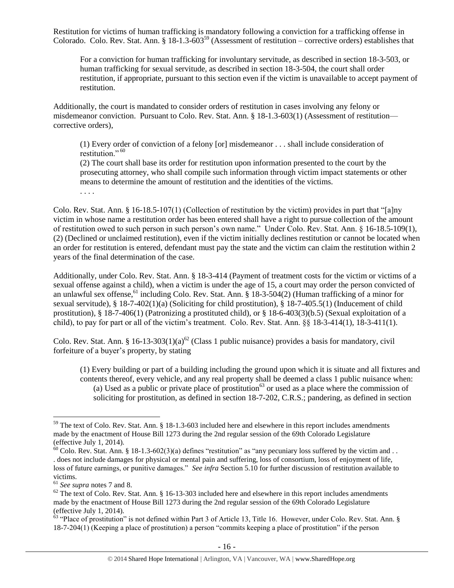Restitution for victims of human trafficking is mandatory following a conviction for a trafficking offense in Colorado. Colo. Rev. Stat. Ann. § 18-1.3-603<sup>59</sup> (Assessment of restitution – corrective orders) establishes that

<span id="page-15-0"></span>For a conviction for human trafficking for involuntary servitude, as described in section 18-3-503, or human trafficking for sexual servitude, as described in section 18-3-504, the court shall order restitution, if appropriate, pursuant to this section even if the victim is unavailable to accept payment of restitution.

Additionally, the court is mandated to consider orders of restitution in cases involving any felony or misdemeanor conviction. Pursuant to Colo. Rev. Stat. Ann. § 18-1.3-603(1) (Assessment of restitution corrective orders),

(1) Every order of conviction of a felony [or] misdemeanor . . . shall include consideration of restitution."<sup>60</sup>

<span id="page-15-1"></span>(2) The court shall base its order for restitution upon information presented to the court by the prosecuting attorney, who shall compile such information through victim impact statements or other means to determine the amount of restitution and the identities of the victims.

. . . .

Colo. Rev. Stat. Ann. § 16-18.5-107(1) (Collection of restitution by the victim) provides in part that "[a]ny victim in whose name a restitution order has been entered shall have a right to pursue collection of the amount of restitution owed to such person in such person's own name." Under Colo. Rev. Stat. Ann. § 16-18.5-109(1), (2) (Declined or unclaimed restitution), even if the victim initially declines restitution or cannot be located when an order for restitution is entered, defendant must pay the state and the victim can claim the restitution within 2 years of the final determination of the case.

Additionally, under Colo. Rev. Stat. Ann. § 18-3-414 (Payment of treatment costs for the victim or victims of a sexual offense against a child), when a victim is under the age of 15, a court may order the person convicted of an unlawful sex offense,<sup>61</sup> including Colo. Rev. Stat. Ann.  $\S$  18-3-504(2) (Human trafficking of a minor for sexual servitude), § 18-7-402(1)(a) (Soliciting for child prostitution), § 18-7-405.5(1) (Inducement of child prostitution), § 18-7-406(1) (Patronizing a prostituted child), or § 18-6-403(3)(b.5) (Sexual exploitation of a child), to pay for part or all of the victim's treatment. Colo. Rev. Stat. Ann. §§ 18-3-414(1), 18-3-411(1).

Colo. Rev. Stat. Ann. § 16-13-303(1)(a)<sup>62</sup> (Class 1 public nuisance) provides a basis for mandatory, civil forfeiture of a buyer's property, by stating

<span id="page-15-2"></span>(1) Every building or part of a building including the ground upon which it is situate and all fixtures and contents thereof, every vehicle, and any real property shall be deemed a class 1 public nuisance when: (a) Used as a public or private place of prostitution<sup>63</sup> or used as a place where the commission of soliciting for prostitution, as defined in section 18-7-202, C.R.S.; pandering, as defined in section

 $59$  The text of Colo. Rev. Stat. Ann. § 18-1.3-603 included here and elsewhere in this report includes amendments made by the enactment of House Bill 1273 during the 2nd regular session of the 69th Colorado Legislature (effective July 1, 2014).

 $60$  Colo. Rev. Stat. Ann. § 18-1.3-602(3)(a) defines "restitution" as "any pecuniary loss suffered by the victim and ... . does not include damages for physical or mental pain and suffering, loss of consortium, loss of enjoyment of life, loss of future earnings, or punitive damages." *See infra* Section 5.10 for further discussion of restitution available to victims.

<sup>61</sup> *See supra* notes [7](#page-1-0) an[d 8.](#page-2-0)

 $62$  The text of Colo. Rev. Stat. Ann. § 16-13-303 included here and elsewhere in this report includes amendments made by the enactment of House Bill 1273 during the 2nd regular session of the 69th Colorado Legislature (effective July 1, 2014).

 $63$  "Place of prostitution" is not defined within Part 3 of Article 13, Title 16. However, under Colo. Rev. Stat. Ann. § 18-7-204(1) (Keeping a place of prostitution) a person "commits keeping a place of prostitution" if the person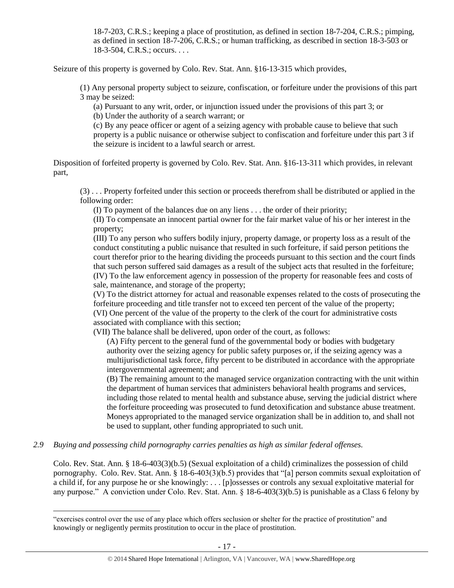18-7-203, C.R.S.; keeping a place of prostitution, as defined in section 18-7-204, C.R.S.; pimping, as defined in section 18-7-206, C.R.S.; or human trafficking, as described in section 18-3-503 or 18-3-504, C.R.S.; occurs. . . .

Seizure of this property is governed by Colo. Rev. Stat. Ann. §16-13-315 which provides,

(1) Any personal property subject to seizure, confiscation, or forfeiture under the provisions of this part 3 may be seized:

(a) Pursuant to any writ, order, or injunction issued under the provisions of this part 3; or

(b) Under the authority of a search warrant; or

(c) By any peace officer or agent of a seizing agency with probable cause to believe that such property is a public nuisance or otherwise subject to confiscation and forfeiture under this part 3 if the seizure is incident to a lawful search or arrest.

Disposition of forfeited property is governed by Colo. Rev. Stat. Ann. §16-13-311 which provides, in relevant part,

(3) . . . Property forfeited under this section or proceeds therefrom shall be distributed or applied in the following order:

(I) To payment of the balances due on any liens . . . the order of their priority;

(II) To compensate an innocent partial owner for the fair market value of his or her interest in the property;

(III) To any person who suffers bodily injury, property damage, or property loss as a result of the conduct constituting a public nuisance that resulted in such forfeiture, if said person petitions the court therefor prior to the hearing dividing the proceeds pursuant to this section and the court finds that such person suffered said damages as a result of the subject acts that resulted in the forfeiture; (IV) To the law enforcement agency in possession of the property for reasonable fees and costs of sale, maintenance, and storage of the property;

(V) To the district attorney for actual and reasonable expenses related to the costs of prosecuting the forfeiture proceeding and title transfer not to exceed ten percent of the value of the property; (VI) One percent of the value of the property to the clerk of the court for administrative costs associated with compliance with this section;

(VII) The balance shall be delivered, upon order of the court, as follows:

(A) Fifty percent to the general fund of the governmental body or bodies with budgetary authority over the seizing agency for public safety purposes or, if the seizing agency was a multijurisdictional task force, fifty percent to be distributed in accordance with the appropriate intergovernmental agreement; and

(B) The remaining amount to the managed service organization contracting with the unit within the department of human services that administers behavioral health programs and services, including those related to mental health and substance abuse, serving the judicial district where the forfeiture proceeding was prosecuted to fund detoxification and substance abuse treatment. Moneys appropriated to the managed service organization shall be in addition to, and shall not be used to supplant, other funding appropriated to such unit.

*2.9 Buying and possessing child pornography carries penalties as high as similar federal offenses.*

 $\overline{a}$ 

Colo. Rev. Stat. Ann. § 18-6-403(3)(b.5) (Sexual exploitation of a child) criminalizes the possession of child pornography. Colo. Rev. Stat. Ann. § 18-6-403(3)(b.5) provides that "[a] person commits sexual exploitation of a child if, for any purpose he or she knowingly: . . . [p]ossesses or controls any sexual exploitative material for any purpose." A conviction under Colo. Rev. Stat. Ann. § 18-6-403(3)(b.5) is punishable as a Class 6 felony by

<sup>&</sup>quot;exercises control over the use of any place which offers seclusion or shelter for the practice of prostitution" and knowingly or negligently permits prostitution to occur in the place of prostitution.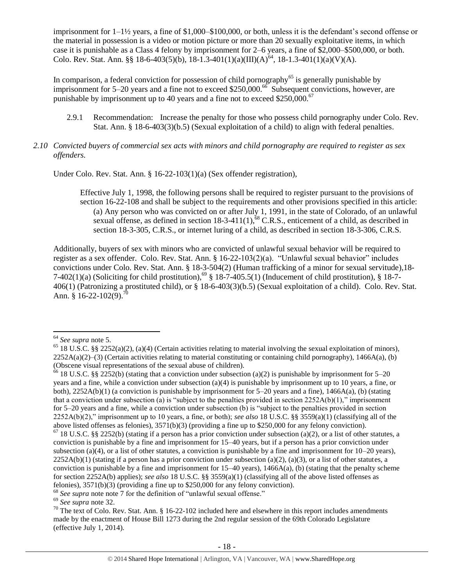imprisonment for 1–1½ years, a fine of \$1,000–\$100,000, or both, unless it is the defendant's second offense or the material in possession is a video or motion picture or more than 20 sexually exploitative items, in which case it is punishable as a Class 4 felony by imprisonment for 2–6 years, a fine of \$2,000–\$500,000, or both. Colo. Rev. Stat. Ann. §§ 18-6-403(5)(b), 18-1.3-401(1)(a)(III)(A)<sup>64</sup>, 18-1.3-401(1)(a)(V)(A).

In comparison, a federal conviction for possession of child pornography<sup> $65$ </sup> is generally punishable by imprisonment for 5–20 years and a fine not to exceed \$250,000.<sup>66</sup> Subsequent convictions, however, are punishable by imprisonment up to 40 years and a fine not to exceed \$250,000. $^{67}$ 

- 2.9.1 Recommendation: Increase the penalty for those who possess child pornography under Colo. Rev. Stat. Ann. § 18-6-403(3)(b.5) (Sexual exploitation of a child) to align with federal penalties.
- *2.10 Convicted buyers of commercial sex acts with minors and child pornography are required to register as sex offenders.*

Under Colo. Rev. Stat. Ann. § 16-22-103(1)(a) (Sex offender registration),

Effective July 1, 1998, the following persons shall be required to register pursuant to the provisions of section 16-22-108 and shall be subject to the requirements and other provisions specified in this article: (a) Any person who was convicted on or after July 1, 1991, in the state of Colorado, of an unlawful sexual offense, as defined in section  $18-3-411(1)$ ,  $^{68}$  C.R.S., enticement of a child, as described in section 18-3-305, C.R.S., or internet luring of a child, as described in section 18-3-306, C.R.S.

Additionally, buyers of sex with minors who are convicted of unlawful sexual behavior will be required to register as a sex offender. Colo. Rev. Stat. Ann. § 16-22-103(2)(a). "Unlawful sexual behavior" includes convictions under Colo. Rev. Stat. Ann. § 18-3-504(2) (Human trafficking of a minor for sexual servitude),18- 7-402(1)(a) (Soliciting for child prostitution),<sup>69</sup> § 18-7-405.5(1) (Inducement of child prostitution), § 18-7-406(1) (Patronizing a prostituted child), or § 18-6-403(3)(b.5) (Sexual exploitation of a child). Colo. Rev. Stat. Ann. § 16-22-102(9).<sup>70</sup>

<span id="page-17-0"></span><sup>64</sup> *See supra* note [5.](#page-1-1)

<sup>&</sup>lt;sup>65</sup> 18 U.S.C. §§ 2252(a)(2), (a)(4) (Certain activities relating to material involving the sexual exploitation of minors),  $2252A(a)(2)$ –(3) (Certain activities relating to material constituting or containing child pornography), 1466A(a), (b) (Obscene visual representations of the sexual abuse of children).

 $66$  18 U.S.C. §§ 2252(b) (stating that a conviction under subsection (a)(2) is punishable by imprisonment for 5–20 years and a fine, while a conviction under subsection (a)(4) is punishable by imprisonment up to 10 years, a fine, or both),  $2252A(b)(1)$  (a conviction is punishable by imprisonment for 5–20 years and a fine),  $1466A(a)$ , (b) (stating that a conviction under subsection (a) is "subject to the penalties provided in section  $2252A(b)(1)$ ," imprisonment for 5–20 years and a fine, while a conviction under subsection (b) is "subject to the penalties provided in section 2252A(b)(2)," imprisonment up to 10 years, a fine, or both); *see also* 18 U.S.C. §§ 3559(a)(1) (classifying all of the above listed offenses as felonies), 3571(b)(3) (providing a fine up to \$250,000 for any felony conviction).

 $67$  18 U.S.C. §§ 2252(b) (stating if a person has a prior conviction under subsection (a)(2), or a list of other statutes, a conviction is punishable by a fine and imprisonment for 15–40 years, but if a person has a prior conviction under subsection (a)(4), or a list of other statutes, a conviction is punishable by a fine and imprisonment for  $10-20$  years),  $2252A(b)(1)$  (stating if a person has a prior conviction under subsection (a)(2), (a)(3), or a list of other statutes, a conviction is punishable by a fine and imprisonment for  $15-40$  years),  $1466A(a)$ , (b) (stating that the penalty scheme for section 2252A(b) applies); *see also* 18 U.S.C. §§ 3559(a)(1) (classifying all of the above listed offenses as felonies), 3571(b)(3) (providing a fine up to \$250,000 for any felony conviction).

<sup>&</sup>lt;sup>68</sup> See supra note note 7 for the definition of "unlawful sexual offense."

<sup>69</sup> *See supra* note [32.](#page-11-0)

 $70$  The text of Colo. Rev. Stat. Ann. § 16-22-102 included here and elsewhere in this report includes amendments made by the enactment of House Bill 1273 during the 2nd regular session of the 69th Colorado Legislature (effective July 1, 2014).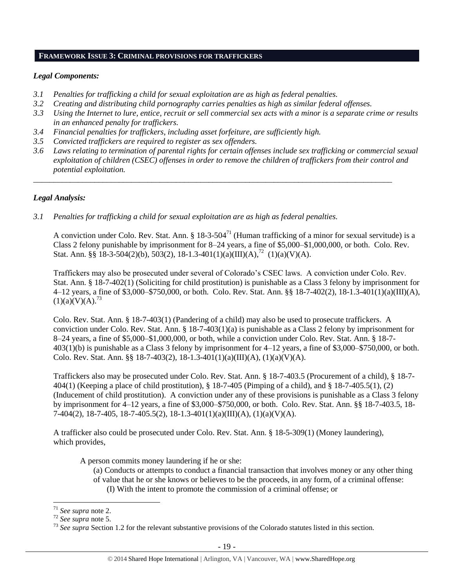#### **FRAMEWORK ISSUE 3: CRIMINAL PROVISIONS FOR TRAFFICKERS**

## *Legal Components:*

- *3.1 Penalties for trafficking a child for sexual exploitation are as high as federal penalties.*
- *3.2 Creating and distributing child pornography carries penalties as high as similar federal offenses.*
- *3.3 Using the Internet to lure, entice, recruit or sell commercial sex acts with a minor is a separate crime or results in an enhanced penalty for traffickers.*
- *3.4 Financial penalties for traffickers, including asset forfeiture, are sufficiently high.*
- *3.5 Convicted traffickers are required to register as sex offenders.*
- *3.6 Laws relating to termination of parental rights for certain offenses include sex trafficking or commercial sexual exploitation of children (CSEC) offenses in order to remove the children of traffickers from their control and potential exploitation.*

*\_\_\_\_\_\_\_\_\_\_\_\_\_\_\_\_\_\_\_\_\_\_\_\_\_\_\_\_\_\_\_\_\_\_\_\_\_\_\_\_\_\_\_\_\_\_\_\_\_\_\_\_\_\_\_\_\_\_\_\_\_\_\_\_\_\_\_\_\_\_\_\_\_\_\_\_\_\_\_\_\_\_\_\_\_\_\_\_*

## *Legal Analysis:*

*3.1 Penalties for trafficking a child for sexual exploitation are as high as federal penalties.* 

A conviction under Colo. Rev. Stat. Ann. § 18-3-504<sup>71</sup> (Human trafficking of a minor for sexual servitude) is a Class 2 felony punishable by imprisonment for 8–24 years, a fine of \$5,000–\$1,000,000, or both. Colo. Rev. Stat. Ann. §§ 18-3-504(2)(b), 503(2), 18-1.3-401(1)(a)(III)(A),<sup>72</sup> (1)(a)(V)(A).

Traffickers may also be prosecuted under several of Colorado's CSEC laws. A conviction under Colo. Rev. Stat. Ann. § 18-7-402(1) (Soliciting for child prostitution) is punishable as a Class 3 felony by imprisonment for 4–12 years, a fine of \$3,000–\$750,000, or both. Colo. Rev. Stat. Ann. §§ 18-7-402(2), 18-1.3-401(1)(a)(III)(A),  $(1)(a)(V)(A).^{73}$ 

Colo. Rev. Stat. Ann. § 18-7-403(1) (Pandering of a child) may also be used to prosecute traffickers. A conviction under Colo. Rev. Stat. Ann. § 18-7-403(1)(a) is punishable as a Class 2 felony by imprisonment for 8–24 years, a fine of \$5,000–\$1,000,000, or both, while a conviction under Colo. Rev. Stat. Ann. § 18-7- 403(1)(b) is punishable as a Class 3 felony by imprisonment for 4–12 years, a fine of \$3,000–\$750,000, or both. Colo. Rev. Stat. Ann. §§ 18-7-403(2), 18-1.3-401(1)(a)(III)(A), (1)(a)(V)(A).

Traffickers also may be prosecuted under Colo. Rev. Stat. Ann. § 18-7-403.5 (Procurement of a child), § 18-7- 404(1) (Keeping a place of child prostitution), § 18-7-405 (Pimping of a child), and § 18-7-405.5(1), (2) (Inducement of child prostitution). A conviction under any of these provisions is punishable as a Class 3 felony by imprisonment for 4–12 years, a fine of \$3,000–\$750,000, or both. Colo. Rev. Stat. Ann. §§ 18-7-403.5, 18- 7-404(2), 18-7-405, 18-7-405.5(2), 18-1.3-401(1)(a)(III)(A), (1)(a)(V)(A).

A trafficker also could be prosecuted under Colo. Rev. Stat. Ann. § 18-5-309(1) (Money laundering), which provides,

A person commits money laundering if he or she:

(a) Conducts or attempts to conduct a financial transaction that involves money or any other thing of value that he or she knows or believes to be the proceeds, in any form, of a criminal offense: (I) With the intent to promote the commission of a criminal offense; or

<sup>71</sup> *See supra* note [2.](#page-0-0)

<sup>72</sup> *See supra* note [5.](#page-1-1)

<sup>&</sup>lt;sup>73</sup> See supra Section 1.2 for the relevant substantive provisions of the Colorado statutes listed in this section.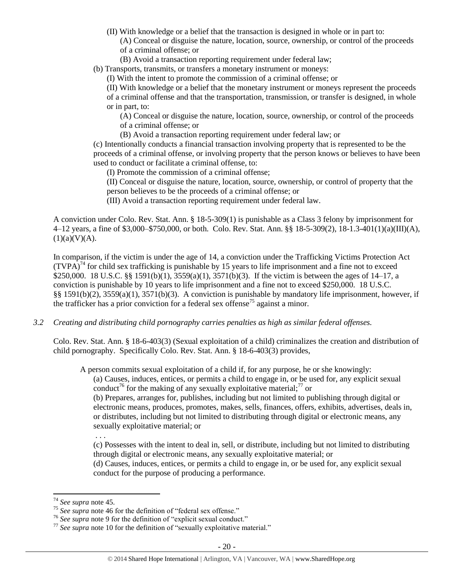- (II) With knowledge or a belief that the transaction is designed in whole or in part to:
	- (A) Conceal or disguise the nature, location, source, ownership, or control of the proceeds of a criminal offense; or
- (B) Avoid a transaction reporting requirement under federal law;

(b) Transports, transmits, or transfers a monetary instrument or moneys:

(I) With the intent to promote the commission of a criminal offense; or

(II) With knowledge or a belief that the monetary instrument or moneys represent the proceeds of a criminal offense and that the transportation, transmission, or transfer is designed, in whole or in part, to:

(A) Conceal or disguise the nature, location, source, ownership, or control of the proceeds of a criminal offense; or

(B) Avoid a transaction reporting requirement under federal law; or

(c) Intentionally conducts a financial transaction involving property that is represented to be the proceeds of a criminal offense, or involving property that the person knows or believes to have been used to conduct or facilitate a criminal offense, to:

(I) Promote the commission of a criminal offense;

(II) Conceal or disguise the nature, location, source, ownership, or control of property that the person believes to be the proceeds of a criminal offense; or

(III) Avoid a transaction reporting requirement under federal law.

A conviction under Colo. Rev. Stat. Ann. § 18-5-309(1) is punishable as a Class 3 felony by imprisonment for 4–12 years, a fine of \$3,000–\$750,000, or both. Colo. Rev. Stat. Ann. §§ 18-5-309(2), 18-1.3-401(1)(a)(III)(A),  $(1)(a)(V)(A).$ 

In comparison, if the victim is under the age of 14, a conviction under the Trafficking Victims Protection Act  $(TVPA)<sup>74</sup>$  for child sex trafficking is punishable by 15 years to life imprisonment and a fine not to exceed \$250,000. 18 U.S.C. §§ 1591(b)(1), 3559(a)(1), 3571(b)(3). If the victim is between the ages of 14–17, a conviction is punishable by 10 years to life imprisonment and a fine not to exceed \$250,000. 18 U.S.C. §§ 1591(b)(2), 3559(a)(1), 3571(b)(3). A conviction is punishable by mandatory life imprisonment, however, if the trafficker has a prior conviction for a federal sex offense<sup>75</sup> against a minor.

*3.2 Creating and distributing child pornography carries penalties as high as similar federal offenses.*

Colo. Rev. Stat. Ann. § 18-6-403(3) (Sexual exploitation of a child) criminalizes the creation and distribution of child pornography. Specifically Colo. Rev. Stat. Ann. § 18-6-403(3) provides,

A person commits sexual exploitation of a child if, for any purpose, he or she knowingly:

(a) Causes, induces, entices, or permits a child to engage in, or be used for, any explicit sexual conduct<sup>76</sup> for the making of any sexually exploitative material;<sup>77</sup> or

(b) Prepares, arranges for, publishes, including but not limited to publishing through digital or electronic means, produces, promotes, makes, sells, finances, offers, exhibits, advertises, deals in, or distributes, including but not limited to distributing through digital or electronic means, any sexually exploitative material; or

. . .

(c) Possesses with the intent to deal in, sell, or distribute, including but not limited to distributing through digital or electronic means, any sexually exploitative material; or

(d) Causes, induces, entices, or permits a child to engage in, or be used for, any explicit sexual conduct for the purpose of producing a performance.

<sup>74</sup> *See supra* note [45.](#page-12-0) 

<sup>75</sup> *See supra* note [46](#page-12-1) for the definition of "federal sex offense."

<sup>76</sup> *See supra* note [9](#page-2-1) for the definition of "explicit sexual conduct."

<sup>&</sup>lt;sup>77</sup> See supra note [10](#page-2-2) for the definition of "sexually exploitative material."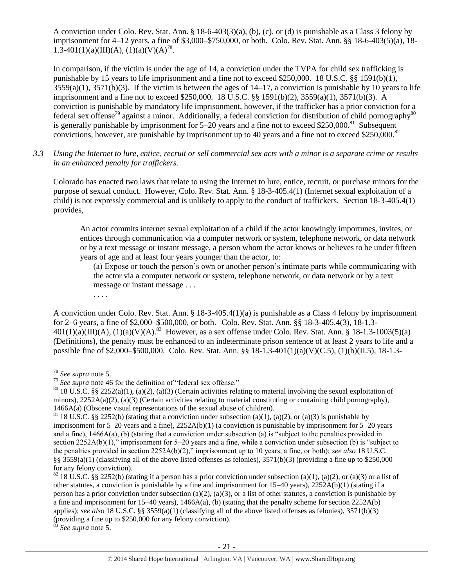A conviction under Colo. Rev. Stat. Ann. § 18-6-403(3)(a), (b), (c), or (d) is punishable as a Class 3 felony by imprisonment for 4–12 years, a fine of \$3,000–\$750,000, or both. Colo. Rev. Stat. Ann. §§ 18-6-403(5)(a), 18-  $1.\overline{3}\cdot401(1)(a)(III)(A), (1)(a)(V)(A)^{78}.$ 

In comparison, if the victim is under the age of 14, a conviction under the TVPA for child sex trafficking is punishable by 15 years to life imprisonment and a fine not to exceed \$250,000. 18 U.S.C. §§ 1591(b)(1),  $3559(a)(1)$ ,  $3571(b)(3)$ . If the victim is between the ages of  $14-17$ , a conviction is punishable by 10 years to life imprisonment and a fine not to exceed \$250,000. 18 U.S.C. §§ 1591(b)(2), 3559(a)(1), 3571(b)(3). A conviction is punishable by mandatory life imprisonment, however, if the trafficker has a prior conviction for a federal sex offense<sup>79</sup> against a minor. Additionally, a federal conviction for distribution of child pornography<sup>80</sup> is generally punishable by imprisonment for  $5-20$  years and a fine not to exceed \$250,000.<sup>81</sup> Subsequent convictions, however, are punishable by imprisonment up to 40 years and a fine not to exceed \$250,000.<sup>82</sup>

*3.3 Using the Internet to lure, entice, recruit or sell commercial sex acts with a minor is a separate crime or results in an enhanced penalty for traffickers.*

Colorado has enacted two laws that relate to using the Internet to lure, entice, recruit, or purchase minors for the purpose of sexual conduct. However, Colo. Rev. Stat. Ann. § 18-3-405.4(1) (Internet sexual exploitation of a child) is not expressly commercial and is unlikely to apply to the conduct of traffickers. Section 18-3-405.4(1) provides,

An actor commits internet sexual exploitation of a child if the actor knowingly importunes, invites, or entices through communication via a computer network or system, telephone network, or data network or by a text message or instant message, a person whom the actor knows or believes to be under fifteen years of age and at least four years younger than the actor, to:

(a) Expose or touch the person's own or another person's intimate parts while communicating with the actor via a computer network or system, telephone network, or data network or by a text message or instant message . . .

. . . .

A conviction under Colo. Rev. Stat. Ann. § 18-3-405.4(1)(a) is punishable as a Class 4 felony by imprisonment for 2–6 years, a fine of \$2,000–\$500,000, or both. Colo. Rev. Stat. Ann. §§ 18-3-405.4(3), 18-1.3-  $401(1)(a)(III)(A), (1)(a)(V)(A).^{83}$  However, as a sex offense under Colo. Rev. Stat. Ann. § 18-1.3-1003(5)(a) (Definitions), the penalty must be enhanced to an indeterminate prison sentence of at least 2 years to life and a possible fine of \$2,000–\$500,000. Colo. Rev. Stat. Ann. §§ 18-1.3-401(1)(a)(V)(C.5), (1)(b)(II.5), 18-1.3-

 $\overline{\phantom{a}}$ 

<sup>83</sup> *See supra* note [5.](#page-1-1)

<sup>78</sup> *See supra* note [5.](#page-1-1)

<sup>79</sup> *See supra* note [46](#page-12-1) for the definition of "federal sex offense."

<sup>&</sup>lt;sup>80</sup> 18 U.S.C. §§ 2252(a)(1), (a)(2), (a)(3) (Certain activities relating to material involving the sexual exploitation of minors),  $2252A(a)(2)$ , (a)(3) (Certain activities relating to material constituting or containing child pornography), 1466A(a) (Obscene visual representations of the sexual abuse of children).

<sup>&</sup>lt;sup>81</sup> 18 U.S.C. §§ 2252(b) (stating that a conviction under subsection (a)(1), (a)(2), or (a)(3) is punishable by imprisonment for 5–20 years and a fine), 2252A(b)(1) (a conviction is punishable by imprisonment for 5–20 years and a fine), 1466A(a), (b) (stating that a conviction under subsection (a) is "subject to the penalties provided in section 2252A(b)(1)," imprisonment for 5–20 years and a fine, while a conviction under subsection (b) is "subject to the penalties provided in section 2252A(b)(2)," imprisonment up to 10 years, a fine, or both); *see also* 18 U.S.C. §§ 3559(a)(1) (classifying all of the above listed offenses as felonies),  $3571(b)(3)$  (providing a fine up to \$250,000 for any felony conviction).

<sup>&</sup>lt;sup>82</sup> 18 U.S.C. §§ 2252(b) (stating if a person has a prior conviction under subsection (a)(1), (a)(2), or (a)(3) or a list of other statutes, a conviction is punishable by a fine and imprisonment for 15–40 years), 2252A(b)(1) (stating if a person has a prior conviction under subsection (a)(2), (a)(3), or a list of other statutes, a conviction is punishable by a fine and imprisonment for 15–40 years), 1466A(a), (b) (stating that the penalty scheme for section 2252A(b) applies); *see also* 18 U.S.C. §§ 3559(a)(1) (classifying all of the above listed offenses as felonies), 3571(b)(3) (providing a fine up to \$250,000 for any felony conviction).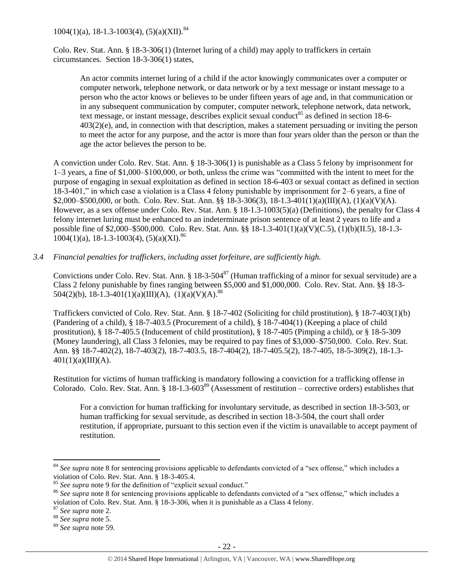$1004(1)(a)$ , 18-1.3-1003(4), (5)(a)(XII).<sup>84</sup>

Colo. Rev. Stat. Ann. § 18-3-306(1) (Internet luring of a child) may apply to traffickers in certain circumstances. Section 18-3-306(1) states,

An actor commits internet luring of a child if the actor knowingly communicates over a computer or computer network, telephone network, or data network or by a text message or instant message to a person who the actor knows or believes to be under fifteen years of age and, in that communication or in any subsequent communication by computer, computer network, telephone network, data network, text message, or instant message, describes explicit sexual conduct<sup>85</sup> as defined in section 18-6-403(2)(e), and, in connection with that description, makes a statement persuading or inviting the person to meet the actor for any purpose, and the actor is more than four years older than the person or than the age the actor believes the person to be.

A conviction under Colo. Rev. Stat. Ann. § 18-3-306(1) is punishable as a Class 5 felony by imprisonment for 1–3 years, a fine of \$1,000–\$100,000, or both, unless the crime was "committed with the intent to meet for the purpose of engaging in sexual exploitation as defined in section 18-6-403 or sexual contact as defined in section 18-3-401," in which case a violation is a Class 4 felony punishable by imprisonment for 2–6 years, a fine of \$2,000–\$500,000, or both. Colo. Rev. Stat. Ann. §§ 18-3-306(3), 18-1.3-401(1)(a)(III)(A), (1)(a)(V)(A). However, as a sex offense under Colo. Rev. Stat. Ann. § 18-1.3-1003(5)(a) (Definitions), the penalty for Class 4 felony internet luring must be enhanced to an indeterminate prison sentence of at least 2 years to life and a possible fine of \$2,000–\$500,000. Colo. Rev. Stat. Ann. §§ 18-1.3-401(1)(a)(V)(C.5), (1)(b)(II.5), 18-1.3-  $1004(1)(a)$ , 18-1.3-1003(4), (5)(a)(XI).<sup>86</sup>

*3.4 Financial penalties for traffickers, including asset forfeiture, are sufficiently high.*

Convictions under Colo. Rev. Stat. Ann. § 18-3-504<sup>87</sup> (Human trafficking of a minor for sexual servitude) are a Class 2 felony punishable by fines ranging between \$5,000 and \$1,000,000. Colo. Rev. Stat. Ann. §§ 18-3- 504(2)(b), 18-1.3-401(1)(a)(III)(A), (1)(a)(V)(A).<sup>88</sup>

Traffickers convicted of Colo. Rev. Stat. Ann. § 18-7-402 (Soliciting for child prostitution), § 18-7-403(1)(b) (Pandering of a child), § 18-7-403.5 (Procurement of a child), § 18-7-404(1) (Keeping a place of child prostitution), § 18-7-405.5 (Inducement of child prostitution), § 18-7-405 (Pimping a child), or § 18-5-309 (Money laundering), all Class 3 felonies, may be required to pay fines of \$3,000–\$750,000. Colo. Rev. Stat. Ann. §§ 18-7-402(2), 18-7-403(2), 18-7-403.5, 18-7-404(2), 18-7-405.5(2), 18-7-405, 18-5-309(2), 18-1.3-  $401(1)(a)(III)(A).$ 

Restitution for victims of human trafficking is mandatory following a conviction for a trafficking offense in Colorado. Colo. Rev. Stat. Ann. § 18-1.3-603<sup>89</sup> (Assessment of restitution – corrective orders) establishes that

For a conviction for human trafficking for involuntary servitude, as described in section 18-3-503, or human trafficking for sexual servitude, as described in section 18-3-504, the court shall order restitution, if appropriate, pursuant to this section even if the victim is unavailable to accept payment of restitution.

 $\overline{a}$ 

<sup>&</sup>lt;sup>84</sup> See supra note [8](#page-2-0) for sentencing provisions applicable to defendants convicted of a "sex offense," which includes a violation of Colo. Rev. Stat. Ann. § 18-3-405.4.

<sup>85</sup> *See supra* note [9](#page-2-1) for the definition of "explicit sexual conduct."

<sup>&</sup>lt;sup>86</sup> See supra note [8](#page-2-0) for sentencing provisions applicable to defendants convicted of a "sex offense," which includes a violation of Colo. Rev. Stat. Ann. § 18-3-306, when it is punishable as a Class 4 felony.

<sup>87</sup> *See supra* note [2.](#page-0-0)

<sup>88</sup> *See supra* note [5.](#page-1-1)

<sup>89</sup> *See supra* note [59.](#page-15-0)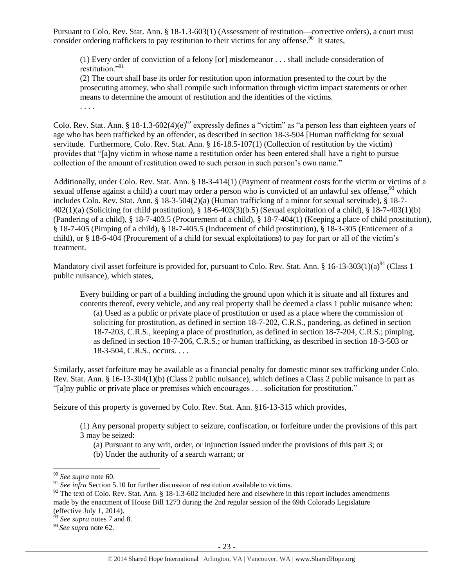Pursuant to Colo. Rev. Stat. Ann. § 18-1.3-603(1) (Assessment of restitution—corrective orders), a court must consider ordering traffickers to pay restitution to their victims for any offense.<sup>90</sup> It states,

(1) Every order of conviction of a felony [or] misdemeanor . . . shall include consideration of restitution<sup>"91</sup>

(2) The court shall base its order for restitution upon information presented to the court by the prosecuting attorney, who shall compile such information through victim impact statements or other means to determine the amount of restitution and the identities of the victims.

<span id="page-22-0"></span>. . . .

Colo. Rev. Stat. Ann. § 18-1.3-602(4)(e)<sup>92</sup> expressly defines a "victim" as "a person less than eighteen years of age who has been trafficked by an offender, as described in section 18-3-504 [Human trafficking for sexual servitude. Furthermore, Colo. Rev. Stat. Ann. § 16-18.5-107(1) (Collection of restitution by the victim) provides that "[a]ny victim in whose name a restitution order has been entered shall have a right to pursue collection of the amount of restitution owed to such person in such person's own name."

Additionally, under Colo. Rev. Stat. Ann. § 18-3-414(1) (Payment of treatment costs for the victim or victims of a sexual offense against a child) a court may order a person who is convicted of an unlawful sex offense,<sup>93</sup> which includes Colo. Rev. Stat. Ann. § 18-3-504(2)(a) (Human trafficking of a minor for sexual servitude), § 18-7- 402(1)(a) (Soliciting for child prostitution), § 18-6-403(3)(b.5) (Sexual exploitation of a child), § 18-7-403(1)(b) (Pandering of a child), § 18-7-403.5 (Procurement of a child), § 18-7-404(1) (Keeping a place of child prostitution), § 18-7-405 (Pimping of a child), § 18-7-405.5 (Inducement of child prostitution), § 18-3-305 (Enticement of a child), or § 18-6-404 (Procurement of a child for sexual exploitations) to pay for part or all of the victim's treatment.

Mandatory civil asset forfeiture is provided for, pursuant to Colo. Rev. Stat. Ann. § 16-13-303(1)(a)<sup>94</sup> (Class 1 public nuisance), which states,

Every building or part of a building including the ground upon which it is situate and all fixtures and contents thereof, every vehicle, and any real property shall be deemed a class 1 public nuisance when: (a) Used as a public or private place of prostitution or used as a place where the commission of soliciting for prostitution, as defined in section 18-7-202, C.R.S., pandering, as defined in section 18-7-203, C.R.S., keeping a place of prostitution, as defined in section 18-7-204, C.R.S.; pimping, as defined in section 18-7-206, C.R.S.; or human trafficking, as described in section 18-3-503 or 18-3-504, C.R.S., occurs. . . .

Similarly, asset forfeiture may be available as a financial penalty for domestic minor sex trafficking under Colo. Rev. Stat. Ann. § 16-13-304(1)(b) (Class 2 public nuisance), which defines a Class 2 public nuisance in part as "[a]ny public or private place or premises which encourages . . . solicitation for prostitution."

Seizure of this property is governed by Colo. Rev. Stat. Ann. §16-13-315 which provides,

(1) Any personal property subject to seizure, confiscation, or forfeiture under the provisions of this part 3 may be seized:

(a) Pursuant to any writ, order, or injunction issued under the provisions of this part 3; or

(b) Under the authority of a search warrant; or

<sup>90</sup> *See supra* note [60.](#page-15-1)

<sup>&</sup>lt;sup>91</sup> *See infra* Section 5.10 for further discussion of restitution available to victims.

 $92$  The text of Colo. Rev. Stat. Ann. § 18-1.3-602 included here and elsewhere in this report includes amendments made by the enactment of House Bill 1273 during the 2nd regular session of the 69th Colorado Legislature (effective July 1, 2014).

<sup>&</sup>lt;sup>93</sup> See supra notes [7](#page-1-0) an[d 8.](#page-2-0)

<sup>94</sup> *See supra* not[e 62.](#page-15-2)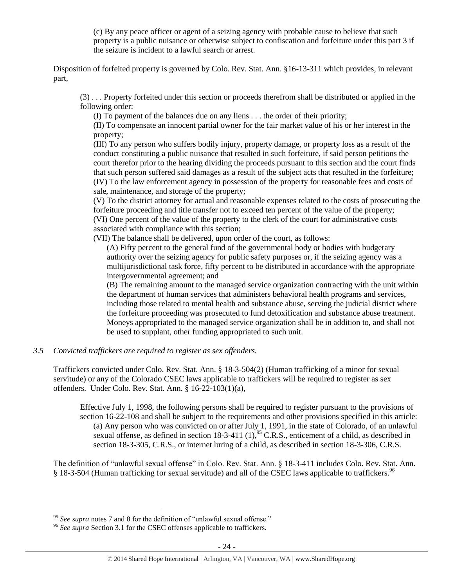(c) By any peace officer or agent of a seizing agency with probable cause to believe that such property is a public nuisance or otherwise subject to confiscation and forfeiture under this part 3 if the seizure is incident to a lawful search or arrest.

Disposition of forfeited property is governed by Colo. Rev. Stat. Ann. §16-13-311 which provides, in relevant part,

(3) . . . Property forfeited under this section or proceeds therefrom shall be distributed or applied in the following order:

(I) To payment of the balances due on any liens . . . the order of their priority;

(II) To compensate an innocent partial owner for the fair market value of his or her interest in the property;

(III) To any person who suffers bodily injury, property damage, or property loss as a result of the conduct constituting a public nuisance that resulted in such forfeiture, if said person petitions the court therefor prior to the hearing dividing the proceeds pursuant to this section and the court finds that such person suffered said damages as a result of the subject acts that resulted in the forfeiture; (IV) To the law enforcement agency in possession of the property for reasonable fees and costs of sale, maintenance, and storage of the property;

(V) To the district attorney for actual and reasonable expenses related to the costs of prosecuting the forfeiture proceeding and title transfer not to exceed ten percent of the value of the property; (VI) One percent of the value of the property to the clerk of the court for administrative costs associated with compliance with this section;

(VII) The balance shall be delivered, upon order of the court, as follows:

(A) Fifty percent to the general fund of the governmental body or bodies with budgetary authority over the seizing agency for public safety purposes or, if the seizing agency was a multijurisdictional task force, fifty percent to be distributed in accordance with the appropriate intergovernmental agreement; and

(B) The remaining amount to the managed service organization contracting with the unit within the department of human services that administers behavioral health programs and services, including those related to mental health and substance abuse, serving the judicial district where the forfeiture proceeding was prosecuted to fund detoxification and substance abuse treatment. Moneys appropriated to the managed service organization shall be in addition to, and shall not be used to supplant, other funding appropriated to such unit.

*3.5 Convicted traffickers are required to register as sex offenders.*

Traffickers convicted under Colo. Rev. Stat. Ann. § 18-3-504(2) (Human trafficking of a minor for sexual servitude) or any of the Colorado CSEC laws applicable to traffickers will be required to register as sex offenders. Under Colo. Rev. Stat. Ann. § 16-22-103(1)(a),

Effective July 1, 1998, the following persons shall be required to register pursuant to the provisions of section 16-22-108 and shall be subject to the requirements and other provisions specified in this article: (a) Any person who was convicted on or after July 1, 1991, in the state of Colorado, of an unlawful sexual offense, as defined in section 18-3-411  $(1)$ , <sup>95</sup> C.R.S., enticement of a child, as described in section 18-3-305, C.R.S., or internet luring of a child, as described in section 18-3-306, C.R.S.

The definition of "unlawful sexual offense" in Colo. Rev. Stat. Ann. § 18-3-411 includes Colo. Rev. Stat. Ann. § 18-3-504 (Human trafficking for sexual servitude) and all of the CSEC laws applicable to traffickers.<sup>96</sup>

 $\overline{a}$ <sup>95</sup> See supra notes [7](#page-1-0) and [8](#page-2-0) for the definition of "unlawful sexual offense."

<sup>&</sup>lt;sup>96</sup> See supra Section 3.1 for the CSEC offenses applicable to traffickers.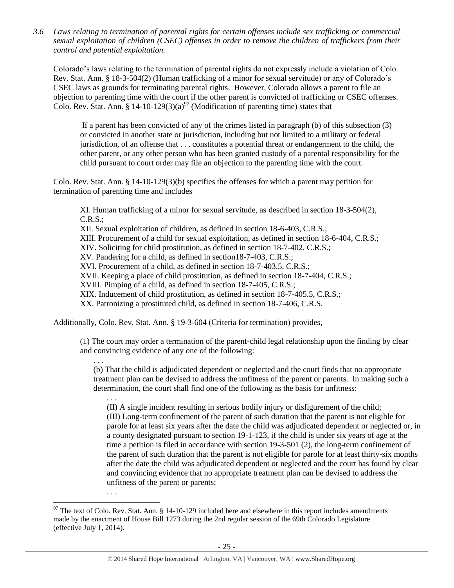*3.6 Laws relating to termination of parental rights for certain offenses include sex trafficking or commercial sexual exploitation of children (CSEC) offenses in order to remove the children of traffickers from their control and potential exploitation.* 

Colorado's laws relating to the termination of parental rights do not expressly include a violation of Colo. Rev. Stat. Ann. § 18-3-504(2) (Human trafficking of a minor for sexual servitude) or any of Colorado's CSEC laws as grounds for terminating parental rights. However, Colorado allows a parent to file an objection to parenting time with the court if the other parent is convicted of trafficking or CSEC offenses. Colo. Rev. Stat. Ann. § 14-10-129(3)(a)<sup>97</sup> (Modification of parenting time) states that

If a parent has been convicted of any of the crimes listed in paragraph (b) of this subsection (3) or convicted in another state or jurisdiction, including but not limited to a military or federal jurisdiction, of an offense that . . . constitutes a potential threat or endangerment to the child, the other parent, or any other person who has been granted custody of a parental responsibility for the child pursuant to court order may file an objection to the parenting time with the court.

Colo. Rev. Stat. Ann. § 14-10-129(3)(b) specifies the offenses for which a parent may petition for termination of parenting time and includes

XI. Human trafficking of a minor for sexual servitude, as described in section 18-3-504(2), C.R.S.; XII. Sexual exploitation of children, as defined in section 18-6-403, C.R.S.; XIII. Procurement of a child for sexual exploitation, as defined in section 18-6-404, C.R.S.; XIV. Soliciting for child prostitution, as defined in section 18-7-402, C.R.S.; XV. Pandering for a child, as defined in section18-7-403, C.R.S.; XVI. Procurement of a child, as defined in section 18-7-403.5, C.R.S.; XVII. Keeping a place of child prostitution, as defined in section 18-7-404, C.R.S.; XVIII. Pimping of a child, as defined in section 18-7-405, C.R.S.; XIX. Inducement of child prostitution, as defined in section 18-7-405.5, C.R.S.; XX. Patronizing a prostituted child, as defined in section 18-7-406, C.R.S.

Additionally, Colo. Rev. Stat. Ann. § 19-3-604 (Criteria for termination) provides,

(1) The court may order a termination of the parent-child legal relationship upon the finding by clear and convincing evidence of any one of the following:

(b) That the child is adjudicated dependent or neglected and the court finds that no appropriate treatment plan can be devised to address the unfitness of the parent or parents. In making such a determination, the court shall find one of the following as the basis for unfitness:

. . . (II) A single incident resulting in serious bodily injury or disfigurement of the child; (III) Long-term confinement of the parent of such duration that the parent is not eligible for parole for at least six years after the date the child was adjudicated dependent or neglected or, in a county designated pursuant to section 19-1-123, if the child is under six years of age at the time a petition is filed in accordance with section 19-3-501 (2), the long-term confinement of the parent of such duration that the parent is not eligible for parole for at least thirty-six months after the date the child was adjudicated dependent or neglected and the court has found by clear and convincing evidence that no appropriate treatment plan can be devised to address the unfitness of the parent or parents;

 $\overline{\phantom{a}}$ 

. . .

<sup>. . .</sup> 

 $97$  The text of Colo. Rev. Stat. Ann. § 14-10-129 included here and elsewhere in this report includes amendments made by the enactment of House Bill 1273 during the 2nd regular session of the 69th Colorado Legislature (effective July 1, 2014).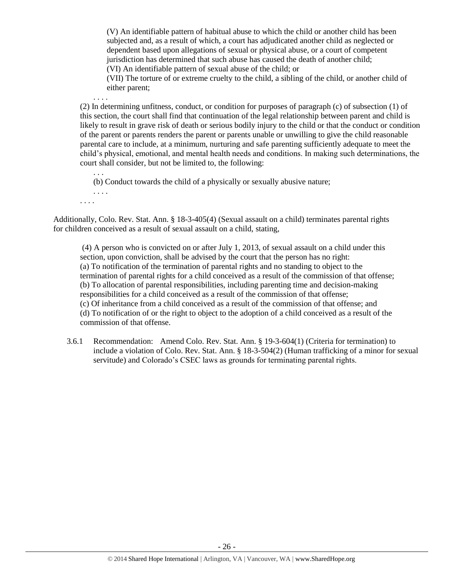(V) An identifiable pattern of habitual abuse to which the child or another child has been subjected and, as a result of which, a court has adjudicated another child as neglected or dependent based upon allegations of sexual or physical abuse, or a court of competent jurisdiction has determined that such abuse has caused the death of another child; (VI) An identifiable pattern of sexual abuse of the child; or

(VII) The torture of or extreme cruelty to the child, a sibling of the child, or another child of either parent;

(2) In determining unfitness, conduct, or condition for purposes of paragraph (c) of subsection (1) of this section, the court shall find that continuation of the legal relationship between parent and child is likely to result in grave risk of death or serious bodily injury to the child or that the conduct or condition of the parent or parents renders the parent or parents unable or unwilling to give the child reasonable parental care to include, at a minimum, nurturing and safe parenting sufficiently adequate to meet the child's physical, emotional, and mental health needs and conditions. In making such determinations, the court shall consider, but not be limited to, the following:

(b) Conduct towards the child of a physically or sexually abusive nature; . . . .

. . . .

. . . .

. . .

Additionally, Colo. Rev. Stat. Ann. § 18-3-405(4) (Sexual assault on a child) terminates parental rights for children conceived as a result of sexual assault on a child, stating,

(4) A person who is convicted on or after July 1, 2013, of sexual assault on a child under this section, upon conviction, shall be advised by the court that the person has no right: (a) To notification of the termination of parental rights and no standing to object to the termination of parental rights for a child conceived as a result of the commission of that offense; (b) To allocation of parental responsibilities, including parenting time and decision-making responsibilities for a child conceived as a result of the commission of that offense; (c) Of inheritance from a child conceived as a result of the commission of that offense; and (d) To notification of or the right to object to the adoption of a child conceived as a result of the commission of that offense.

3.6.1 Recommendation: Amend Colo. Rev. Stat. Ann. § 19-3-604(1) (Criteria for termination) to include a violation of Colo. Rev. Stat. Ann. § 18-3-504(2) (Human trafficking of a minor for sexual servitude) and Colorado's CSEC laws as grounds for terminating parental rights.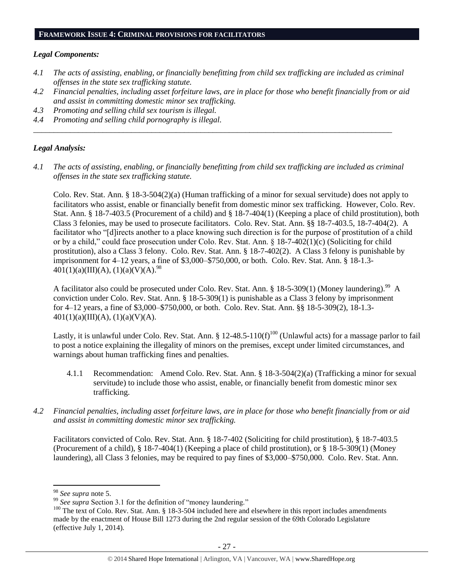#### **FRAMEWORK ISSUE 4: CRIMINAL PROVISIONS FOR FACILITATORS**

#### *Legal Components:*

- *4.1 The acts of assisting, enabling, or financially benefitting from child sex trafficking are included as criminal offenses in the state sex trafficking statute.*
- *4.2 Financial penalties, including asset forfeiture laws, are in place for those who benefit financially from or aid and assist in committing domestic minor sex trafficking.*
- *4.3 Promoting and selling child sex tourism is illegal.*
- *4.4 Promoting and selling child pornography is illegal.*

## *Legal Analysis:*

*4.1 The acts of assisting, enabling, or financially benefitting from child sex trafficking are included as criminal offenses in the state sex trafficking statute.*

*\_\_\_\_\_\_\_\_\_\_\_\_\_\_\_\_\_\_\_\_\_\_\_\_\_\_\_\_\_\_\_\_\_\_\_\_\_\_\_\_\_\_\_\_\_\_\_\_\_\_\_\_\_\_\_\_\_\_\_\_\_\_\_\_\_\_\_\_\_\_\_\_\_\_\_\_\_\_\_\_\_\_\_\_\_\_\_\_*

Colo. Rev. Stat. Ann. § 18-3-504(2)(a) (Human trafficking of a minor for sexual servitude) does not apply to facilitators who assist, enable or financially benefit from domestic minor sex trafficking. However, Colo. Rev. Stat. Ann. § 18-7-403.5 (Procurement of a child) and § 18-7-404(1) (Keeping a place of child prostitution), both Class 3 felonies, may be used to prosecute facilitators. Colo. Rev. Stat. Ann. §§ 18-7-403.5, 18-7-404(2). A facilitator who "[d]irects another to a place knowing such direction is for the purpose of prostitution of a child or by a child," could face prosecution under Colo. Rev. Stat. Ann. § 18-7-402(1)(c) (Soliciting for child prostitution), also a Class 3 felony. Colo. Rev. Stat. Ann. § 18-7-402(2). A Class 3 felony is punishable by imprisonment for 4–12 years, a fine of \$3,000–\$750,000, or both. Colo. Rev. Stat. Ann. § 18-1.3-  $401(1)(a)(III)(A), (1)(a)(V)(A).^{98}$ 

A facilitator also could be prosecuted under Colo. Rev. Stat. Ann.  $\S 18-5-309(1)$  (Money laundering).<sup>99</sup> A conviction under Colo. Rev. Stat. Ann. § 18-5-309(1) is punishable as a Class 3 felony by imprisonment for 4–12 years, a fine of \$3,000–\$750,000, or both. Colo. Rev. Stat. Ann. §§ 18-5-309(2), 18-1.3-  $401(1)(a)(III)(A), (1)(a)(V)(A).$ 

Lastly, it is unlawful under Colo. Rev. Stat. Ann. § 12-48.5-110(f)<sup>100</sup> (Unlawful acts) for a massage parlor to fail to post a notice explaining the illegality of minors on the premises, except under limited circumstances, and warnings about human trafficking fines and penalties.

- 4.1.1 Recommendation: Amend Colo. Rev. Stat. Ann. § 18-3-504(2)(a) (Trafficking a minor for sexual servitude) to include those who assist, enable, or financially benefit from domestic minor sex trafficking.
- *4.2 Financial penalties, including asset forfeiture laws, are in place for those who benefit financially from or aid and assist in committing domestic minor sex trafficking.*

Facilitators convicted of Colo. Rev. Stat. Ann. § 18-7-402 (Soliciting for child prostitution), § 18-7-403.5 (Procurement of a child), § 18-7-404(1) (Keeping a place of child prostitution), or § 18-5-309(1) (Money laundering), all Class 3 felonies, may be required to pay fines of \$3,000–\$750,000. Colo. Rev. Stat. Ann.

 $\overline{a}$ 

<sup>98</sup> *See supra* note [5.](#page-1-1)

<sup>99</sup> *See supra* Section 3.1 for the definition of "money laundering."

<sup>&</sup>lt;sup>100</sup> The text of Colo. Rev. Stat. Ann. § 18-3-504 included here and elsewhere in this report includes amendments made by the enactment of House Bill 1273 during the 2nd regular session of the 69th Colorado Legislature (effective July 1, 2014).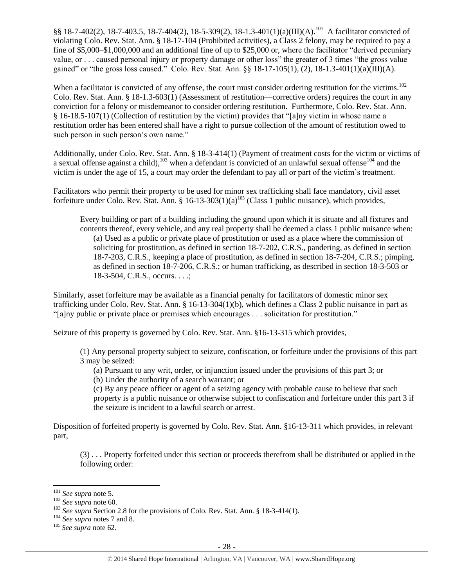$\S$ § 18-7-402(2), 18-7-403.5, 18-7-404(2), 18-5-309(2), 18-1.3-401(1)(a)(III)(A).<sup>101</sup> A facilitator convicted of violating Colo. Rev. Stat. Ann. § 18-17-104 (Prohibited activities), a Class 2 felony, may be required to pay a fine of \$5,000–\$1,000,000 and an additional fine of up to \$25,000 or, where the facilitator "derived pecuniary value, or . . . caused personal injury or property damage or other loss" the greater of 3 times "the gross value gained" or "the gross loss caused." Colo. Rev. Stat. Ann. §§ 18-17-105(1), (2), 18-1.3-401(1)(a)(III)(A).

When a facilitator is convicted of any offense, the court must consider ordering restitution for the victims.<sup>102</sup> Colo. Rev. Stat. Ann. § 18-1.3-603(1) (Assessment of restitution—corrective orders) requires the court in any conviction for a felony or misdemeanor to consider ordering restitution. Furthermore, Colo. Rev. Stat. Ann. § 16-18.5-107(1) (Collection of restitution by the victim) provides that "[a]ny victim in whose name a restitution order has been entered shall have a right to pursue collection of the amount of restitution owed to such person in such person's own name."

Additionally, under Colo. Rev. Stat. Ann. § 18-3-414(1) (Payment of treatment costs for the victim or victims of a sexual offense against a child),<sup>103</sup> when a defendant is convicted of an unlawful sexual offense<sup>104</sup> and the victim is under the age of 15, a court may order the defendant to pay all or part of the victim's treatment.

Facilitators who permit their property to be used for minor sex trafficking shall face mandatory, civil asset forfeiture under Colo. Rev. Stat. Ann. § 16-13-303(1)(a)<sup>105</sup> (Class 1 public nuisance), which provides,

Every building or part of a building including the ground upon which it is situate and all fixtures and contents thereof, every vehicle, and any real property shall be deemed a class 1 public nuisance when: (a) Used as a public or private place of prostitution or used as a place where the commission of soliciting for prostitution, as defined in section 18-7-202, C.R.S., pandering, as defined in section 18-7-203, C.R.S., keeping a place of prostitution, as defined in section 18-7-204, C.R.S.; pimping, as defined in section 18-7-206, C.R.S.; or human trafficking, as described in section 18-3-503 or 18-3-504, C.R.S., occurs. . . .;

Similarly, asset forfeiture may be available as a financial penalty for facilitators of domestic minor sex trafficking under Colo. Rev. Stat. Ann. § 16-13-304(1)(b), which defines a Class 2 public nuisance in part as "[a]ny public or private place or premises which encourages . . . solicitation for prostitution."

Seizure of this property is governed by Colo. Rev. Stat. Ann. §16-13-315 which provides,

(1) Any personal property subject to seizure, confiscation, or forfeiture under the provisions of this part 3 may be seized:

(a) Pursuant to any writ, order, or injunction issued under the provisions of this part 3; or

(b) Under the authority of a search warrant; or

(c) By any peace officer or agent of a seizing agency with probable cause to believe that such property is a public nuisance or otherwise subject to confiscation and forfeiture under this part 3 if the seizure is incident to a lawful search or arrest.

Disposition of forfeited property is governed by Colo. Rev. Stat. Ann. §16-13-311 which provides, in relevant part,

(3) . . . Property forfeited under this section or proceeds therefrom shall be distributed or applied in the following order:

 $\overline{a}$ 

<sup>101</sup> *See supra* not[e 5.](#page-1-1)

<sup>102</sup> *See supra* not[e 60.](#page-15-1)

<sup>&</sup>lt;sup>103</sup> *See supra* Section 2.8 for the provisions of Colo. Rev. Stat. Ann. § 18-3-414(1).

<sup>104</sup> *See supra* note[s 7](#page-1-0) and [8.](#page-2-0)

<sup>105</sup> *See supra* not[e 62.](#page-15-2)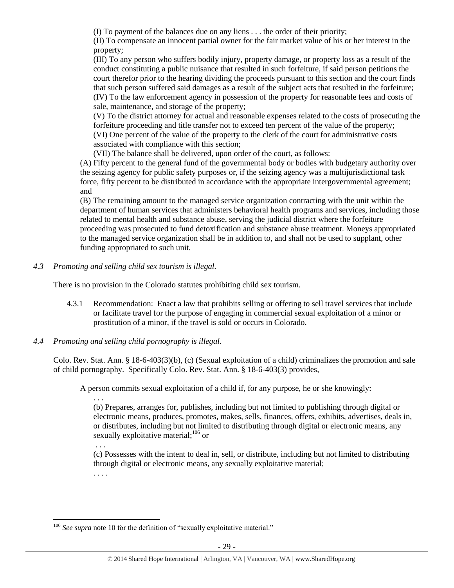(I) To payment of the balances due on any liens . . . the order of their priority;

(II) To compensate an innocent partial owner for the fair market value of his or her interest in the property;

(III) To any person who suffers bodily injury, property damage, or property loss as a result of the conduct constituting a public nuisance that resulted in such forfeiture, if said person petitions the court therefor prior to the hearing dividing the proceeds pursuant to this section and the court finds that such person suffered said damages as a result of the subject acts that resulted in the forfeiture; (IV) To the law enforcement agency in possession of the property for reasonable fees and costs of sale, maintenance, and storage of the property;

(V) To the district attorney for actual and reasonable expenses related to the costs of prosecuting the forfeiture proceeding and title transfer not to exceed ten percent of the value of the property; (VI) One percent of the value of the property to the clerk of the court for administrative costs associated with compliance with this section;

(VII) The balance shall be delivered, upon order of the court, as follows:

(A) Fifty percent to the general fund of the governmental body or bodies with budgetary authority over the seizing agency for public safety purposes or, if the seizing agency was a multijurisdictional task force, fifty percent to be distributed in accordance with the appropriate intergovernmental agreement; and

(B) The remaining amount to the managed service organization contracting with the unit within the department of human services that administers behavioral health programs and services, including those related to mental health and substance abuse, serving the judicial district where the forfeiture proceeding was prosecuted to fund detoxification and substance abuse treatment. Moneys appropriated to the managed service organization shall be in addition to, and shall not be used to supplant, other funding appropriated to such unit.

*4.3 Promoting and selling child sex tourism is illegal.*

There is no provision in the Colorado statutes prohibiting child sex tourism.

- 4.3.1 Recommendation: Enact a law that prohibits selling or offering to sell travel services that include or facilitate travel for the purpose of engaging in commercial sexual exploitation of a minor or prostitution of a minor, if the travel is sold or occurs in Colorado.
- *4.4 Promoting and selling child pornography is illegal.*

Colo. Rev. Stat. Ann. § 18-6-403(3)(b), (c) (Sexual exploitation of a child) criminalizes the promotion and sale of child pornography. Specifically Colo. Rev. Stat. Ann. § 18-6-403(3) provides,

A person commits sexual exploitation of a child if, for any purpose, he or she knowingly:

. . . (b) Prepares, arranges for, publishes, including but not limited to publishing through digital or electronic means, produces, promotes, makes, sells, finances, offers, exhibits, advertises, deals in, or distributes, including but not limited to distributing through digital or electronic means, any sexually exploitative material;<sup>106</sup> or

. . . (c) Possesses with the intent to deal in, sell, or distribute, including but not limited to distributing through digital or electronic means, any sexually exploitative material; . . . .

 $\overline{\phantom{a}}$ <sup>106</sup> See supra not[e 10](#page-2-2) for the definition of "sexually exploitative material."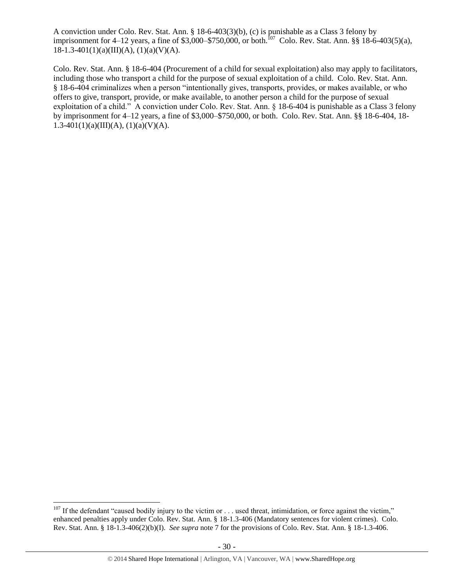A conviction under Colo. Rev. Stat. Ann. § 18-6-403(3)(b), (c) is punishable as a Class 3 felony by imprisonment for 4–12 years, a fine of \$3,000–\$750,000, or both.<sup>107</sup> Colo. Rev. Stat. Ann. §§ 18-6-403(5)(a),  $18-1.3-401(1)(a)(III)(A), (1)(a)(V)(A).$ 

Colo. Rev. Stat. Ann. § 18-6-404 (Procurement of a child for sexual exploitation) also may apply to facilitators, including those who transport a child for the purpose of sexual exploitation of a child. Colo. Rev. Stat. Ann. § 18-6-404 criminalizes when a person "intentionally gives, transports, provides, or makes available, or who offers to give, transport, provide, or make available, to another person a child for the purpose of sexual exploitation of a child." A conviction under Colo. Rev. Stat. Ann. § 18-6-404 is punishable as a Class 3 felony by imprisonment for 4–12 years, a fine of \$3,000–\$750,000, or both. Colo. Rev. Stat. Ann. §§ 18-6-404, 18-  $1.3-401(1)(a)(III)(A), (1)(a)(V)(A).$ 

 $107$  If the defendant "caused bodily injury to the victim or . . . used threat, intimidation, or force against the victim," enhanced penalties apply under Colo. Rev. Stat. Ann. § 18-1.3-406 (Mandatory sentences for violent crimes). Colo. Rev. Stat. Ann. § 18-1.3-406(2)(b)(I). *See supra* not[e 7](#page-1-0) for the provisions of Colo. Rev. Stat. Ann. § 18-1.3-406.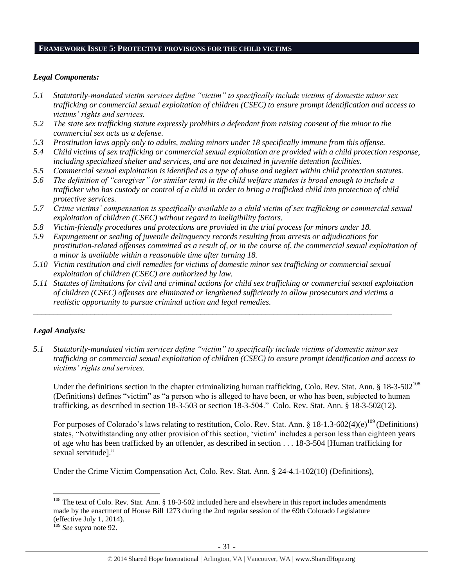## **FRAMEWORK ISSUE 5: PROTECTIVE PROVISIONS FOR THE CHILD VICTIMS**

#### *Legal Components:*

- *5.1 Statutorily-mandated victim services define "victim" to specifically include victims of domestic minor sex trafficking or commercial sexual exploitation of children (CSEC) to ensure prompt identification and access to victims' rights and services.*
- *5.2 The state sex trafficking statute expressly prohibits a defendant from raising consent of the minor to the commercial sex acts as a defense.*
- *5.3 Prostitution laws apply only to adults, making minors under 18 specifically immune from this offense.*
- *5.4 Child victims of sex trafficking or commercial sexual exploitation are provided with a child protection response, including specialized shelter and services, and are not detained in juvenile detention facilities.*
- *5.5 Commercial sexual exploitation is identified as a type of abuse and neglect within child protection statutes.*
- *5.6 The definition of "caregiver" (or similar term) in the child welfare statutes is broad enough to include a trafficker who has custody or control of a child in order to bring a trafficked child into protection of child protective services.*
- *5.7 Crime victims' compensation is specifically available to a child victim of sex trafficking or commercial sexual exploitation of children (CSEC) without regard to ineligibility factors.*
- *5.8 Victim-friendly procedures and protections are provided in the trial process for minors under 18.*
- *5.9 Expungement or sealing of juvenile delinquency records resulting from arrests or adjudications for prostitution-related offenses committed as a result of, or in the course of, the commercial sexual exploitation of a minor is available within a reasonable time after turning 18.*
- *5.10 Victim restitution and civil remedies for victims of domestic minor sex trafficking or commercial sexual exploitation of children (CSEC) are authorized by law.*

*\_\_\_\_\_\_\_\_\_\_\_\_\_\_\_\_\_\_\_\_\_\_\_\_\_\_\_\_\_\_\_\_\_\_\_\_\_\_\_\_\_\_\_\_\_\_\_\_\_\_\_\_\_\_\_\_\_\_\_\_\_\_\_\_\_\_\_\_\_\_\_\_\_\_\_\_\_\_\_\_\_\_\_\_\_\_\_\_*

*5.11 Statutes of limitations for civil and criminal actions for child sex trafficking or commercial sexual exploitation of children (CSEC) offenses are eliminated or lengthened sufficiently to allow prosecutors and victims a realistic opportunity to pursue criminal action and legal remedies.*

## *Legal Analysis:*

*5.1 Statutorily-mandated victim services define "victim" to specifically include victims of domestic minor sex trafficking or commercial sexual exploitation of children (CSEC) to ensure prompt identification and access to victims' rights and services.*

Under the definitions section in the chapter criminalizing human trafficking, Colo. Rev. Stat. Ann.  $§$  18-3-502<sup>108</sup> (Definitions) defines "victim" as "a person who is alleged to have been, or who has been, subjected to human trafficking, as described in section 18-3-503 or section 18-3-504." Colo. Rev. Stat. Ann. § 18-3-502(12).

For purposes of Colorado's laws relating to restitution, Colo. Rev. Stat. Ann. § 18-1.3-602(4)(e)<sup>109</sup> (Definitions) states, "Notwithstanding any other provision of this section, 'victim' includes a person less than eighteen years of age who has been trafficked by an offender, as described in section . . . 18-3-504 [Human trafficking for sexual servitude]."

Under the Crime Victim Compensation Act, Colo. Rev. Stat. Ann. § 24-4.1-102(10) (Definitions),

 $\overline{\phantom{a}}$  $108$  The text of Colo. Rev. Stat. Ann. § 18-3-502 included here and elsewhere in this report includes amendments made by the enactment of House Bill 1273 during the 2nd regular session of the 69th Colorado Legislature (effective July 1, 2014).

<sup>109</sup> *See supra* not[e 92.](#page-22-0)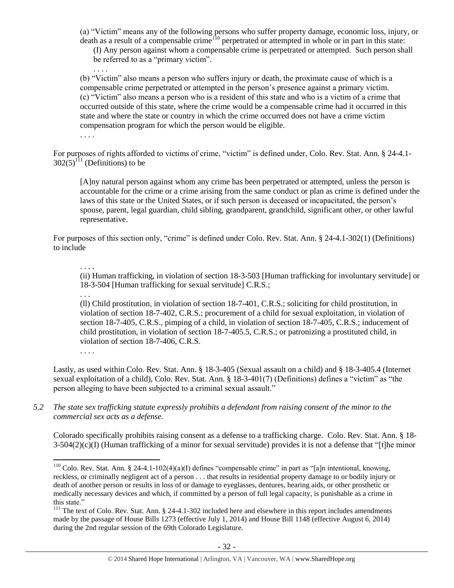(a) "Victim" means any of the following persons who suffer property damage, economic loss, injury, or death as a result of a compensable crime<sup>110</sup> perpetrated or attempted in whole or in part in this state:

(I) Any person against whom a compensable crime is perpetrated or attempted. Such person shall be referred to as a "primary victim".

. . . .

(b) "Victim" also means a person who suffers injury or death, the proximate cause of which is a compensable crime perpetrated or attempted in the person's presence against a primary victim. (c) "Victim" also means a person who is a resident of this state and who is a victim of a crime that occurred outside of this state, where the crime would be a compensable crime had it occurred in this state and where the state or country in which the crime occurred does not have a crime victim compensation program for which the person would be eligible.

. . . .

For purposes of rights afforded to victims of crime, "victim" is defined under, Colo. Rev. Stat. Ann. § 24-4.1-  $302(5)^{111}$  (Definitions) to be

[A]ny natural person against whom any crime has been perpetrated or attempted, unless the person is accountable for the crime or a crime arising from the same conduct or plan as crime is defined under the laws of this state or the United States, or if such person is deceased or incapacitated, the person's spouse, parent, legal guardian, child sibling, grandparent, grandchild, significant other, or other lawful representative.

For purposes of this section only, "crime" is defined under Colo. Rev. Stat. Ann. § 24-4.1-302(1) (Definitions) to include

. . . .

(ii) Human trafficking, in violation of section 18-3-503 [Human trafficking for involuntary servitude] or 18-3-504 [Human trafficking for sexual servitude] C.R.S.;

. . .

. . . .

(ll) Child prostitution, in violation of section 18-7-401, C.R.S.; soliciting for child prostitution, in violation of section 18-7-402, C.R.S.; procurement of a child for sexual exploitation, in violation of section 18-7-405, C.R.S., pimping of a child, in violation of section 18-7-405, C.R.S.; inducement of child prostitution, in violation of section 18-7-405.5, C.R.S.; or patronizing a prostituted child, in violation of section 18-7-406, C.R.S.

Lastly, as used within Colo. Rev. Stat. Ann. § 18-3-405 (Sexual assault on a child) and § 18-3-405.4 (Internet sexual exploitation of a child), Colo. Rev. Stat. Ann. § 18-3-401(7) (Definitions) defines a "victim" as "the person alleging to have been subjected to a criminal sexual assault."

*5.2 The state sex trafficking statute expressly prohibits a defendant from raising consent of the minor to the commercial sex acts as a defense.*

Colorado specifically prohibits raising consent as a defense to a trafficking charge. Colo. Rev. Stat. Ann. § 18-  $3-504(2)(c)$  (Human trafficking of a minor for sexual servitude) provides it is not a defense that "[t]he minor

 $\overline{a}$ <sup>110</sup> Colo. Rev. Stat. Ann. § 24-4.1-102(4)(a)(I) defines "compensable crime" in part as "[a]n intentional, knowing, reckless, or criminally negligent act of a person . . . that results in residential property damage to or bodily injury or death of another person or results in loss of or damage to eyeglasses, dentures, hearing aids, or other prosthetic or medically necessary devices and which, if committed by a person of full legal capacity, is punishable as a crime in this state."

 $111$  The text of Colo. Rev. Stat. Ann. § 24-4.1-302 included here and elsewhere in this report includes amendments made by the passage of House Bills 1273 (effective July 1, 2014) and House Bill 1148 (effective August 6, 2014) during the 2nd regular session of the 69th Colorado Legislature.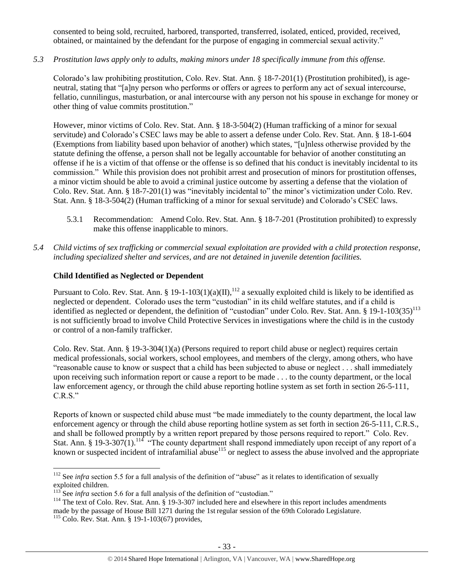consented to being sold, recruited, harbored, transported, transferred, isolated, enticed, provided, received, obtained, or maintained by the defendant for the purpose of engaging in commercial sexual activity."

*5.3 Prostitution laws apply only to adults, making minors under 18 specifically immune from this offense.*

Colorado's law prohibiting prostitution, Colo. Rev. Stat. Ann. § 18-7-201(1) (Prostitution prohibited), is ageneutral, stating that "[a]ny person who performs or offers or agrees to perform any act of sexual intercourse, fellatio, cunnilingus, masturbation, or anal intercourse with any person not his spouse in exchange for money or other thing of value commits prostitution."

However, minor victims of Colo. Rev. Stat. Ann. § 18-3-504(2) (Human trafficking of a minor for sexual servitude) and Colorado's CSEC laws may be able to assert a defense under Colo. Rev. Stat. Ann. § 18-1-604 (Exemptions from liability based upon behavior of another) which states, "[u]nless otherwise provided by the statute defining the offense, a person shall not be legally accountable for behavior of another constituting an offense if he is a victim of that offense or the offense is so defined that his conduct is inevitably incidental to its commission." While this provision does not prohibit arrest and prosecution of minors for prostitution offenses, a minor victim should be able to avoid a criminal justice outcome by asserting a defense that the violation of Colo. Rev. Stat. Ann. § 18-7-201(1) was "inevitably incidental to" the minor's victimization under Colo. Rev. Stat. Ann. § 18-3-504(2) (Human trafficking of a minor for sexual servitude) and Colorado's CSEC laws.

- 5.3.1 Recommendation: Amend Colo. Rev. Stat. Ann. § 18-7-201 (Prostitution prohibited) to expressly make this offense inapplicable to minors.
- *5.4 Child victims of sex trafficking or commercial sexual exploitation are provided with a child protection response, including specialized shelter and services, and are not detained in juvenile detention facilities.*

## **Child Identified as Neglected or Dependent**

Pursuant to Colo. Rev. Stat. Ann. § 19-1-103(1)(a)(II),<sup>112</sup> a sexually exploited child is likely to be identified as neglected or dependent. Colorado uses the term "custodian" in its child welfare statutes, and if a child is identified as neglected or dependent, the definition of "custodian" under Colo. Rev. Stat. Ann. § 19-1-103(35)<sup>113</sup> is not sufficiently broad to involve Child Protective Services in investigations where the child is in the custody or control of a non-family trafficker.

Colo. Rev. Stat. Ann. § 19-3-304(1)(a) (Persons required to report child abuse or neglect) requires certain medical professionals, social workers, school employees, and members of the clergy, among others, who have "reasonable cause to know or suspect that a child has been subjected to abuse or neglect . . . shall immediately upon receiving such information report or cause a report to be made . . . to the county department, or the local law enforcement agency, or through the child abuse reporting hotline system as set forth in section 26-5-111, C.R.S."

Reports of known or suspected child abuse must "be made immediately to the county department, the local law enforcement agency or through the child abuse reporting hotline system as set forth in section 26-5-111, C.R.S., and shall be followed promptly by a written report prepared by those persons required to report." Colo. Rev. Stat. Ann. § 19-3-307 $(1)$ .<sup>114</sup> "The county department shall respond immediately upon receipt of any report of a known or suspected incident of intrafamilial abuse<sup>115</sup> or neglect to assess the abuse involved and the appropriate

 $\overline{\phantom{a}}$  $112$  See *infra* section 5.5 for a full analysis of the definition of "abuse" as it relates to identification of sexually exploited children.

See *infra* section 5.6 for a full analysis of the definition of "custodian."

<sup>&</sup>lt;sup>114</sup> The text of Colo. Rev. Stat. Ann. § 19-3-307 included here and elsewhere in this report includes amendments made by the passage of House Bill 1271 during the 1st regular session of the 69th Colorado Legislature.

<sup>115</sup> Colo. Rev. Stat. Ann. § 19-1-103(67) provides,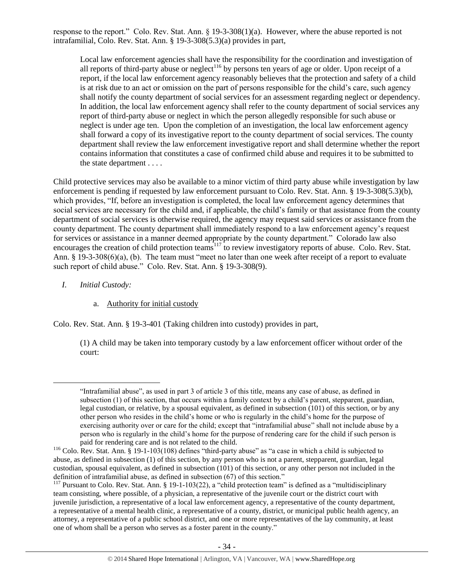response to the report." Colo. Rev. Stat. Ann. § 19-3-308(1)(a). However, where the abuse reported is not intrafamilial, Colo. Rev. Stat. Ann. § 19-3-308(5.3)(a) provides in part,

Local law enforcement agencies shall have the responsibility for the coordination and investigation of all reports of third-party abuse or neglect<sup>116</sup> by persons ten years of age or older. Upon receipt of a report, if the local law enforcement agency reasonably believes that the protection and safety of a child is at risk due to an act or omission on the part of persons responsible for the child's care, such agency shall notify the county department of social services for an assessment regarding neglect or dependency. In addition, the local law enforcement agency shall refer to the county department of social services any report of third-party abuse or neglect in which the person allegedly responsible for such abuse or neglect is under age ten. Upon the completion of an investigation, the local law enforcement agency shall forward a copy of its investigative report to the county department of social services. The county department shall review the law enforcement investigative report and shall determine whether the report contains information that constitutes a case of confirmed child abuse and requires it to be submitted to the state department . . . .

Child protective services may also be available to a minor victim of third party abuse while investigation by law enforcement is pending if requested by law enforcement pursuant to Colo. Rev. Stat. Ann. § 19-3-308(5.3)(b), which provides, "If, before an investigation is completed, the local law enforcement agency determines that social services are necessary for the child and, if applicable, the child's family or that assistance from the county department of social services is otherwise required, the agency may request said services or assistance from the county department. The county department shall immediately respond to a law enforcement agency's request for services or assistance in a manner deemed appropriate by the county department." Colorado law also encourages the creation of child protection teams<sup>117</sup> to review investigatory reports of abuse. Colo. Rev. Stat. Ann. § 19-3-308(6)(a), (b). The team must "meet no later than one week after receipt of a report to evaluate such report of child abuse." Colo. Rev. Stat. Ann. § 19-3-308(9).

*I. Initial Custody:* 

 $\overline{\phantom{a}}$ 

a. Authority for initial custody

Colo. Rev. Stat. Ann. § 19-3-401 (Taking children into custody) provides in part,

(1) A child may be taken into temporary custody by a law enforcement officer without order of the court:

<sup>&</sup>quot;Intrafamilial abuse", as used in part 3 of article 3 of this title, means any case of abuse, as defined in subsection (1) of this section, that occurs within a family context by a child's parent, stepparent, guardian, legal custodian, or relative, by a spousal equivalent, as defined in subsection (101) of this section, or by any other person who resides in the child's home or who is regularly in the child's home for the purpose of exercising authority over or care for the child; except that "intrafamilial abuse" shall not include abuse by a person who is regularly in the child's home for the purpose of rendering care for the child if such person is paid for rendering care and is not related to the child.

<sup>&</sup>lt;sup>116</sup> Colo. Rev. Stat. Ann. § 19-1-103(108) defines "third-party abuse" as "a case in which a child is subjected to abuse, as defined in subsection (1) of this section, by any person who is not a parent, stepparent, guardian, legal custodian, spousal equivalent, as defined in subsection (101) of this section, or any other person not included in the definition of intrafamilial abuse, as defined in subsection (67) of this section."

<sup>&</sup>lt;sup>117</sup> Pursuant to Colo. Rev. Stat. Ann. § 19-1-103(22), a "child protection team" is defined as a "multidisciplinary team consisting, where possible, of a physician, a representative of the juvenile court or the district court with juvenile jurisdiction, a representative of a local law enforcement agency, a representative of the county department, a representative of a mental health clinic, a representative of a county, district, or municipal public health agency, an attorney, a representative of a public school district, and one or more representatives of the lay community, at least one of whom shall be a person who serves as a foster parent in the county."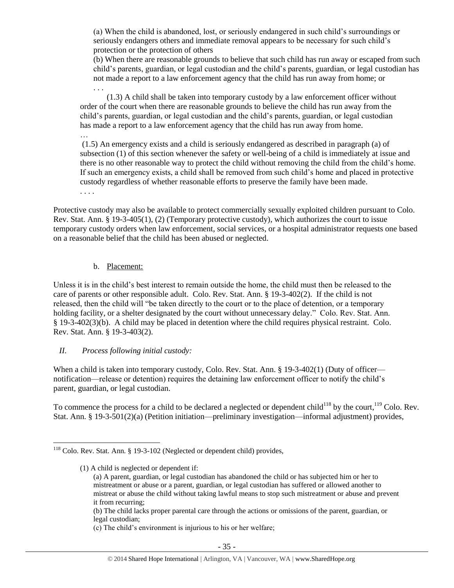(a) When the child is abandoned, lost, or seriously endangered in such child's surroundings or seriously endangers others and immediate removal appears to be necessary for such child's protection or the protection of others

(b) When there are reasonable grounds to believe that such child has run away or escaped from such child's parents, guardian, or legal custodian and the child's parents, guardian, or legal custodian has not made a report to a law enforcement agency that the child has run away from home; or

(1.3) A child shall be taken into temporary custody by a law enforcement officer without order of the court when there are reasonable grounds to believe the child has run away from the child's parents, guardian, or legal custodian and the child's parents, guardian, or legal custodian has made a report to a law enforcement agency that the child has run away from home. …

(1.5) An emergency exists and a child is seriously endangered as described in paragraph (a) of subsection (1) of this section whenever the safety or well-being of a child is immediately at issue and there is no other reasonable way to protect the child without removing the child from the child's home. If such an emergency exists, a child shall be removed from such child's home and placed in protective custody regardless of whether reasonable efforts to preserve the family have been made. . . . .

Protective custody may also be available to protect commercially sexually exploited children pursuant to Colo. Rev. Stat. Ann. § 19-3-405(1), (2) (Temporary protective custody), which authorizes the court to issue temporary custody orders when law enforcement, social services, or a hospital administrator requests one based on a reasonable belief that the child has been abused or neglected.

## b. Placement:

. . .

Unless it is in the child's best interest to remain outside the home, the child must then be released to the care of parents or other responsible adult. Colo. Rev. Stat. Ann. § 19-3-402(2). If the child is not released, then the child will "be taken directly to the court or to the place of detention, or a temporary holding facility, or a shelter designated by the court without unnecessary delay." Colo. Rev. Stat. Ann. § 19-3-402(3)(b). A child may be placed in detention where the child requires physical restraint. Colo. Rev. Stat. Ann. § 19-3-403(2).

# *II. Process following initial custody:*

When a child is taken into temporary custody, Colo. Rev. Stat. Ann. § 19-3-402(1) (Duty of officer notification—release or detention) requires the detaining law enforcement officer to notify the child's parent, guardian, or legal custodian.

To commence the process for a child to be declared a neglected or dependent child<sup>118</sup> by the court,<sup>119</sup> Colo. Rev. Stat. Ann. § 19-3-501(2)(a) (Petition initiation—preliminary investigation—informal adjustment) provides,

(b) The child lacks proper parental care through the actions or omissions of the parent, guardian, or legal custodian;

(c) The child's environment is injurious to his or her welfare;

 $\overline{\phantom{a}}$  $118$  Colo. Rev. Stat. Ann. § 19-3-102 (Neglected or dependent child) provides,

<sup>(1)</sup> A child is neglected or dependent if:

<sup>(</sup>a) A parent, guardian, or legal custodian has abandoned the child or has subjected him or her to mistreatment or abuse or a parent, guardian, or legal custodian has suffered or allowed another to mistreat or abuse the child without taking lawful means to stop such mistreatment or abuse and prevent it from recurring;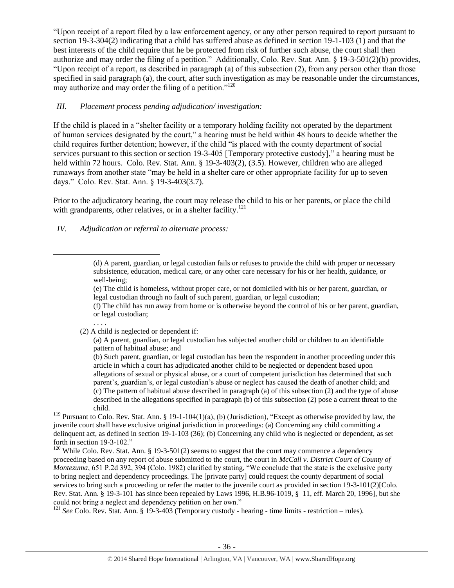"Upon receipt of a report filed by a law enforcement agency, or any other person required to report pursuant to section 19-3-304(2) indicating that a child has suffered abuse as defined in section 19-1-103 (1) and that the best interests of the child require that he be protected from risk of further such abuse, the court shall then authorize and may order the filing of a petition." Additionally, Colo. Rev. Stat. Ann. § 19-3-501(2)(b) provides, "Upon receipt of a report, as described in paragraph (a) of this subsection (2), from any person other than those specified in said paragraph (a), the court, after such investigation as may be reasonable under the circumstances, may authorize and may order the filing of a petition."<sup>120</sup>

## *III. Placement process pending adjudication/ investigation:*

If the child is placed in a "shelter facility or a temporary holding facility not operated by the department of human services designated by the court," a hearing must be held within 48 hours to decide whether the child requires further detention; however, if the child "is placed with the county department of social services pursuant to this section or section 19-3-405 [Temporary protective custody]," a hearing must be held within 72 hours. Colo. Rev. Stat. Ann. § 19-3-403(2), (3.5). However, children who are alleged runaways from another state "may be held in a shelter care or other appropriate facility for up to seven days." Colo. Rev. Stat. Ann. § 19-3-403(3.7).

Prior to the adjudicatory hearing, the court may release the child to his or her parents, or place the child with grandparents, other relatives, or in a shelter facility.<sup>121</sup>

*IV. Adjudication or referral to alternate process:* 

 $\overline{\phantom{a}}$ 

(f) The child has run away from home or is otherwise beyond the control of his or her parent, guardian, or legal custodian;

(2) A child is neglected or dependent if:

. . . .

(a) A parent, guardian, or legal custodian has subjected another child or children to an identifiable pattern of habitual abuse; and

(b) Such parent, guardian, or legal custodian has been the respondent in another proceeding under this article in which a court has adjudicated another child to be neglected or dependent based upon allegations of sexual or physical abuse, or a court of competent jurisdiction has determined that such parent's, guardian's, or legal custodian's abuse or neglect has caused the death of another child; and (c) The pattern of habitual abuse described in paragraph (a) of this subsection (2) and the type of abuse described in the allegations specified in paragraph (b) of this subsection (2) pose a current threat to the child.

<sup>119</sup> Pursuant to Colo. Rev. Stat. Ann. § 19-1-104(1)(a), (b) (Jurisdiction), "Except as otherwise provided by law, the juvenile court shall have exclusive original jurisdiction in proceedings: (a) Concerning any child committing a delinquent act, as defined in section 19-1-103 (36); (b) Concerning any child who is neglected or dependent, as set forth in section 19-3-102."

<sup>120</sup> While Colo. Rev. Stat. Ann. § 19-3-501(2) seems to suggest that the court may commence a dependency proceeding based on any report of abuse submitted to the court, the court in *McCall v. District Court of County of Montezuma*, 651 P.2d 392, 394 (Colo. 1982) clarified by stating, "We conclude that the state is the exclusive party to bring neglect and dependency proceedings. The [private party] could request the county department of social services to bring such a proceeding or refer the matter to the juvenile court as provided in section 19-3-101(2)[Colo. Rev. Stat. Ann. § 19-3-101 has since been repealed by Laws 1996, H.B.96-1019, § 11, eff. March 20, 1996], but she could not bring a neglect and dependency petition on her own."

<sup>121</sup> *See* Colo. Rev. Stat. Ann. § 19-3-403 (Temporary custody - hearing - time limits - restriction – rules).

<sup>(</sup>d) A parent, guardian, or legal custodian fails or refuses to provide the child with proper or necessary subsistence, education, medical care, or any other care necessary for his or her health, guidance, or well-being;

<sup>(</sup>e) The child is homeless, without proper care, or not domiciled with his or her parent, guardian, or legal custodian through no fault of such parent, guardian, or legal custodian;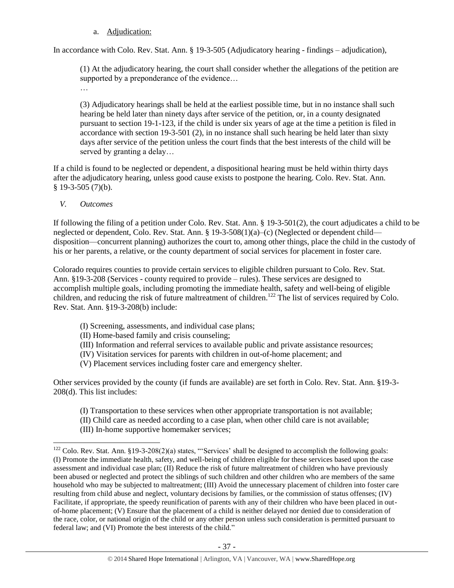a. Adjudication:

In accordance with Colo. Rev. Stat. Ann. § 19-3-505 (Adjudicatory hearing - findings – adjudication),

(1) At the adjudicatory hearing, the court shall consider whether the allegations of the petition are supported by a preponderance of the evidence...

…

(3) Adjudicatory hearings shall be held at the earliest possible time, but in no instance shall such hearing be held later than ninety days after service of the petition, or, in a county designated pursuant to section 19-1-123, if the child is under six years of age at the time a petition is filed in accordance with section 19-3-501 (2), in no instance shall such hearing be held later than sixty days after service of the petition unless the court finds that the best interests of the child will be served by granting a delay…

If a child is found to be neglected or dependent, a dispositional hearing must be held within thirty days after the adjudicatory hearing, unless good cause exists to postpone the hearing. Colo. Rev. Stat. Ann.  $§$  19-3-505 (7)(b).

*V. Outcomes*

 $\overline{\phantom{a}}$ 

If following the filing of a petition under Colo. Rev. Stat. Ann. § 19-3-501(2), the court adjudicates a child to be neglected or dependent, Colo. Rev. Stat. Ann. § 19-3-508(1)(a)–(c) (Neglected or dependent child disposition—concurrent planning) authorizes the court to, among other things, place the child in the custody of his or her parents, a relative, or the county department of social services for placement in foster care.

Colorado requires counties to provide certain services to eligible children pursuant to Colo. Rev. Stat. Ann. §19-3-208 (Services - county required to provide – rules). These services are designed to accomplish multiple goals, including promoting the immediate health, safety and well-being of eligible children, and reducing the risk of future maltreatment of children.<sup>122</sup> The list of services required by Colo. Rev. Stat. Ann. §19-3-208(b) include:

- (I) Screening, assessments, and individual case plans;
- (II) Home-based family and crisis counseling;
- (III) Information and referral services to available public and private assistance resources;
- (IV) Visitation services for parents with children in out-of-home placement; and
- (V) Placement services including foster care and emergency shelter.

Other services provided by the county (if funds are available) are set forth in Colo. Rev. Stat. Ann. §19-3- 208(d). This list includes:

- (I) Transportation to these services when other appropriate transportation is not available;
- (II) Child care as needed according to a case plan, when other child care is not available;
- (III) In-home supportive homemaker services;

 $122$  Colo. Rev. Stat. Ann. §19-3-208(2)(a) states, "Services' shall be designed to accomplish the following goals: (I) Promote the immediate health, safety, and well-being of children eligible for these services based upon the case assessment and individual case plan; (II) Reduce the risk of future maltreatment of children who have previously been abused or neglected and protect the siblings of such children and other children who are members of the same household who may be subjected to maltreatment; (III) Avoid the unnecessary placement of children into foster care resulting from child abuse and neglect, voluntary decisions by families, or the commission of status offenses; (IV) Facilitate, if appropriate, the speedy reunification of parents with any of their children who have been placed in outof-home placement; (V) Ensure that the placement of a child is neither delayed nor denied due to consideration of the race, color, or national origin of the child or any other person unless such consideration is permitted pursuant to federal law; and (VI) Promote the best interests of the child."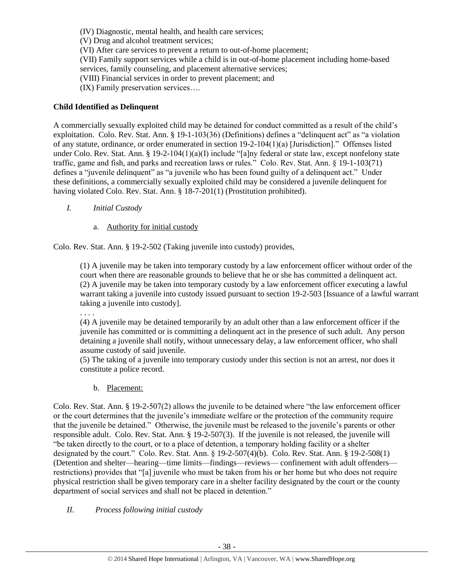(IV) Diagnostic, mental health, and health care services; (V) Drug and alcohol treatment services; (VI) After care services to prevent a return to out-of-home placement; (VII) Family support services while a child is in out-of-home placement including home-based services, family counseling, and placement alternative services; (VIII) Financial services in order to prevent placement; and (IX) Family preservation services….

## **Child Identified as Delinquent**

A commercially sexually exploited child may be detained for conduct committed as a result of the child's exploitation. Colo. Rev. Stat. Ann. § 19-1-103(36) (Definitions) defines a "delinquent act" as "a violation of any statute, ordinance, or order enumerated in section 19-2-104(1)(a) [Jurisdiction]." Offenses listed under Colo. Rev. Stat. Ann. § 19-2-104(1)(a)(I) include "[a]ny federal or state law, except nonfelony state traffic, game and fish, and parks and recreation laws or rules." Colo. Rev. Stat. Ann. § 19-1-103(71) defines a "juvenile delinquent" as "a juvenile who has been found guilty of a delinquent act." Under these definitions, a commercially sexually exploited child may be considered a juvenile delinquent for having violated Colo. Rev. Stat. Ann. § 18-7-201(1) (Prostitution prohibited).

- *I. Initial Custody* 
	- a. Authority for initial custody

Colo. Rev. Stat. Ann. § 19-2-502 (Taking juvenile into custody) provides,

(1) A juvenile may be taken into temporary custody by a law enforcement officer without order of the court when there are reasonable grounds to believe that he or she has committed a delinquent act. (2) A juvenile may be taken into temporary custody by a law enforcement officer executing a lawful warrant taking a juvenile into custody issued pursuant to section 19-2-503 [Issuance of a lawful warrant taking a juvenile into custody].

. . . .

(4) A juvenile may be detained temporarily by an adult other than a law enforcement officer if the juvenile has committed or is committing a delinquent act in the presence of such adult. Any person detaining a juvenile shall notify, without unnecessary delay, a law enforcement officer, who shall assume custody of said juvenile.

(5) The taking of a juvenile into temporary custody under this section is not an arrest, nor does it constitute a police record.

b. Placement:

Colo. Rev. Stat. Ann. § 19-2-507(2) allows the juvenile to be detained where "the law enforcement officer or the court determines that the juvenile's immediate welfare or the protection of the community require that the juvenile be detained." Otherwise, the juvenile must be released to the juvenile's parents or other responsible adult. Colo. Rev. Stat. Ann. § 19-2-507(3). If the juvenile is not released, the juvenile will "be taken directly to the court, or to a place of detention, a temporary holding facility or a shelter designated by the court." Colo. Rev. Stat. Ann. § 19-2-507(4)(b). Colo. Rev. Stat. Ann. § 19-2-508(1) (Detention and shelter—hearing—time limits—findings—reviews— confinement with adult offenders restrictions) provides that "[a] juvenile who must be taken from his or her home but who does not require physical restriction shall be given temporary care in a shelter facility designated by the court or the county department of social services and shall not be placed in detention."

*II. Process following initial custody*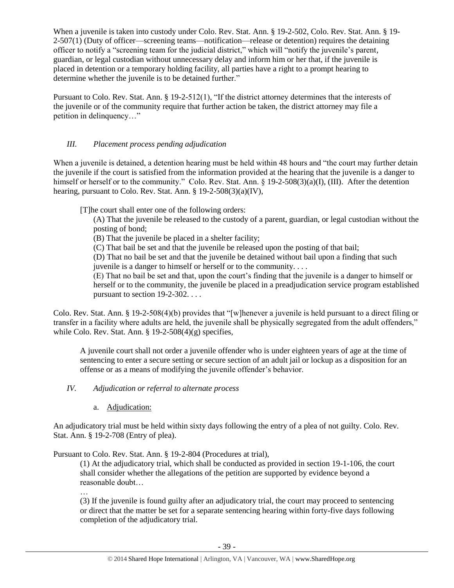When a juvenile is taken into custody under Colo. Rev. Stat. Ann. § 19-2-502, Colo. Rev. Stat. Ann. § 19- 2-507(1) (Duty of officer—screening teams—notification—release or detention) requires the detaining officer to notify a "screening team for the judicial district," which will "notify the juvenile's parent, guardian, or legal custodian without unnecessary delay and inform him or her that, if the juvenile is placed in detention or a temporary holding facility, all parties have a right to a prompt hearing to determine whether the juvenile is to be detained further."

Pursuant to Colo. Rev. Stat. Ann. § 19-2-512(1), "If the district attorney determines that the interests of the juvenile or of the community require that further action be taken, the district attorney may file a petition in delinquency…"

## *III. Placement process pending adjudication*

When a juvenile is detained, a detention hearing must be held within 48 hours and "the court may further detain the juvenile if the court is satisfied from the information provided at the hearing that the juvenile is a danger to himself or herself or to the community." Colo. Rev. Stat. Ann. § 19-2-508(3)(a)(I), (III). After the detention hearing, pursuant to Colo. Rev. Stat. Ann. § 19-2-508(3)(a)(IV),

[T]he court shall enter one of the following orders:

(A) That the juvenile be released to the custody of a parent, guardian, or legal custodian without the posting of bond;

(B) That the juvenile be placed in a shelter facility;

(C) That bail be set and that the juvenile be released upon the posting of that bail;

(D) That no bail be set and that the juvenile be detained without bail upon a finding that such juvenile is a danger to himself or herself or to the community.  $\dots$ 

(E) That no bail be set and that, upon the court's finding that the juvenile is a danger to himself or herself or to the community, the juvenile be placed in a preadjudication service program established pursuant to section 19-2-302. . . .

Colo. Rev. Stat. Ann. § 19-2-508(4)(b) provides that "[w]henever a juvenile is held pursuant to a direct filing or transfer in a facility where adults are held, the juvenile shall be physically segregated from the adult offenders," while Colo. Rev. Stat. Ann.  $\S$  19-2-508(4)(g) specifies,

A juvenile court shall not order a juvenile offender who is under eighteen years of age at the time of sentencing to enter a secure setting or secure section of an adult jail or lockup as a disposition for an offense or as a means of modifying the juvenile offender's behavior.

*IV. Adjudication or referral to alternate process*

a. Adjudication:

An adjudicatory trial must be held within sixty days following the entry of a plea of not guilty. Colo. Rev. Stat. Ann. § 19-2-708 (Entry of plea).

Pursuant to Colo. Rev. Stat. Ann. § 19-2-804 (Procedures at trial),

(1) At the adjudicatory trial, which shall be conducted as provided in section 19-1-106, the court shall consider whether the allegations of the petition are supported by evidence beyond a reasonable doubt…

(3) If the juvenile is found guilty after an adjudicatory trial, the court may proceed to sentencing or direct that the matter be set for a separate sentencing hearing within forty-five days following completion of the adjudicatory trial.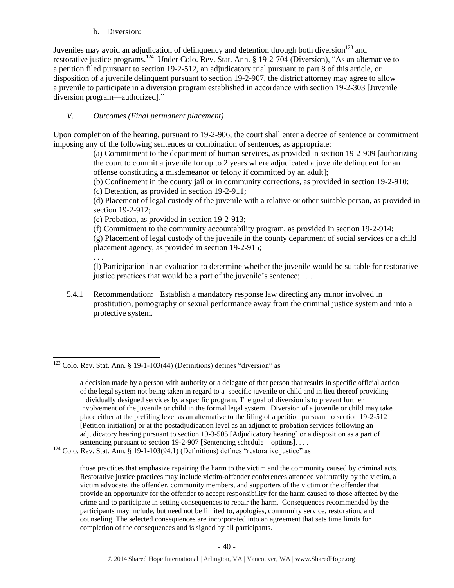## b. Diversion:

Juveniles may avoid an adjudication of delinquency and detention through both diversion<sup>123</sup> and restorative justice programs.<sup>124</sup> Under Colo. Rev. Stat. Ann. § 19-2-704 (Diversion), "As an alternative to a petition filed pursuant to section 19-2-512, an adjudicatory trial pursuant to part 8 of this article, or disposition of a juvenile delinquent pursuant to section 19-2-907, the district attorney may agree to allow a juvenile to participate in a diversion program established in accordance with section 19-2-303 [Juvenile diversion program—authorized]."

## *V. Outcomes (Final permanent placement)*

Upon completion of the hearing, pursuant to 19-2-906, the court shall enter a decree of sentence or commitment imposing any of the following sentences or combination of sentences, as appropriate:

> (a) Commitment to the department of human services, as provided in section 19-2-909 [authorizing the court to commit a juvenile for up to 2 years where adjudicated a juvenile delinquent for an offense constituting a misdemeanor or felony if committed by an adult];

(b) Confinement in the county jail or in community corrections, as provided in section 19-2-910;

(c) Detention, as provided in section 19-2-911;

(d) Placement of legal custody of the juvenile with a relative or other suitable person, as provided in section 19-2-912;

(e) Probation, as provided in section 19-2-913;

(f) Commitment to the community accountability program, as provided in section 19-2-914;

(g) Placement of legal custody of the juvenile in the county department of social services or a child placement agency, as provided in section 19-2-915;

. . .

 $\overline{a}$ 

(l) Participation in an evaluation to determine whether the juvenile would be suitable for restorative justice practices that would be a part of the juvenile's sentence;  $\dots$ 

5.4.1 Recommendation: Establish a mandatory response law directing any minor involved in prostitution, pornography or sexual performance away from the criminal justice system and into a protective system.

<sup>124</sup> Colo. Rev. Stat. Ann. § 19-1-103(94.1) (Definitions) defines "restorative justice" as

those practices that emphasize repairing the harm to the victim and the community caused by criminal acts. Restorative justice practices may include victim-offender conferences attended voluntarily by the victim, a victim advocate, the offender, community members, and supporters of the victim or the offender that provide an opportunity for the offender to accept responsibility for the harm caused to those affected by the crime and to participate in setting consequences to repair the harm. Consequences recommended by the participants may include, but need not be limited to, apologies, community service, restoration, and counseling. The selected consequences are incorporated into an agreement that sets time limits for completion of the consequences and is signed by all participants.

 $123$  Colo. Rev. Stat. Ann. § 19-1-103(44) (Definitions) defines "diversion" as

a decision made by a person with authority or a delegate of that person that results in specific official action of the legal system not being taken in regard to a specific juvenile or child and in lieu thereof providing individually designed services by a specific program. The goal of diversion is to prevent further involvement of the juvenile or child in the formal legal system. Diversion of a juvenile or child may take place either at the prefiling level as an alternative to the filing of a petition pursuant to section 19-2-512 [Petition initiation] or at the postadjudication level as an adjunct to probation services following an adjudicatory hearing pursuant to section 19-3-505 [Adjudicatory hearing] or a disposition as a part of sentencing pursuant to section 19-2-907 [Sentencing schedule—options]. . . .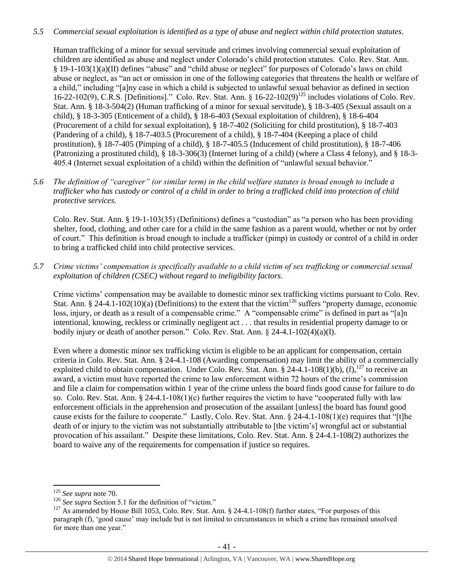## *5.5 Commercial sexual exploitation is identified as a type of abuse and neglect within child protection statutes.*

Human trafficking of a minor for sexual servitude and crimes involving commercial sexual exploitation of children are identified as abuse and neglect under Colorado's child protection statutes. Colo. Rev. Stat. Ann. § 19-1-103(1)(a)(II) defines "abuse" and "child abuse or neglect" for purposes of Colorado's laws on child abuse or neglect, as "an act or omission in one of the following categories that threatens the health or welfare of a child," including "[a]ny case in which a child is subjected to unlawful sexual behavior as defined in section 16-22-102(9), C.R.S. [Definitions]." Colo. Rev. Stat. Ann. § 16-22-102(9)<sup>125</sup> includes violations of Colo. Rev. Stat. Ann. § 18-3-504(2) (Human trafficking of a minor for sexual servitude), § 18-3-405 (Sexual assault on a child), § 18-3-305 (Enticement of a child), § 18-6-403 (Sexual exploitation of children), § 18-6-404 (Procurement of a child for sexual exploitation), § 18-7-402 (Soliciting for child prostitution), § 18-7-403 (Pandering of a child), § 18-7-403.5 (Procurement of a child), § 18-7-404 (Keeping a place of child prostitution), § 18-7-405 (Pimping of a child), § 18-7-405.5 (Inducement of child prostitution), § 18-7-406 (Patronizing a prostituted child), § 18-3-306(3) (Internet luring of a child) (where a Class 4 felony), and § 18-3- 405.4 (Internet sexual exploitation of a child) within the definition of "unlawful sexual behavior."

*5.6 The definition of "caregiver" (or similar term) in the child welfare statutes is broad enough to include a trafficker who has custody or control of a child in order to bring a trafficked child into protection of child protective services.*

Colo. Rev. Stat. Ann. § 19-1-103(35) (Definitions) defines a "custodian" as "a person who has been providing shelter, food, clothing, and other care for a child in the same fashion as a parent would, whether or not by order of court." This definition is broad enough to include a trafficker (pimp) in custody or control of a child in order to bring a trafficked child into child protective services.

*5.7 Crime victims' compensation is specifically available to a child victim of sex trafficking or commercial sexual exploitation of children (CSEC) without regard to ineligibility factors.*

Crime victims' compensation may be available to domestic minor sex trafficking victims pursuant to Colo. Rev. Stat. Ann. § 24-4.1-102(10)(a) (Definitions) to the extent that the victim<sup>126</sup> suffers "property damage, economic loss, injury, or death as a result of a compensable crime." A "compensable crime" is defined in part as "[a]n intentional, knowing, reckless or criminally negligent act . . . that results in residential property damage to or bodily injury or death of another person." Colo. Rev. Stat. Ann.  $\S$  24-4.1-102(4)(a)(I).

Even where a domestic minor sex trafficking victim is eligible to be an applicant for compensation, certain criteria in Colo. Rev. Stat. Ann. § 24-4.1-108 (Awarding compensation) may limit the ability of a commercially exploited child to obtain compensation. Under Colo. Rev. Stat. Ann. § 24-4.1-108(1)(b), (f),<sup>127</sup> to receive an award, a victim must have reported the crime to law enforcement within 72 hours of the crime's commission and file a claim for compensation within 1 year of the crime unless the board finds good cause for failure to do so. Colo. Rev. Stat. Ann.  $\S 24-4.1-108(1)(c)$  further requires the victim to have "cooperated fully with law enforcement officials in the apprehension and prosecution of the assailant [unless] the board has found good cause exists for the failure to cooperate." Lastly, Colo. Rev. Stat. Ann. § 24-4.1-108(1)(e) requires that "[t]he death of or injury to the victim was not substantially attributable to [the victim's] wrongful act or substantial provocation of his assailant." Despite these limitations, Colo. Rev. Stat. Ann. § 24-4.1-108(2) authorizes the board to waive any of the requirements for compensation if justice so requires.

 $\overline{a}$ 

<sup>125</sup> *See supra* not[e 70.](#page-17-0)

<sup>&</sup>lt;sup>126</sup> *See supra* Section 5.1 for the definition of "victim."

<sup>&</sup>lt;sup>127</sup> As amended by House Bill 1053, Colo. Rev. Stat. Ann. § 24-4.1-108(f) further states, "For purposes of this paragraph (f), 'good cause' may include but is not limited to circumstances in which a crime has remained unsolved for more than one year."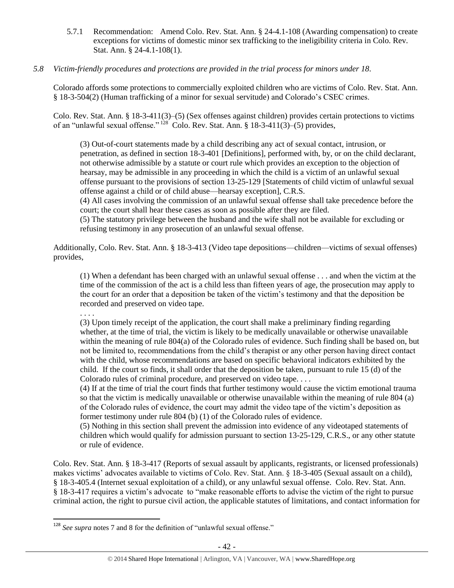5.7.1 Recommendation: Amend Colo. Rev. Stat. Ann. § 24-4.1-108 (Awarding compensation) to create exceptions for victims of domestic minor sex trafficking to the ineligibility criteria in Colo. Rev. Stat. Ann. § 24-4.1-108(1).

## *5.8 Victim-friendly procedures and protections are provided in the trial process for minors under 18.*

Colorado affords some protections to commercially exploited children who are victims of Colo. Rev. Stat. Ann. § 18-3-504(2) (Human trafficking of a minor for sexual servitude) and Colorado's CSEC crimes.

Colo. Rev. Stat. Ann. § 18-3-411(3)–(5) (Sex offenses against children) provides certain protections to victims of an "unlawful sexual offense."  $^{128}$  Colo. Rev. Stat. Ann. § 18-3-411(3)–(5) provides,

(3) Out-of-court statements made by a child describing any act of sexual contact, intrusion, or penetration, as defined in section 18-3-401 [Definitions], performed with, by, or on the child declarant, not otherwise admissible by a statute or court rule which provides an exception to the objection of hearsay, may be admissible in any proceeding in which the child is a victim of an unlawful sexual offense pursuant to the provisions of section 13-25-129 [Statements of child victim of unlawful sexual offense against a child or of child abuse—hearsay exception], C.R.S.

(4) All cases involving the commission of an unlawful sexual offense shall take precedence before the court; the court shall hear these cases as soon as possible after they are filed.

(5) The statutory privilege between the husband and the wife shall not be available for excluding or refusing testimony in any prosecution of an unlawful sexual offense.

Additionally, Colo. Rev. Stat. Ann. § 18-3-413 (Video tape depositions—children—victims of sexual offenses) provides,

(1) When a defendant has been charged with an unlawful sexual offense . . . and when the victim at the time of the commission of the act is a child less than fifteen years of age, the prosecution may apply to the court for an order that a deposition be taken of the victim's testimony and that the deposition be recorded and preserved on video tape.

. . . .

(3) Upon timely receipt of the application, the court shall make a preliminary finding regarding whether, at the time of trial, the victim is likely to be medically unavailable or otherwise unavailable within the meaning of rule 804(a) of the Colorado rules of evidence. Such finding shall be based on, but not be limited to, recommendations from the child's therapist or any other person having direct contact with the child, whose recommendations are based on specific behavioral indicators exhibited by the child. If the court so finds, it shall order that the deposition be taken, pursuant to rule 15 (d) of the Colorado rules of criminal procedure, and preserved on video tape. . . .

(4) If at the time of trial the court finds that further testimony would cause the victim emotional trauma so that the victim is medically unavailable or otherwise unavailable within the meaning of rule 804 (a) of the Colorado rules of evidence, the court may admit the video tape of the victim's deposition as former testimony under rule 804 (b) (1) of the Colorado rules of evidence.

(5) Nothing in this section shall prevent the admission into evidence of any videotaped statements of children which would qualify for admission pursuant to section 13-25-129, C.R.S., or any other statute or rule of evidence.

Colo. Rev. Stat. Ann. § 18-3-417 (Reports of sexual assault by applicants, registrants, or licensed professionals) makes victims' advocates available to victims of Colo. Rev. Stat. Ann. § 18-3-405 (Sexual assault on a child), § 18-3-405.4 (Internet sexual exploitation of a child), or any unlawful sexual offense. Colo. Rev. Stat. Ann. § 18-3-417 requires a victim's advocate to "make reasonable efforts to advise the victim of the right to pursue criminal action, the right to pursue civil action, the applicable statutes of limitations, and contact information for

 $\overline{\phantom{a}}$ <sup>128</sup> See supra notes [7](#page-1-0) and [8](#page-2-0) for the definition of "unlawful sexual offense."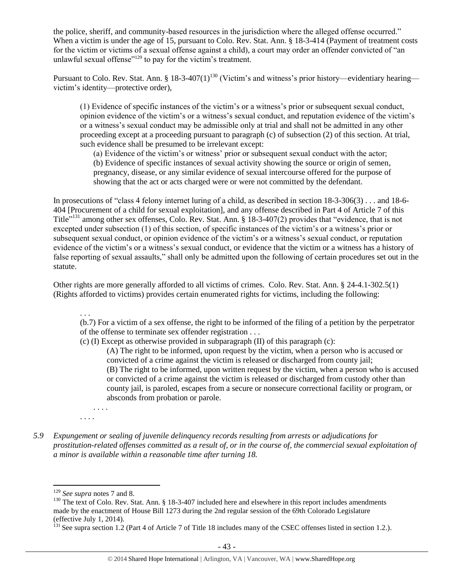the police, sheriff, and community-based resources in the jurisdiction where the alleged offense occurred." When a victim is under the age of 15, pursuant to Colo. Rev. Stat. Ann. § 18-3-414 (Payment of treatment costs for the victim or victims of a sexual offense against a child), a court may order an offender convicted of "an unlawful sexual offense<sup>"129</sup> to pay for the victim's treatment.

Pursuant to Colo. Rev. Stat. Ann. § 18-3-407(1)<sup>130</sup> (Victim's and witness's prior history—evidentiary hearing victim's identity—protective order),

(1) Evidence of specific instances of the victim's or a witness's prior or subsequent sexual conduct, opinion evidence of the victim's or a witness's sexual conduct, and reputation evidence of the victim's or a witness's sexual conduct may be admissible only at trial and shall not be admitted in any other proceeding except at a proceeding pursuant to paragraph (c) of subsection (2) of this section. At trial, such evidence shall be presumed to be irrelevant except:

(a) Evidence of the victim's or witness' prior or subsequent sexual conduct with the actor; (b) Evidence of specific instances of sexual activity showing the source or origin of semen, pregnancy, disease, or any similar evidence of sexual intercourse offered for the purpose of showing that the act or acts charged were or were not committed by the defendant.

In prosecutions of "class 4 felony internet luring of a child, as described in section 18-3-306(3) . . . and 18-6- 404 [Procurement of a child for sexual exploitation], and any offense described in Part 4 of Article 7 of this Title<sup>7131</sup> among other sex offenses, Colo. Rev. Stat. Ann. § 18-3-407(2) provides that "evidence, that is not excepted under subsection (1) of this section, of specific instances of the victim's or a witness's prior or subsequent sexual conduct, or opinion evidence of the victim's or a witness's sexual conduct, or reputation evidence of the victim's or a witness's sexual conduct, or evidence that the victim or a witness has a history of false reporting of sexual assaults," shall only be admitted upon the following of certain procedures set out in the statute.

Other rights are more generally afforded to all victims of crimes. Colo. Rev. Stat. Ann. § 24-4.1-302.5(1) (Rights afforded to victims) provides certain enumerated rights for victims, including the following:

(b.7) For a victim of a sex offense, the right to be informed of the filing of a petition by the perpetrator of the offense to terminate sex offender registration . . .

(c) (I) Except as otherwise provided in subparagraph (II) of this paragraph (c):

(A) The right to be informed, upon request by the victim, when a person who is accused or convicted of a crime against the victim is released or discharged from county jail; (B) The right to be informed, upon written request by the victim, when a person who is accused or convicted of a crime against the victim is released or discharged from custody other than county jail, is paroled, escapes from a secure or nonsecure correctional facility or program, or absconds from probation or parole.

. . . .

. . . .

. . .

*5.9 Expungement or sealing of juvenile delinquency records resulting from arrests or adjudications for prostitution-related offenses committed as a result of, or in the course of, the commercial sexual exploitation of a minor is available within a reasonable time after turning 18.*

 $\overline{a}$ 

<sup>129</sup> *See supra* note[s 7](#page-1-0) and [8.](#page-2-0)

<sup>&</sup>lt;sup>130</sup> The text of Colo. Rev. Stat. Ann. § 18-3-407 included here and elsewhere in this report includes amendments made by the enactment of House Bill 1273 during the 2nd regular session of the 69th Colorado Legislature (effective July 1, 2014).

 $^{131}$  See supra section 1.2 (Part 4 of Article 7 of Title 18 includes many of the CSEC offenses listed in section 1.2.).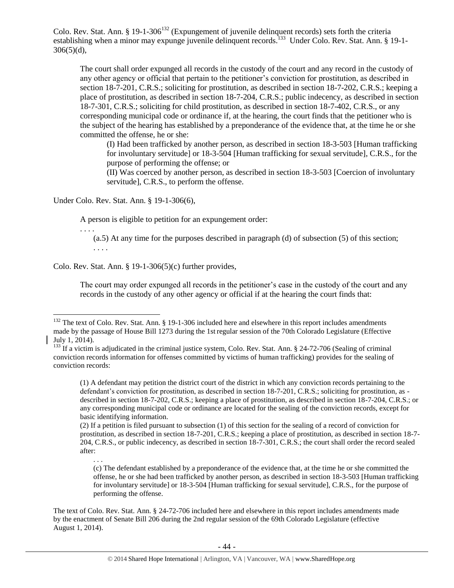Colo. Rev. Stat. Ann. § 19-1-306<sup>132</sup> (Expungement of juvenile delinquent records) sets forth the criteria establishing when a minor may expunge juvenile delinquent records.<sup>133</sup> Under Colo. Rev. Stat. Ann. § 19-1- $306(5)(d)$ ,

The court shall order expunged all records in the custody of the court and any record in the custody of any other agency or official that pertain to the petitioner's conviction for prostitution, as described in section 18-7-201, C.R.S.; soliciting for prostitution, as described in section 18-7-202, C.R.S.; keeping a place of prostitution, as described in section 18-7-204, C.R.S.; public indecency, as described in section 18-7-301, C.R.S.; soliciting for child prostitution, as described in section 18-7-402, C.R.S., or any corresponding municipal code or ordinance if, at the hearing, the court finds that the petitioner who is the subject of the hearing has established by a preponderance of the evidence that, at the time he or she committed the offense, he or she:

(I) Had been trafficked by another person, as described in section 18-3-503 [Human trafficking for involuntary servitude] or 18-3-504 [Human trafficking for sexual servitude], C.R.S., for the purpose of performing the offense; or

(II) Was coerced by another person, as described in section 18-3-503 [Coercion of involuntary servitude], C.R.S., to perform the offense.

Under Colo. Rev. Stat. Ann. § 19-1-306(6),

 $\overline{\phantom{a}}$ 

A person is eligible to petition for an expungement order:

. . . . (a.5) At any time for the purposes described in paragraph (d) of subsection (5) of this section; . . . .

Colo. Rev. Stat. Ann.  $\S$  19-1-306(5)(c) further provides,

The court may order expunged all records in the petitioner's case in the custody of the court and any records in the custody of any other agency or official if at the hearing the court finds that:

(2) If a petition is filed pursuant to subsection (1) of this section for the sealing of a record of conviction for prostitution, as described in section 18-7-201, C.R.S.; keeping a place of prostitution, as described in section 18-7- 204, C.R.S., or public indecency, as described in section 18-7-301, C.R.S.; the court shall order the record sealed after:

. . . (c) The defendant established by a preponderance of the evidence that, at the time he or she committed the offense, he or she had been trafficked by another person, as described in section 18-3-503 [Human trafficking for involuntary servitude] or 18-3-504 [Human trafficking for sexual servitude], C.R.S., for the purpose of performing the offense.

The text of Colo. Rev. Stat. Ann. § 24-72-706 included here and elsewhere in this report includes amendments made by the enactment of Senate Bill 206 during the 2nd regular session of the 69th Colorado Legislature (effective August 1, 2014).

 $132$  The text of Colo. Rev. Stat. Ann. § 19-1-306 included here and elsewhere in this report includes amendments made by the passage of House Bill 1273 during the 1st regular session of the 70th Colorado Legislature (Effective July 1, 2014).

 $^{133}$  If a victim is adjudicated in the criminal justice system, Colo. Rev. Stat. Ann. § 24-72-706 (Sealing of criminal conviction records information for offenses committed by victims of human trafficking) provides for the sealing of conviction records:

<sup>(1)</sup> A defendant may petition the district court of the district in which any conviction records pertaining to the defendant's conviction for prostitution, as described in section 18-7-201, C.R.S.; soliciting for prostitution, as described in section 18-7-202, C.R.S.; keeping a place of prostitution, as described in section 18-7-204, C.R.S.; or any corresponding municipal code or ordinance are located for the sealing of the conviction records, except for basic identifying information.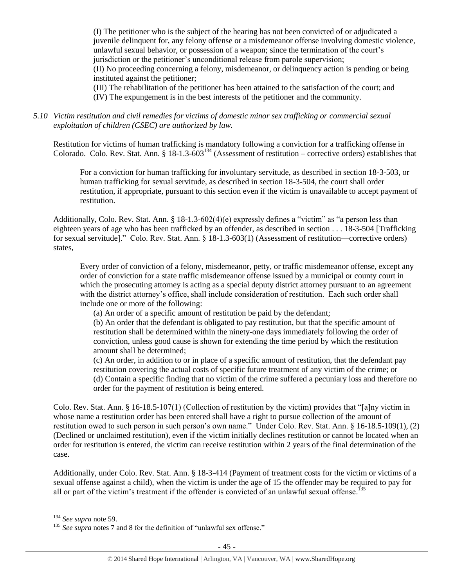(I) The petitioner who is the subject of the hearing has not been convicted of or adjudicated a juvenile delinquent for, any felony offense or a misdemeanor offense involving domestic violence, unlawful sexual behavior, or possession of a weapon; since the termination of the court's jurisdiction or the petitioner's unconditional release from parole supervision; (II) No proceeding concerning a felony, misdemeanor, or delinquency action is pending or being

instituted against the petitioner; (III) The rehabilitation of the petitioner has been attained to the satisfaction of the court; and (IV) The expungement is in the best interests of the petitioner and the community.

## *5.10 Victim restitution and civil remedies for victims of domestic minor sex trafficking or commercial sexual exploitation of children (CSEC) are authorized by law.*

Restitution for victims of human trafficking is mandatory following a conviction for a trafficking offense in Colorado. Colo. Rev. Stat. Ann. § 18-1.3-603<sup>134</sup> (Assessment of restitution – corrective orders) establishes that

For a conviction for human trafficking for involuntary servitude, as described in section 18-3-503, or human trafficking for sexual servitude, as described in section 18-3-504, the court shall order restitution, if appropriate, pursuant to this section even if the victim is unavailable to accept payment of restitution.

Additionally, Colo. Rev. Stat. Ann.  $\S 18-1.3-602(4)(e)$  expressly defines a "victim" as "a person less than eighteen years of age who has been trafficked by an offender, as described in section . . . 18-3-504 [Trafficking for sexual servitude]." Colo. Rev. Stat. Ann. § 18-1.3-603(1) (Assessment of restitution—corrective orders) states,

Every order of conviction of a felony, misdemeanor, petty, or traffic misdemeanor offense, except any order of conviction for a state traffic misdemeanor offense issued by a municipal or county court in which the prosecuting attorney is acting as a special deputy district attorney pursuant to an agreement with the district attorney's office, shall include consideration of restitution. Each such order shall include one or more of the following:

(a) An order of a specific amount of restitution be paid by the defendant;

(b) An order that the defendant is obligated to pay restitution, but that the specific amount of restitution shall be determined within the ninety-one days immediately following the order of conviction, unless good cause is shown for extending the time period by which the restitution amount shall be determined;

(c) An order, in addition to or in place of a specific amount of restitution, that the defendant pay restitution covering the actual costs of specific future treatment of any victim of the crime; or (d) Contain a specific finding that no victim of the crime suffered a pecuniary loss and therefore no order for the payment of restitution is being entered.

Colo. Rev. Stat. Ann. § 16-18.5-107(1) (Collection of restitution by the victim) provides that "[a]ny victim in whose name a restitution order has been entered shall have a right to pursue collection of the amount of restitution owed to such person in such person's own name." Under Colo. Rev. Stat. Ann. § 16-18.5-109(1), (2) (Declined or unclaimed restitution), even if the victim initially declines restitution or cannot be located when an order for restitution is entered, the victim can receive restitution within 2 years of the final determination of the case.

Additionally, under Colo. Rev. Stat. Ann. § 18-3-414 (Payment of treatment costs for the victim or victims of a sexual offense against a child), when the victim is under the age of 15 the offender may be required to pay for all or part of the victim's treatment if the offender is convicted of an unlawful sexual offense.<sup>[35</sup>]

 $\overline{a}$ 

<sup>134</sup> *See supra* not[e 59.](#page-15-0)

<sup>&</sup>lt;sup>135</sup> See supra notes [7](#page-1-0) and [8](#page-2-0) for the definition of "unlawful sex offense."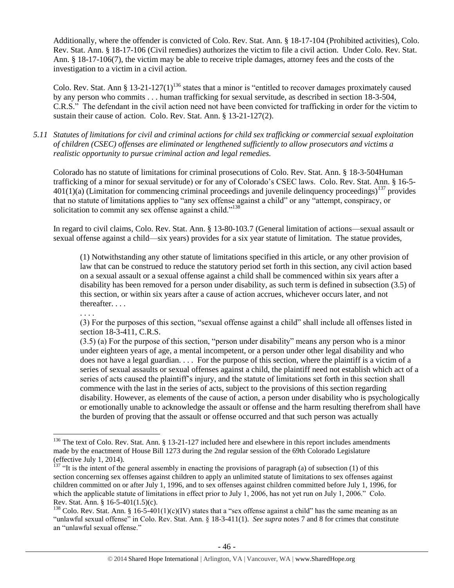Additionally, where the offender is convicted of Colo. Rev. Stat. Ann. § 18-17-104 (Prohibited activities), Colo. Rev. Stat. Ann. § 18-17-106 (Civil remedies) authorizes the victim to file a civil action. Under Colo. Rev. Stat. Ann. § 18-17-106(7), the victim may be able to receive triple damages, attorney fees and the costs of the investigation to a victim in a civil action.

Colo. Rev. Stat. Ann § 13-21-127(1)<sup>136</sup> states that a minor is "entitled to recover damages proximately caused by any person who commits . . . human trafficking for sexual servitude, as described in section 18-3-504, C.R.S." The defendant in the civil action need not have been convicted for trafficking in order for the victim to sustain their cause of action. Colo. Rev. Stat. Ann. § 13-21-127(2).

*5.11 Statutes of limitations for civil and criminal actions for child sex trafficking or commercial sexual exploitation of children (CSEC) offenses are eliminated or lengthened sufficiently to allow prosecutors and victims a realistic opportunity to pursue criminal action and legal remedies.*

Colorado has no statute of limitations for criminal prosecutions of Colo. Rev. Stat. Ann. § 18-3-504Human trafficking of a minor for sexual servitude) or for any of Colorado's CSEC laws. Colo. Rev. Stat. Ann. § 16-5-  $401(1)(a)$  (Limitation for commencing criminal proceedings and juvenile delinquency proceedings)<sup>137</sup> provides that no statute of limitations applies to "any sex offense against a child" or any "attempt, conspiracy, or solicitation to commit any sex offense against a child."<sup>138</sup>

In regard to civil claims, Colo. Rev. Stat. Ann. § 13-80-103.7 (General limitation of actions—sexual assault or sexual offense against a child—six years) provides for a six year statute of limitation. The statue provides,

(1) Notwithstanding any other statute of limitations specified in this article, or any other provision of law that can be construed to reduce the statutory period set forth in this section, any civil action based on a sexual assault or a sexual offense against a child shall be commenced within six years after a disability has been removed for a person under disability, as such term is defined in subsection (3.5) of this section, or within six years after a cause of action accrues, whichever occurs later, and not thereafter. . . .

. . . .

(3) For the purposes of this section, "sexual offense against a child" shall include all offenses listed in section 18-3-411, C.R.S.

(3.5) (a) For the purpose of this section, "person under disability" means any person who is a minor under eighteen years of age, a mental incompetent, or a person under other legal disability and who does not have a legal guardian. . . . For the purpose of this section, where the plaintiff is a victim of a series of sexual assaults or sexual offenses against a child, the plaintiff need not establish which act of a series of acts caused the plaintiff's injury, and the statute of limitations set forth in this section shall commence with the last in the series of acts, subject to the provisions of this section regarding disability. However, as elements of the cause of action, a person under disability who is psychologically or emotionally unable to acknowledge the assault or offense and the harm resulting therefrom shall have the burden of proving that the assault or offense occurred and that such person was actually

 $\overline{a}$ <sup>136</sup> The text of Colo. Rev. Stat. Ann. § 13-21-127 included here and elsewhere in this report includes amendments made by the enactment of House Bill 1273 during the 2nd regular session of the 69th Colorado Legislature (effective July 1, 2014).

<sup>&</sup>lt;sup>137</sup> "It is the intent of the general assembly in enacting the provisions of paragraph (a) of subsection (1) of this section concerning sex offenses against children to apply an unlimited statute of limitations to sex offenses against children committed on or after July 1, 1996, and to sex offenses against children committed before July 1, 1996, for which the applicable statute of limitations in effect prior to July 1, 2006, has not yet run on July 1, 2006." Colo. Rev. Stat. Ann. § 16-5-401(1.5)(c).

<sup>&</sup>lt;sup>138</sup> Colo. Rev. Stat. Ann. § 16-5-401(1)(c)(IV) states that a "sex offense against a child" has the same meaning as an "unlawful sexual offense" in Colo. Rev. Stat. Ann. § 18-3-411(1). *See supra* notes [7](#page-1-0) an[d 8](#page-2-0) for crimes that constitute an "unlawful sexual offense."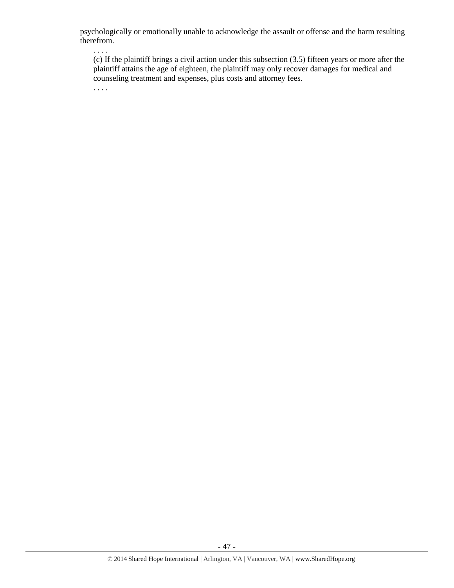psychologically or emotionally unable to acknowledge the assault or offense and the harm resulting therefrom.

. . . .

(c) If the plaintiff brings a civil action under this subsection (3.5) fifteen years or more after the plaintiff attains the age of eighteen, the plaintiff may only recover damages for medical and counseling treatment and expenses, plus costs and attorney fees.

. . . .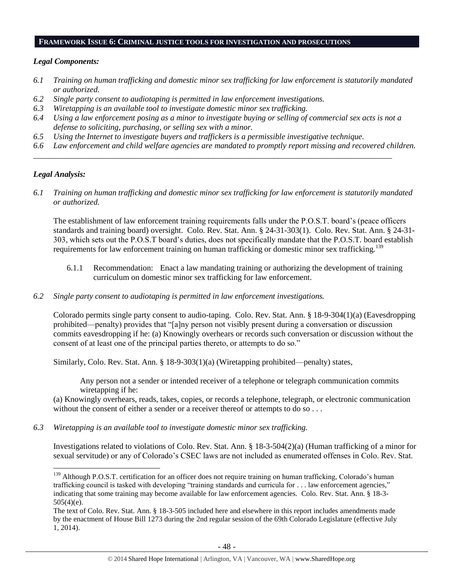#### **FRAMEWORK ISSUE 6: CRIMINAL JUSTICE TOOLS FOR INVESTIGATION AND PROSECUTIONS**

## *Legal Components:*

- *6.1 Training on human trafficking and domestic minor sex trafficking for law enforcement is statutorily mandated or authorized.*
- *6.2 Single party consent to audiotaping is permitted in law enforcement investigations.*
- *6.3 Wiretapping is an available tool to investigate domestic minor sex trafficking.*
- *6.4 Using a law enforcement posing as a minor to investigate buying or selling of commercial sex acts is not a defense to soliciting, purchasing, or selling sex with a minor.*

*\_\_\_\_\_\_\_\_\_\_\_\_\_\_\_\_\_\_\_\_\_\_\_\_\_\_\_\_\_\_\_\_\_\_\_\_\_\_\_\_\_\_\_\_\_\_\_\_\_\_\_\_\_\_\_\_\_\_\_\_\_\_\_\_\_\_\_\_\_\_\_\_\_\_\_\_\_\_\_\_\_\_\_\_\_\_\_\_*

- *6.5 Using the Internet to investigate buyers and traffickers is a permissible investigative technique.*
- *6.6 Law enforcement and child welfare agencies are mandated to promptly report missing and recovered children.*

## *Legal Analysis:*

 $\overline{\phantom{a}}$ 

*6.1 Training on human trafficking and domestic minor sex trafficking for law enforcement is statutorily mandated or authorized.*

The establishment of law enforcement training requirements falls under the P.O.S.T. board's (peace officers standards and training board) oversight. Colo. Rev. Stat. Ann. § 24-31-303(1). Colo. Rev. Stat. Ann. § 24-31- 303, which sets out the P.O.S.T board's duties, does not specifically mandate that the P.O.S.T. board establish requirements for law enforcement training on human trafficking or domestic minor sex trafficking.<sup>139</sup>

- 6.1.1 Recommendation: Enact a law mandating training or authorizing the development of training curriculum on domestic minor sex trafficking for law enforcement.
- *6.2 Single party consent to audiotaping is permitted in law enforcement investigations.*

Colorado permits single party consent to audio-taping. Colo. Rev. Stat. Ann. § 18-9-304(1)(a) (Eavesdropping prohibited—penalty) provides that "[a]ny person not visibly present during a conversation or discussion commits eavesdropping if he: (a) Knowingly overhears or records such conversation or discussion without the consent of at least one of the principal parties thereto, or attempts to do so."

Similarly, Colo. Rev. Stat. Ann. § 18-9-303(1)(a) (Wiretapping prohibited—penalty) states,

Any person not a sender or intended receiver of a telephone or telegraph communication commits wiretapping if he:

(a) Knowingly overhears, reads, takes, copies, or records a telephone, telegraph, or electronic communication without the consent of either a sender or a receiver thereof or attempts to do so . . .

*6.3 Wiretapping is an available tool to investigate domestic minor sex trafficking.* 

Investigations related to violations of Colo. Rev. Stat. Ann. § 18-3-504(2)(a) (Human trafficking of a minor for sexual servitude) or any of Colorado's CSEC laws are not included as enumerated offenses in Colo. Rev. Stat.

<sup>&</sup>lt;sup>139</sup> Although P.O.S.T. certification for an officer does not require training on human trafficking, Colorado's human trafficking council is tasked with developing "training standards and curricula for . . . law enforcement agencies," indicating that some training may become available for law enforcement agencies. Colo. Rev. Stat. Ann. § 18-3- 505(4)(e).

The text of Colo. Rev. Stat. Ann. § 18-3-505 included here and elsewhere in this report includes amendments made by the enactment of House Bill 1273 during the 2nd regular session of the 69th Colorado Legislature (effective July 1, 2014).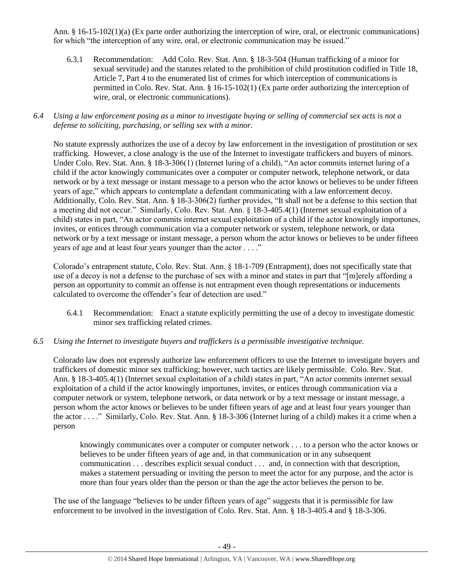Ann. § 16-15-102(1)(a) (Ex parte order authorizing the interception of wire, oral, or electronic communications) for which "the interception of any wire, oral, or electronic communication may be issued."

6.3.1 Recommendation: Add Colo. Rev. Stat. Ann. § 18-3-504 (Human trafficking of a minor for sexual servitude) and the statutes related to the prohibition of child prostitution codified in Title 18, Article 7, Part 4 to the enumerated list of crimes for which interception of communications is permitted in Colo. Rev. Stat. Ann. § 16-15-102(1) (Ex parte order authorizing the interception of wire, oral, or electronic communications).

## *6.4 Using a law enforcement posing as a minor to investigate buying or selling of commercial sex acts is not a defense to soliciting, purchasing, or selling sex with a minor.*

No statute expressly authorizes the use of a decoy by law enforcement in the investigation of prostitution or sex trafficking. However, a close analogy is the use of the Internet to investigate traffickers and buyers of minors. Under Colo. Rev. Stat. Ann. § 18-3-306(1) (Internet luring of a child), "An actor commits internet luring of a child if the actor knowingly communicates over a computer or computer network, telephone network, or data network or by a text message or instant message to a person who the actor knows or believes to be under fifteen years of age," which appears to contemplate a defendant communicating with a law enforcement decoy. Additionally, Colo. Rev. Stat. Ann. § 18-3-306(2) further provides, "It shall not be a defense to this section that a meeting did not occur." Similarly, Colo. Rev. Stat. Ann. § 18-3-405.4(1) (Internet sexual exploitation of a child) states in part, "An actor commits internet sexual exploitation of a child if the actor knowingly importunes, invites, or entices through communication via a computer network or system, telephone network, or data network or by a text message or instant message, a person whom the actor knows or believes to be under fifteen years of age and at least four years younger than the actor . . . ."

Colorado's entrapment statute, Colo. Rev. Stat. Ann. § 18-1-709 (Entrapment), does not specifically state that use of a decoy is not a defense to the purchase of sex with a minor and states in part that "[m]erely affording a person an opportunity to commit an offense is not entrapment even though representations or inducements calculated to overcome the offender's fear of detection are used."

- 6.4.1 Recommendation: Enact a statute explicitly permitting the use of a decoy to investigate domestic minor sex trafficking related crimes.
- *6.5 Using the Internet to investigate buyers and traffickers is a permissible investigative technique.*

Colorado law does not expressly authorize law enforcement officers to use the Internet to investigate buyers and traffickers of domestic minor sex trafficking; however, such tactics are likely permissible. Colo. Rev. Stat. Ann. § 18-3-405.4(1) (Internet sexual exploitation of a child) states in part, "An actor commits internet sexual exploitation of a child if the actor knowingly importunes, invites, or entices through communication via a computer network or system, telephone network, or data network or by a text message or instant message, a person whom the actor knows or believes to be under fifteen years of age and at least four years younger than the actor . . . ." Similarly, Colo. Rev. Stat. Ann. § 18-3-306 (Internet luring of a child) makes it a crime when a person

knowingly communicates over a computer or computer network . . . to a person who the actor knows or believes to be under fifteen years of age and, in that communication or in any subsequent communication . . . describes explicit sexual conduct . . . and, in connection with that description, makes a statement persuading or inviting the person to meet the actor for any purpose, and the actor is more than four years older than the person or than the age the actor believes the person to be.

The use of the language "believes to be under fifteen years of age" suggests that it is permissible for law enforcement to be involved in the investigation of Colo. Rev. Stat. Ann. § 18-3-405.4 and § 18-3-306.